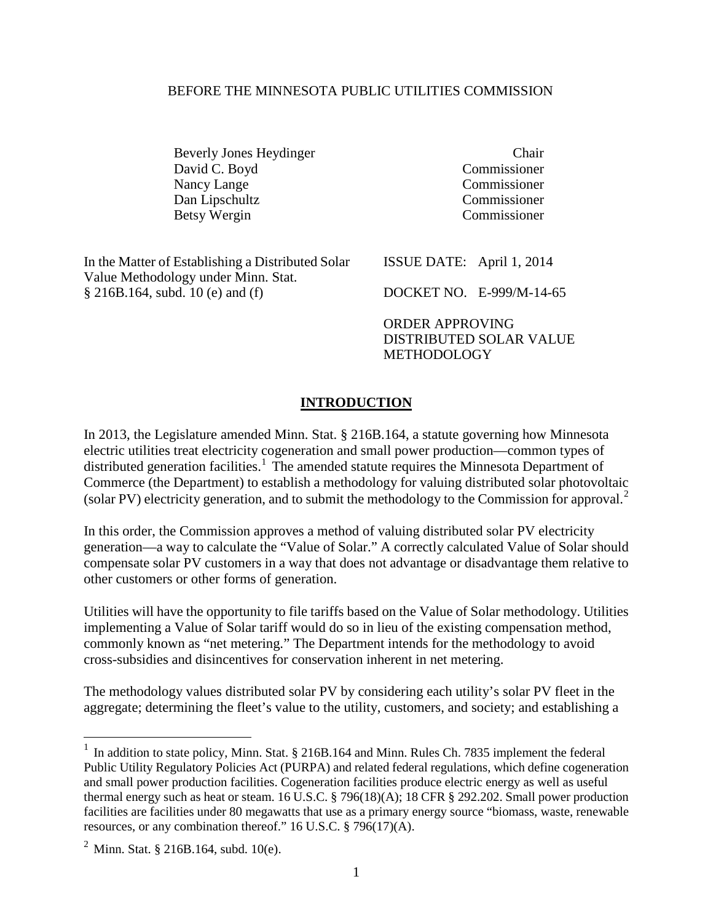#### BEFORE THE MINNESOTA PUBLIC UTILITIES COMMISSION

Beverly Jones Heydinger Chair David C. Boyd Commissioner Nancy Lange Commissioner<br>
Dan Lipschultz Commissioner Dan Lipschultz Betsy Wergin Commissioner

| In the Matter of Establishing a Distributed Solar | ISSUE DATE: April $1, 2014$ |                          |
|---------------------------------------------------|-----------------------------|--------------------------|
| Value Methodology under Minn. Stat.               |                             |                          |
| $\S$ 216B.164, subd. 10 (e) and (f)               |                             | DOCKET NO. E-999/M-14-65 |
|                                                   |                             |                          |

ORDER APPROVING DISTRIBUTED SOLAR VALUE METHODOLOGY

#### **INTRODUCTION**

In 2013, the Legislature amended Minn. Stat. § 216B.164, a statute governing how Minnesota electric utilities treat electricity cogeneration and small power production—common types of distributed generation facilities.<sup>[1](#page-0-0)</sup> The amended statute requires the Minnesota Department of Commerce (the Department) to establish a methodology for valuing distributed solar photovoltaic (solar PV) electricity generation, and to submit the methodology to the Commission for approval.<sup>[2](#page-0-1)</sup>

In this order, the Commission approves a method of valuing distributed solar PV electricity generation—a way to calculate the "Value of Solar." A correctly calculated Value of Solar should compensate solar PV customers in a way that does not advantage or disadvantage them relative to other customers or other forms of generation.

Utilities will have the opportunity to file tariffs based on the Value of Solar methodology. Utilities implementing a Value of Solar tariff would do so in lieu of the existing compensation method, commonly known as "net metering." The Department intends for the methodology to avoid cross-subsidies and disincentives for conservation inherent in net metering.

The methodology values distributed solar PV by considering each utility's solar PV fleet in the aggregate; determining the fleet's value to the utility, customers, and society; and establishing a

 $\overline{a}$ 

<span id="page-0-0"></span> $1$  In addition to state policy, Minn. Stat. § 216B.164 and Minn. Rules Ch. 7835 implement the federal Public Utility Regulatory Policies Act (PURPA) and related federal regulations, which define cogeneration and small power production facilities. Cogeneration facilities produce electric energy as well as useful thermal energy such as heat or steam. 16 U.S.C. § 796(18)(A); 18 CFR § 292.202. Small power production facilities are facilities under 80 megawatts that use as a primary energy source "biomass, waste, renewable resources, or any combination thereof." 16 U.S.C. § 796(17)(A).

<span id="page-0-1"></span> $2$  Minn. Stat. § 216B.164, subd. 10(e).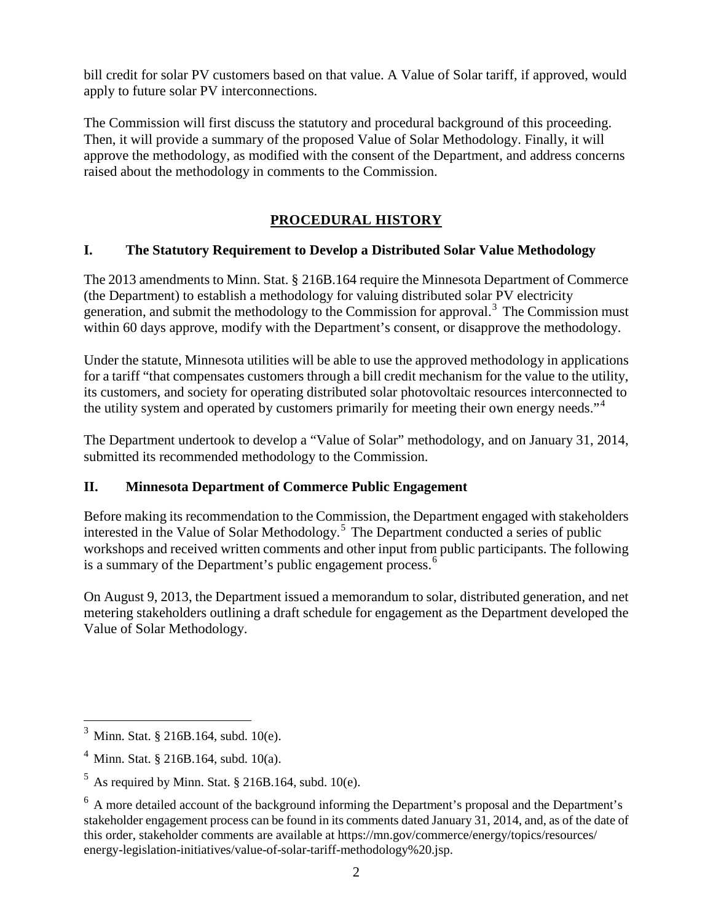bill credit for solar PV customers based on that value. A Value of Solar tariff, if approved, would apply to future solar PV interconnections.

The Commission will first discuss the statutory and procedural background of this proceeding. Then, it will provide a summary of the proposed Value of Solar Methodology. Finally, it will approve the methodology, as modified with the consent of the Department, and address concerns raised about the methodology in comments to the Commission.

#### **PROCEDURAL HISTORY**

#### **I. The Statutory Requirement to Develop a Distributed Solar Value Methodology**

The 2013 amendments to Minn. Stat. § 216B.164 require the Minnesota Department of Commerce (the Department) to establish a methodology for valuing distributed solar PV electricity generation, and submit the methodology to the Commission for approval. [3](#page-1-0) The Commission must within 60 days approve, modify with the Department's consent, or disapprove the methodology.

Under the statute, Minnesota utilities will be able to use the approved methodology in applications for a tariff "that compensates customers through a bill credit mechanism for the value to the utility, its customers, and society for operating distributed solar photovoltaic resources interconnected to the utility system and operated by customers primarily for meeting their own energy needs."<sup>[4](#page-1-1)</sup>

The Department undertook to develop a "Value of Solar" methodology, and on January 31, 2014, submitted its recommended methodology to the Commission.

#### **II. Minnesota Department of Commerce Public Engagement**

Before making its recommendation to the Commission, the Department engaged with stakeholders interested in the Value of Solar Methodology. [5](#page-1-2) The Department conducted a series of public workshops and received written comments and other input from public participants. The following is a summary of the Department's public engagement process.<sup>[6](#page-1-3)</sup>

On August 9, 2013, the Department issued a memorandum to solar, distributed generation, and net metering stakeholders outlining a draft schedule for engagement as the Department developed the Value of Solar Methodology.

 $\overline{a}$ 

<span id="page-1-0"></span>Minn. Stat. § 216B.164, subd. 10(e).

<span id="page-1-1"></span><sup>4</sup> Minn. Stat. § 216B.164, subd. 10(a).

<span id="page-1-2"></span> $<sup>5</sup>$  As required by Minn. Stat. § 216B.164, subd. 10(e).</sup>

<span id="page-1-3"></span> $6$  A more detailed account of the background informing the Department's proposal and the Department's stakeholder engagement process can be found in its comments dated January 31, 2014, and, as of the date of this order, stakeholder comments are available at https://mn.gov/commerce/energy/topics/resources/ energy-legislation-initiatives/value-of-solar-tariff-methodology%20.jsp.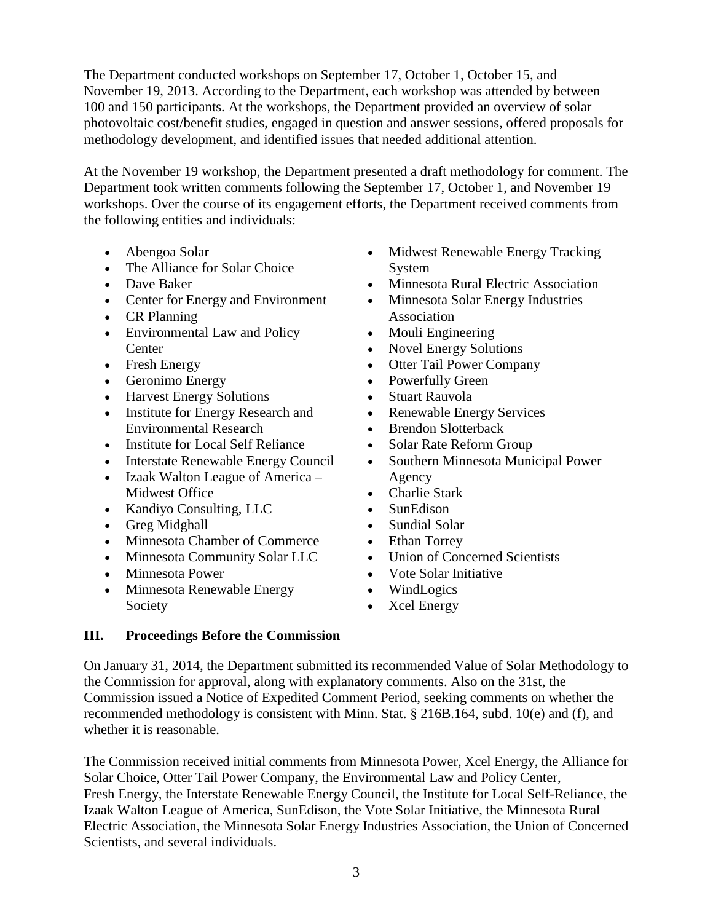The Department conducted workshops on September 17, October 1, October 15, and November 19, 2013. According to the Department, each workshop was attended by between 100 and 150 participants. At the workshops, the Department provided an overview of solar photovoltaic cost/benefit studies, engaged in question and answer sessions, offered proposals for methodology development, and identified issues that needed additional attention.

At the November 19 workshop, the Department presented a draft methodology for comment. The Department took written comments following the September 17, October 1, and November 19 workshops. Over the course of its engagement efforts, the Department received comments from the following entities and individuals:

- Abengoa Solar
- The Alliance for Solar Choice
- Dave Baker
- Center for Energy and Environment
- CR Planning
- Environmental Law and Policy **Center**
- Fresh Energy
- Geronimo Energy
- Harvest Energy Solutions
- Institute for Energy Research and Environmental Research
- Institute for Local Self Reliance
- Interstate Renewable Energy Council
- Izaak Walton League of America Midwest Office
- Kandiyo Consulting, LLC
- Greg Midghall
- Minnesota Chamber of Commerce
- Minnesota Community Solar LLC
- Minnesota Power
- Minnesota Renewable Energy Society
- Midwest Renewable Energy Tracking System
- Minnesota Rural Electric Association
- Minnesota Solar Energy Industries Association
- Mouli Engineering
- Novel Energy Solutions
- Otter Tail Power Company
- Powerfully Green
- Stuart Rauvola
- Renewable Energy Services
- Brendon Slotterback
- Solar Rate Reform Group
- Southern Minnesota Municipal Power Agency
- Charlie Stark
- SunEdison
- Sundial Solar
- Ethan Torrey
- Union of Concerned Scientists
- Vote Solar Initiative
- WindLogics
- Xcel Energy

#### **III. Proceedings Before the Commission**

On January 31, 2014, the Department submitted its recommended Value of Solar Methodology to the Commission for approval, along with explanatory comments. Also on the 31st, the Commission issued a Notice of Expedited Comment Period, seeking comments on whether the recommended methodology is consistent with Minn. Stat. § 216B.164, subd. 10(e) and (f), and whether it is reasonable.

The Commission received initial comments from Minnesota Power, Xcel Energy, the Alliance for Solar Choice, Otter Tail Power Company, the Environmental Law and Policy Center, Fresh Energy, the Interstate Renewable Energy Council, the Institute for Local Self-Reliance, the Izaak Walton League of America, SunEdison, the Vote Solar Initiative, the Minnesota Rural Electric Association, the Minnesota Solar Energy Industries Association, the Union of Concerned Scientists, and several individuals.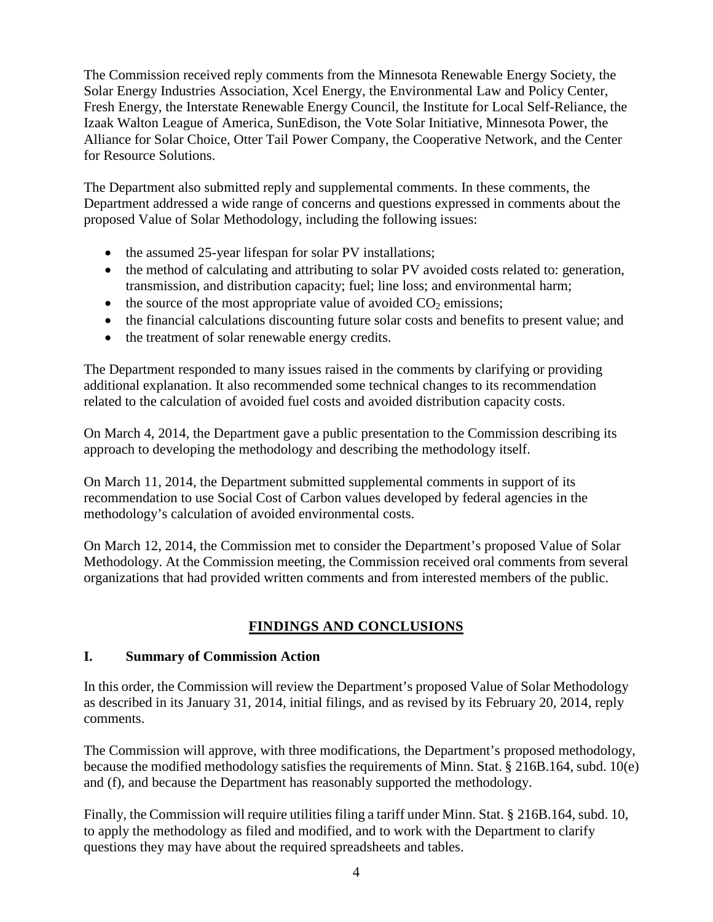The Commission received reply comments from the Minnesota Renewable Energy Society, the Solar Energy Industries Association, Xcel Energy, the Environmental Law and Policy Center, Fresh Energy, the Interstate Renewable Energy Council, the Institute for Local Self-Reliance, the Izaak Walton League of America, SunEdison, the Vote Solar Initiative, Minnesota Power, the Alliance for Solar Choice, Otter Tail Power Company, the Cooperative Network, and the Center for Resource Solutions.

The Department also submitted reply and supplemental comments. In these comments, the Department addressed a wide range of concerns and questions expressed in comments about the proposed Value of Solar Methodology, including the following issues:

- the assumed 25-year lifespan for solar PV installations;
- the method of calculating and attributing to solar PV avoided costs related to: generation, transmission, and distribution capacity; fuel; line loss; and environmental harm;
- the source of the most appropriate value of avoided  $CO<sub>2</sub>$  emissions;
- the financial calculations discounting future solar costs and benefits to present value; and
- the treatment of solar renewable energy credits.

The Department responded to many issues raised in the comments by clarifying or providing additional explanation. It also recommended some technical changes to its recommendation related to the calculation of avoided fuel costs and avoided distribution capacity costs.

On March 4, 2014, the Department gave a public presentation to the Commission describing its approach to developing the methodology and describing the methodology itself.

On March 11, 2014, the Department submitted supplemental comments in support of its recommendation to use Social Cost of Carbon values developed by federal agencies in the methodology's calculation of avoided environmental costs.

On March 12, 2014, the Commission met to consider the Department's proposed Value of Solar Methodology. At the Commission meeting, the Commission received oral comments from several organizations that had provided written comments and from interested members of the public.

#### **FINDINGS AND CONCLUSIONS**

#### **I. Summary of Commission Action**

In this order, the Commission will review the Department's proposed Value of Solar Methodology as described in its January 31, 2014, initial filings, and as revised by its February 20, 2014, reply comments.

The Commission will approve, with three modifications, the Department's proposed methodology, because the modified methodology satisfies the requirements of Minn. Stat. § 216B.164, subd. 10(e) and (f), and because the Department has reasonably supported the methodology.

Finally, the Commission will require utilities filing a tariff under Minn. Stat. § 216B.164, subd. 10, to apply the methodology as filed and modified, and to work with the Department to clarify questions they may have about the required spreadsheets and tables.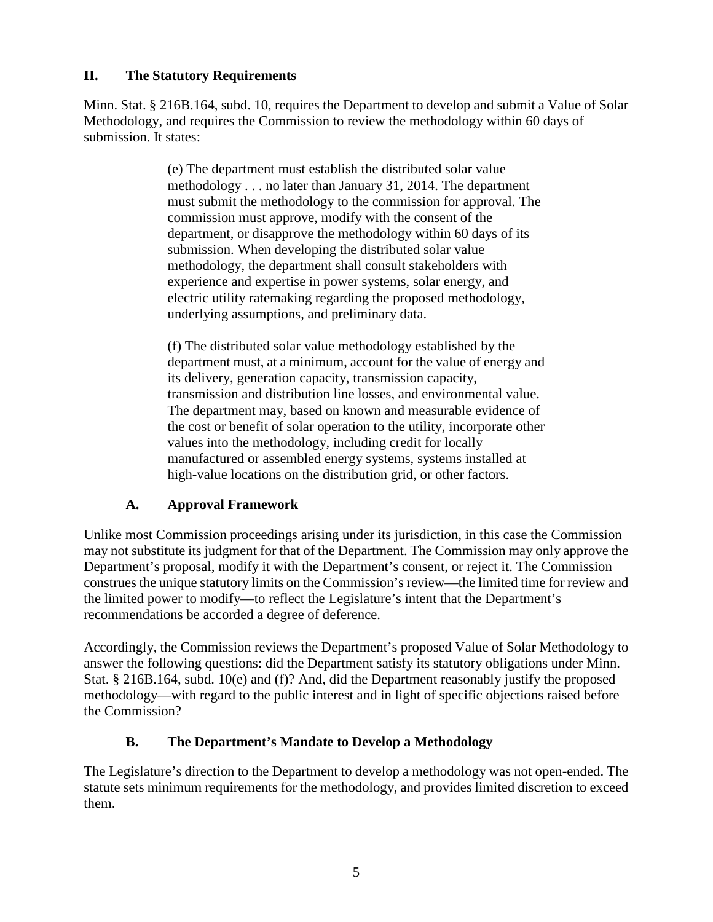#### **II. The Statutory Requirements**

Minn. Stat. § 216B.164, subd. 10, requires the Department to develop and submit a Value of Solar Methodology, and requires the Commission to review the methodology within 60 days of submission. It states:

> (e) The department must establish the distributed solar value methodology . . . no later than January 31, 2014. The department must submit the methodology to the commission for approval. The commission must approve, modify with the consent of the department, or disapprove the methodology within 60 days of its submission. When developing the distributed solar value methodology, the department shall consult stakeholders with experience and expertise in power systems, solar energy, and electric utility ratemaking regarding the proposed methodology, underlying assumptions, and preliminary data.

(f) The distributed solar value methodology established by the department must, at a minimum, account for the value of energy and its delivery, generation capacity, transmission capacity, transmission and distribution line losses, and environmental value. The department may, based on known and measurable evidence of the cost or benefit of solar operation to the utility, incorporate other values into the methodology, including credit for locally manufactured or assembled energy systems, systems installed at high-value locations on the distribution grid, or other factors.

#### **A. Approval Framework**

Unlike most Commission proceedings arising under its jurisdiction, in this case the Commission may not substitute its judgment for that of the Department. The Commission may only approve the Department's proposal, modify it with the Department's consent, or reject it. The Commission construes the unique statutory limits on the Commission's review—the limited time for review and the limited power to modify—to reflect the Legislature's intent that the Department's recommendations be accorded a degree of deference.

Accordingly, the Commission reviews the Department's proposed Value of Solar Methodology to answer the following questions: did the Department satisfy its statutory obligations under Minn. Stat. § 216B.164, subd. 10(e) and (f)? And, did the Department reasonably justify the proposed methodology—with regard to the public interest and in light of specific objections raised before the Commission?

#### **B. The Department's Mandate to Develop a Methodology**

The Legislature's direction to the Department to develop a methodology was not open-ended. The statute sets minimum requirements for the methodology, and provides limited discretion to exceed them.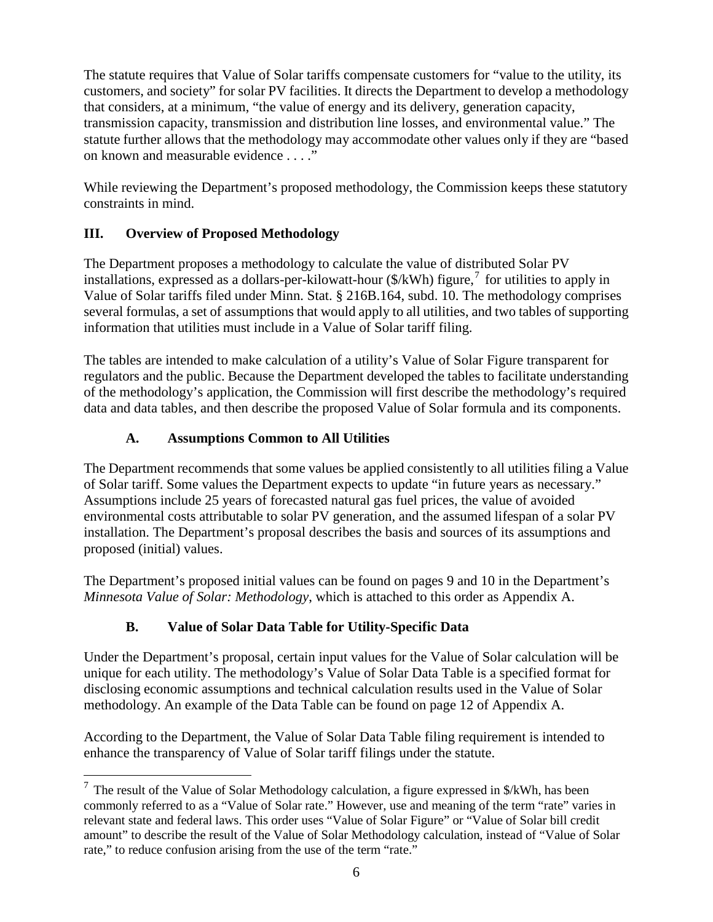The statute requires that Value of Solar tariffs compensate customers for "value to the utility, its customers, and society" for solar PV facilities. It directs the Department to develop a methodology that considers, at a minimum, "the value of energy and its delivery, generation capacity, transmission capacity, transmission and distribution line losses, and environmental value." The statute further allows that the methodology may accommodate other values only if they are "based on known and measurable evidence . . . ."

While reviewing the Department's proposed methodology, the Commission keeps these statutory constraints in mind.

#### **III. Overview of Proposed Methodology**

The Department proposes a methodology to calculate the value of distributed Solar PV installations, expressed as a dollars-per-kilowatt-hour  $(\frac{C}{X}$ Wh) figure,<sup>[7](#page-5-0)</sup> for utilities to apply in Value of Solar tariffs filed under Minn. Stat. § 216B.164, subd. 10. The methodology comprises several formulas, a set of assumptions that would apply to all utilities, and two tables of supporting information that utilities must include in a Value of Solar tariff filing.

The tables are intended to make calculation of a utility's Value of Solar Figure transparent for regulators and the public. Because the Department developed the tables to facilitate understanding of the methodology's application, the Commission will first describe the methodology's required data and data tables, and then describe the proposed Value of Solar formula and its components.

#### **A. Assumptions Common to All Utilities**

The Department recommends that some values be applied consistently to all utilities filing a Value of Solar tariff. Some values the Department expects to update "in future years as necessary." Assumptions include 25 years of forecasted natural gas fuel prices, the value of avoided environmental costs attributable to solar PV generation, and the assumed lifespan of a solar PV installation. The Department's proposal describes the basis and sources of its assumptions and proposed (initial) values.

The Department's proposed initial values can be found on pages 9 and 10 in the Department's *Minnesota Value of Solar: Methodology*, which is attached to this order as Appendix A.

#### **B. Value of Solar Data Table for Utility-Specific Data**

Under the Department's proposal, certain input values for the Value of Solar calculation will be unique for each utility. The methodology's Value of Solar Data Table is a specified format for disclosing economic assumptions and technical calculation results used in the Value of Solar methodology. An example of the Data Table can be found on page 12 of Appendix A.

According to the Department, the Value of Solar Data Table filing requirement is intended to enhance the transparency of Value of Solar tariff filings under the statute.

<span id="page-5-0"></span> $<sup>7</sup>$  The result of the Value of Solar Methodology calculation, a figure expressed in \$/kWh, has been</sup> commonly referred to as a "Value of Solar rate." However, use and meaning of the term "rate" varies in relevant state and federal laws. This order uses "Value of Solar Figure" or "Value of Solar bill credit amount" to describe the result of the Value of Solar Methodology calculation, instead of "Value of Solar rate," to reduce confusion arising from the use of the term "rate."  $\overline{a}$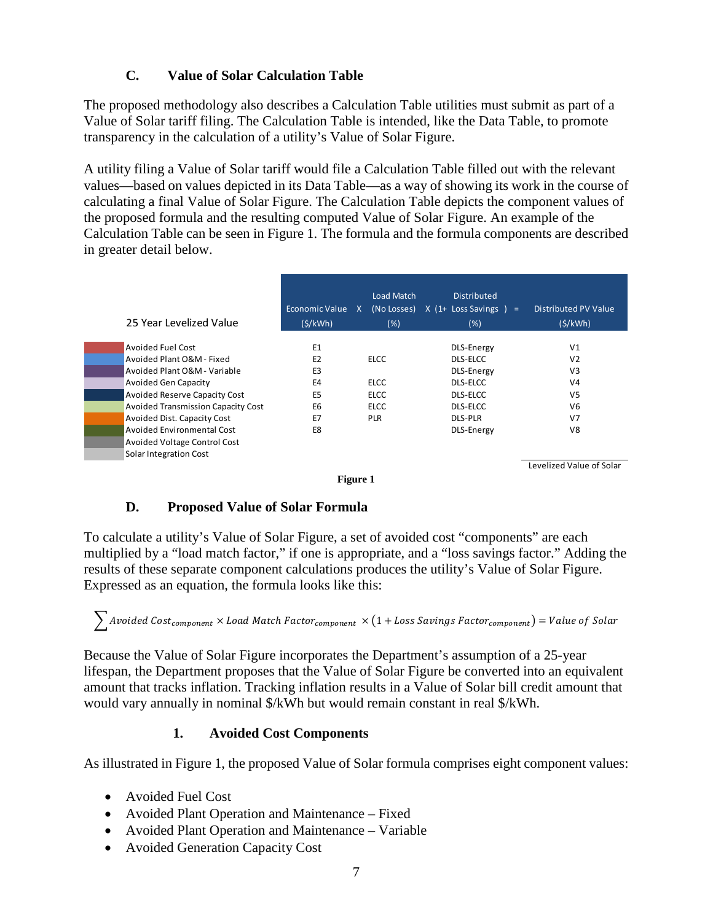#### **C. Value of Solar Calculation Table**

The proposed methodology also describes a Calculation Table utilities must submit as part of a Value of Solar tariff filing. The Calculation Table is intended, like the Data Table, to promote transparency in the calculation of a utility's Value of Solar Figure.

A utility filing a Value of Solar tariff would file a Calculation Table filled out with the relevant values—based on values depicted in its Data Table—as a way of showing its work in the course of calculating a final Value of Solar Figure. The Calculation Table depicts the component values of the proposed formula and the resulting computed Value of Solar Figure. An example of the Calculation Table can be seen in Figure 1. The formula and the formula components are described in greater detail below.

| 25 Year Levelized Value                   | Economic Value X<br>(S/kWh) | Load Match<br>(No Losses)<br>(%) | <b>Distributed</b><br>$X$ (1+ Loss Savings ) =<br>(%) | Distributed PV Value<br>(S/KWh) |
|-------------------------------------------|-----------------------------|----------------------------------|-------------------------------------------------------|---------------------------------|
| <b>Avoided Fuel Cost</b>                  | E <sub>1</sub>              |                                  | <b>DLS-Energy</b>                                     | V <sub>1</sub>                  |
| Avoided Plant O&M - Fixed                 | E <sub>2</sub>              | <b>ELCC</b>                      | DLS-ELCC                                              | V <sub>2</sub>                  |
| Avoided Plant O&M - Variable              | E <sub>3</sub>              |                                  | <b>DLS-Energy</b>                                     | V3                              |
| <b>Avoided Gen Capacity</b>               | E <sub>4</sub>              | <b>ELCC</b>                      | DLS-ELCC                                              | V <sub>4</sub>                  |
| <b>Avoided Reserve Capacity Cost</b>      | E <sub>5</sub>              | <b>ELCC</b>                      | DLS-ELCC                                              | V <sub>5</sub>                  |
| <b>Avoided Transmission Capacity Cost</b> | E <sub>6</sub>              | <b>ELCC</b>                      | <b>DLS-ELCC</b>                                       | V <sub>6</sub>                  |
| <b>Avoided Dist. Capacity Cost</b>        | E7                          | <b>PLR</b>                       | <b>DLS-PLR</b>                                        | V <sub>7</sub>                  |
| Avoided Environmental Cost                | E8                          |                                  | <b>DLS-Energy</b>                                     | V8                              |
| Avoided Voltage Control Cost              |                             |                                  |                                                       |                                 |
| Solar Integration Cost                    |                             |                                  |                                                       |                                 |
|                                           | $\sim$                      |                                  |                                                       | Levelized Value of Solar        |

#### **Figure 1**

#### **D. Proposed Value of Solar Formula**

To calculate a utility's Value of Solar Figure, a set of avoided cost "components" are each multiplied by a "load match factor," if one is appropriate, and a "loss savings factor." Adding the results of these separate component calculations produces the utility's Value of Solar Figure. Expressed as an equation, the formula looks like this:

 $\sum$  Avoided Cost<sub>component</sub>  $\times$  Load Match Factor<sub>component</sub>  $\times$  (1 + Loss Savings Factor<sub>component</sub>) = Value of Solar

Because the Value of Solar Figure incorporates the Department's assumption of a 25-year lifespan, the Department proposes that the Value of Solar Figure be converted into an equivalent amount that tracks inflation. Tracking inflation results in a Value of Solar bill credit amount that would vary annually in nominal \$/kWh but would remain constant in real \$/kWh.

#### **1. Avoided Cost Components**

As illustrated in Figure 1, the proposed Value of Solar formula comprises eight component values:

- Avoided Fuel Cost
- Avoided Plant Operation and Maintenance Fixed
- Avoided Plant Operation and Maintenance Variable
- Avoided Generation Capacity Cost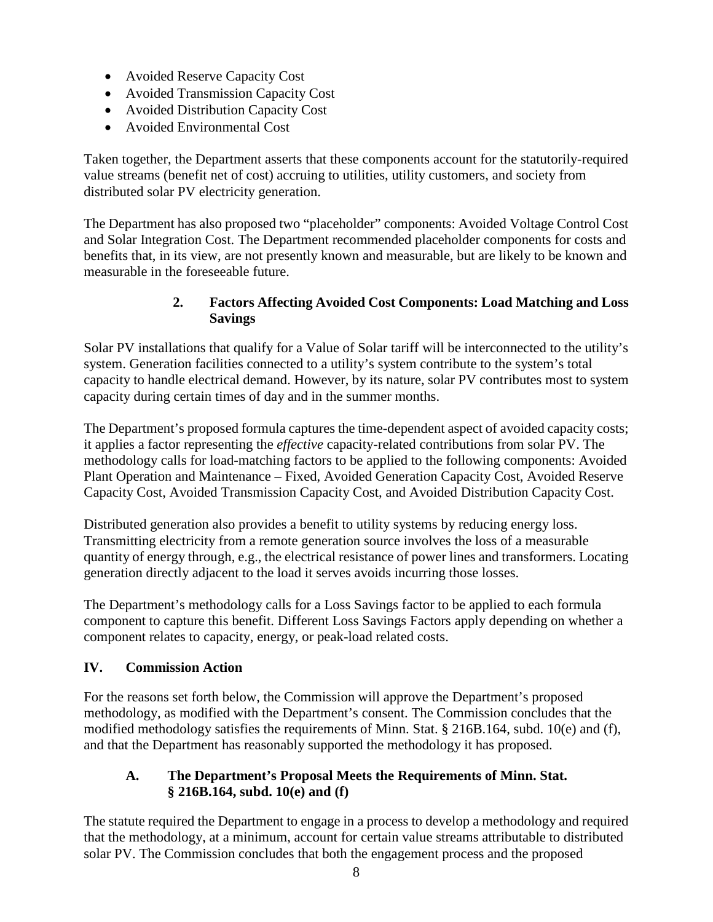- Avoided Reserve Capacity Cost
- Avoided Transmission Capacity Cost
- Avoided Distribution Capacity Cost
- Avoided Environmental Cost

Taken together, the Department asserts that these components account for the statutorily-required value streams (benefit net of cost) accruing to utilities, utility customers, and society from distributed solar PV electricity generation.

The Department has also proposed two "placeholder" components: Avoided Voltage Control Cost and Solar Integration Cost. The Department recommended placeholder components for costs and benefits that, in its view, are not presently known and measurable, but are likely to be known and measurable in the foreseeable future.

#### **2. Factors Affecting Avoided Cost Components: Load Matching and Loss Savings**

Solar PV installations that qualify for a Value of Solar tariff will be interconnected to the utility's system. Generation facilities connected to a utility's system contribute to the system's total capacity to handle electrical demand. However, by its nature, solar PV contributes most to system capacity during certain times of day and in the summer months.

The Department's proposed formula captures the time-dependent aspect of avoided capacity costs; it applies a factor representing the *effective* capacity-related contributions from solar PV. The methodology calls for load-matching factors to be applied to the following components: Avoided Plant Operation and Maintenance – Fixed, Avoided Generation Capacity Cost, Avoided Reserve Capacity Cost, Avoided Transmission Capacity Cost, and Avoided Distribution Capacity Cost.

Distributed generation also provides a benefit to utility systems by reducing energy loss. Transmitting electricity from a remote generation source involves the loss of a measurable quantity of energy through, e.g., the electrical resistance of power lines and transformers. Locating generation directly adjacent to the load it serves avoids incurring those losses.

The Department's methodology calls for a Loss Savings factor to be applied to each formula component to capture this benefit. Different Loss Savings Factors apply depending on whether a component relates to capacity, energy, or peak-load related costs.

#### **IV. Commission Action**

For the reasons set forth below, the Commission will approve the Department's proposed methodology, as modified with the Department's consent. The Commission concludes that the modified methodology satisfies the requirements of Minn. Stat. § 216B.164, subd. 10(e) and (f), and that the Department has reasonably supported the methodology it has proposed.

#### **A. The Department's Proposal Meets the Requirements of Minn. Stat. § 216B.164, subd. 10(e) and (f)**

The statute required the Department to engage in a process to develop a methodology and required that the methodology, at a minimum, account for certain value streams attributable to distributed solar PV. The Commission concludes that both the engagement process and the proposed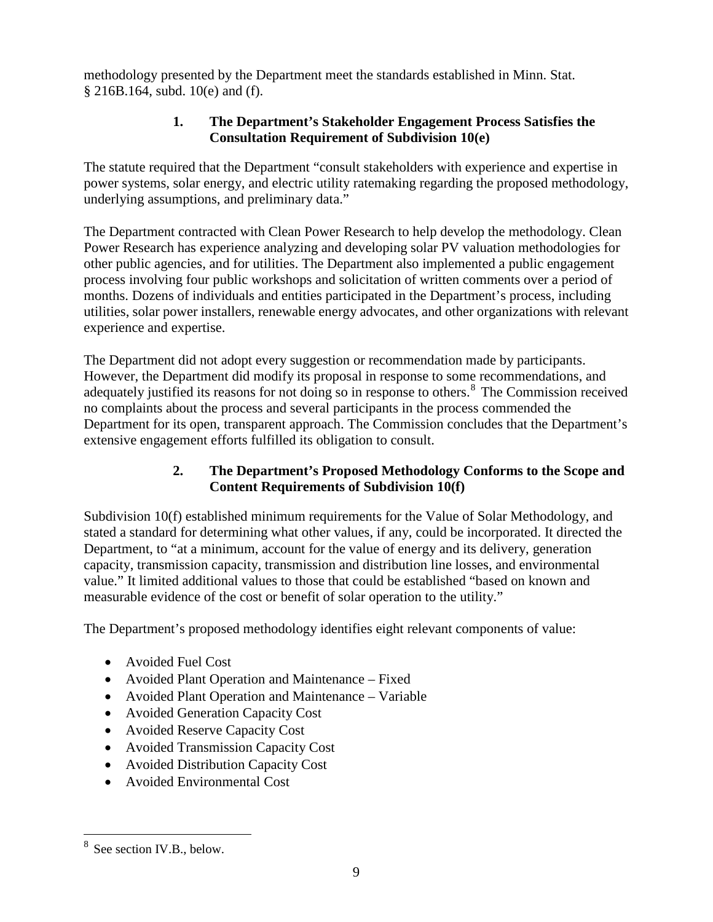methodology presented by the Department meet the standards established in Minn. Stat. § 216B.164, subd. 10(e) and (f).

#### **1. The Department's Stakeholder Engagement Process Satisfies the Consultation Requirement of Subdivision 10(e)**

The statute required that the Department "consult stakeholders with experience and expertise in power systems, solar energy, and electric utility ratemaking regarding the proposed methodology, underlying assumptions, and preliminary data."

The Department contracted with Clean Power Research to help develop the methodology. Clean Power Research has experience analyzing and developing solar PV valuation methodologies for other public agencies, and for utilities. The Department also implemented a public engagement process involving four public workshops and solicitation of written comments over a period of months. Dozens of individuals and entities participated in the Department's process, including utilities, solar power installers, renewable energy advocates, and other organizations with relevant experience and expertise.

The Department did not adopt every suggestion or recommendation made by participants. However, the Department did modify its proposal in response to some recommendations, and adequately justified its reasons for not doing so in response to others.<sup>[8](#page-8-0)</sup> The Commission received no complaints about the process and several participants in the process commended the Department for its open, transparent approach. The Commission concludes that the Department's extensive engagement efforts fulfilled its obligation to consult.

#### **2. The Department's Proposed Methodology Conforms to the Scope and Content Requirements of Subdivision 10(f)**

Subdivision 10(f) established minimum requirements for the Value of Solar Methodology, and stated a standard for determining what other values, if any, could be incorporated. It directed the Department, to "at a minimum, account for the value of energy and its delivery, generation capacity, transmission capacity, transmission and distribution line losses, and environmental value." It limited additional values to those that could be established "based on known and measurable evidence of the cost or benefit of solar operation to the utility."

The Department's proposed methodology identifies eight relevant components of value:

- Avoided Fuel Cost
- Avoided Plant Operation and Maintenance Fixed
- Avoided Plant Operation and Maintenance Variable
- Avoided Generation Capacity Cost
- Avoided Reserve Capacity Cost
- Avoided Transmission Capacity Cost
- Avoided Distribution Capacity Cost
- Avoided Environmental Cost

 $\overline{a}$ 

<span id="page-8-0"></span>See section IV.B., below.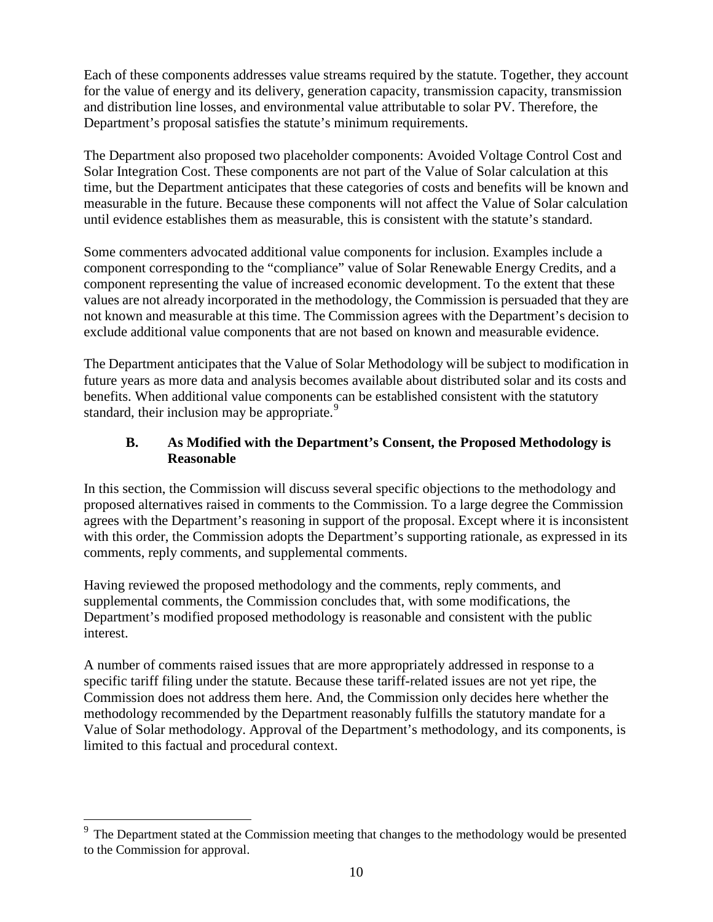Each of these components addresses value streams required by the statute. Together, they account for the value of energy and its delivery, generation capacity, transmission capacity, transmission and distribution line losses, and environmental value attributable to solar PV. Therefore, the Department's proposal satisfies the statute's minimum requirements.

The Department also proposed two placeholder components: Avoided Voltage Control Cost and Solar Integration Cost. These components are not part of the Value of Solar calculation at this time, but the Department anticipates that these categories of costs and benefits will be known and measurable in the future. Because these components will not affect the Value of Solar calculation until evidence establishes them as measurable, this is consistent with the statute's standard.

Some commenters advocated additional value components for inclusion. Examples include a component corresponding to the "compliance" value of Solar Renewable Energy Credits, and a component representing the value of increased economic development. To the extent that these values are not already incorporated in the methodology, the Commission is persuaded that they are not known and measurable at this time. The Commission agrees with the Department's decision to exclude additional value components that are not based on known and measurable evidence.

The Department anticipates that the Value of Solar Methodology will be subject to modification in future years as more data and analysis becomes available about distributed solar and its costs and benefits. When additional value components can be established consistent with the statutory standard, their inclusion may be appropriate.<sup>[9](#page-9-0)</sup>

#### **B. As Modified with the Department's Consent, the Proposed Methodology is Reasonable**

In this section, the Commission will discuss several specific objections to the methodology and proposed alternatives raised in comments to the Commission. To a large degree the Commission agrees with the Department's reasoning in support of the proposal. Except where it is inconsistent with this order, the Commission adopts the Department's supporting rationale, as expressed in its comments, reply comments, and supplemental comments.

Having reviewed the proposed methodology and the comments, reply comments, and supplemental comments, the Commission concludes that, with some modifications, the Department's modified proposed methodology is reasonable and consistent with the public interest.

A number of comments raised issues that are more appropriately addressed in response to a specific tariff filing under the statute. Because these tariff-related issues are not yet ripe, the Commission does not address them here. And, the Commission only decides here whether the methodology recommended by the Department reasonably fulfills the statutory mandate for a Value of Solar methodology. Approval of the Department's methodology, and its components, is limited to this factual and procedural context.

 $\overline{a}$ 

<span id="page-9-0"></span>The Department stated at the Commission meeting that changes to the methodology would be presented to the Commission for approval.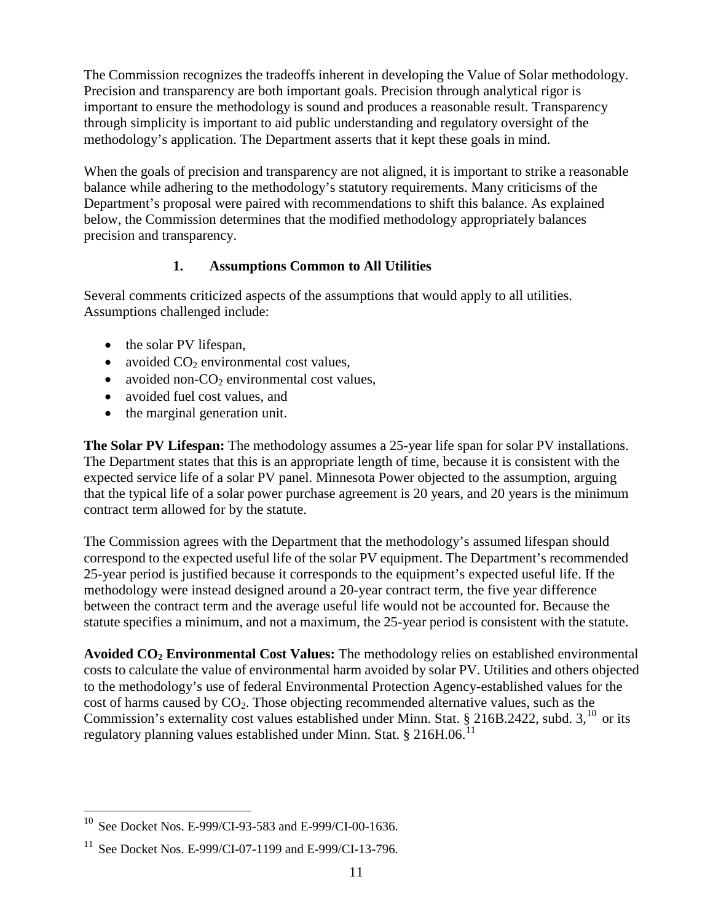The Commission recognizes the tradeoffs inherent in developing the Value of Solar methodology. Precision and transparency are both important goals. Precision through analytical rigor is important to ensure the methodology is sound and produces a reasonable result. Transparency through simplicity is important to aid public understanding and regulatory oversight of the methodology's application. The Department asserts that it kept these goals in mind.

When the goals of precision and transparency are not aligned, it is important to strike a reasonable balance while adhering to the methodology's statutory requirements. Many criticisms of the Department's proposal were paired with recommendations to shift this balance. As explained below, the Commission determines that the modified methodology appropriately balances precision and transparency.

#### **1. Assumptions Common to All Utilities**

Several comments criticized aspects of the assumptions that would apply to all utilities. Assumptions challenged include:

- the solar PV lifespan,
- avoided  $CO<sub>2</sub>$  environmental cost values,
- avoided non- $CO<sub>2</sub>$  environmental cost values,
- avoided fuel cost values, and
- the marginal generation unit.

**The Solar PV Lifespan:** The methodology assumes a 25-year life span for solar PV installations. The Department states that this is an appropriate length of time, because it is consistent with the expected service life of a solar PV panel. Minnesota Power objected to the assumption, arguing that the typical life of a solar power purchase agreement is 20 years, and 20 years is the minimum contract term allowed for by the statute.

The Commission agrees with the Department that the methodology's assumed lifespan should correspond to the expected useful life of the solar PV equipment. The Department's recommended 25-year period is justified because it corresponds to the equipment's expected useful life. If the methodology were instead designed around a 20-year contract term, the five year difference between the contract term and the average useful life would not be accounted for. Because the statute specifies a minimum, and not a maximum, the 25-year period is consistent with the statute.

**Avoided CO2 Environmental Cost Values:** The methodology relies on established environmental costs to calculate the value of environmental harm avoided by solar PV. Utilities and others objected to the methodology's use of federal Environmental Protection Agency-established values for the cost of harms caused by  $CO<sub>2</sub>$ . Those objecting recommended alternative values, such as the Commission's externality cost values established under Minn. Stat. § 216B.2422, subd.  $3$ ,  $^{10}$  $^{10}$  $^{10}$  or its regulatory planning values established under Minn. Stat. § 216H.06.<sup>[11](#page-10-1)</sup>

<span id="page-10-0"></span> $^{10}$  See Docket Nos. E-999/CI-93-583 and E-999/CI-00-1636.  $\overline{a}$ 

<span id="page-10-1"></span><sup>&</sup>lt;sup>11</sup> See Docket Nos. E-999/CI-07-1199 and E-999/CI-13-796.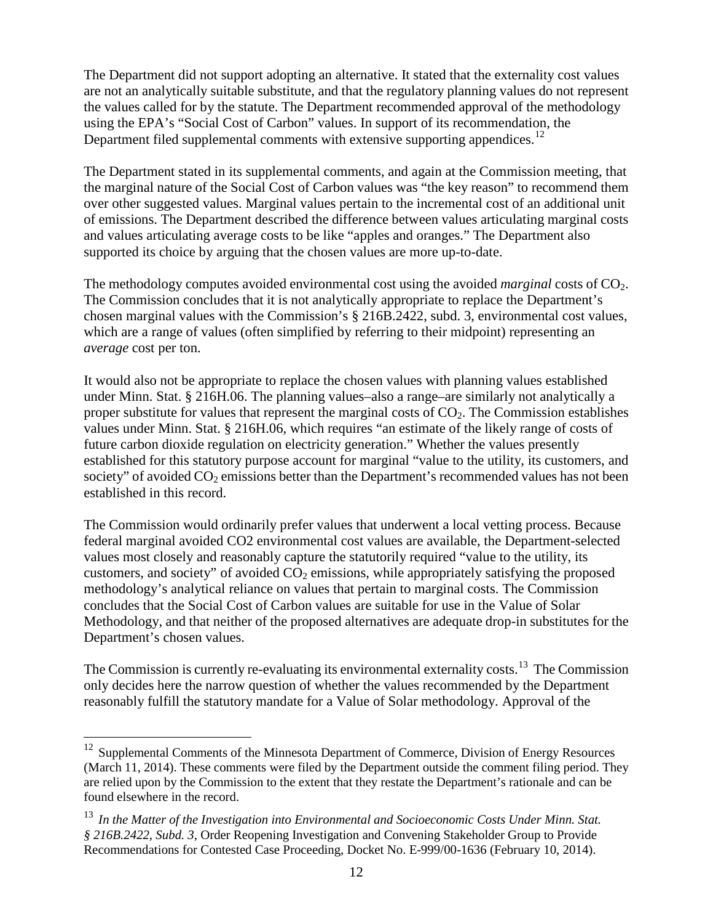The Department did not support adopting an alternative. It stated that the externality cost values are not an analytically suitable substitute, and that the regulatory planning values do not represent the values called for by the statute. The Department recommended approval of the methodology using the EPA's "Social Cost of Carbon" values. In support of its recommendation, the Department filed supplemental comments with extensive supporting appendices.<sup>[12](#page-11-0)</sup>

The Department stated in its supplemental comments, and again at the Commission meeting, that the marginal nature of the Social Cost of Carbon values was "the key reason" to recommend them over other suggested values. Marginal values pertain to the incremental cost of an additional unit of emissions. The Department described the difference between values articulating marginal costs and values articulating average costs to be like "apples and oranges." The Department also supported its choice by arguing that the chosen values are more up-to-date.

The methodology computes avoided environmental cost using the avoided *marginal* costs of CO<sub>2</sub>. The Commission concludes that it is not analytically appropriate to replace the Department's chosen marginal values with the Commission's § 216B.2422, subd. 3, environmental cost values, which are a range of values (often simplified by referring to their midpoint) representing an *average* cost per ton.

It would also not be appropriate to replace the chosen values with planning values established under Minn. Stat. § 216H.06. The planning values–also a range–are similarly not analytically a proper substitute for values that represent the marginal costs of  $CO<sub>2</sub>$ . The Commission establishes values under Minn. Stat. § 216H.06, which requires "an estimate of the likely range of costs of future carbon dioxide regulation on electricity generation." Whether the values presently established for this statutory purpose account for marginal "value to the utility, its customers, and society" of avoided  $CO<sub>2</sub>$  emissions better than the Department's recommended values has not been established in this record.

The Commission would ordinarily prefer values that underwent a local vetting process. Because federal marginal avoided CO2 environmental cost values are available, the Department-selected values most closely and reasonably capture the statutorily required "value to the utility, its customers, and society" of avoided  $CO<sub>2</sub>$  emissions, while appropriately satisfying the proposed methodology's analytical reliance on values that pertain to marginal costs. The Commission concludes that the Social Cost of Carbon values are suitable for use in the Value of Solar Methodology, and that neither of the proposed alternatives are adequate drop-in substitutes for the Department's chosen values.

The Commission is currently re-evaluating its environmental externality costs.<sup>[13](#page-11-1)</sup> The Commission only decides here the narrow question of whether the values recommended by the Department reasonably fulfill the statutory mandate for a Value of Solar methodology. Approval of the

 $\overline{a}$ 

<span id="page-11-0"></span><sup>&</sup>lt;sup>12</sup> Supplemental Comments of the Minnesota Department of Commerce, Division of Energy Resources (March 11, 2014). These comments were filed by the Department outside the comment filing period. They are relied upon by the Commission to the extent that they restate the Department's rationale and can be found elsewhere in the record.

<span id="page-11-1"></span><sup>13</sup> *In the Matter of the Investigation into Environmental and Socioeconomic Costs Under Minn. Stat. § 216B.2422, Subd. 3*, Order Reopening Investigation and Convening Stakeholder Group to Provide Recommendations for Contested Case Proceeding, Docket No. E-999/00-1636 (February 10, 2014).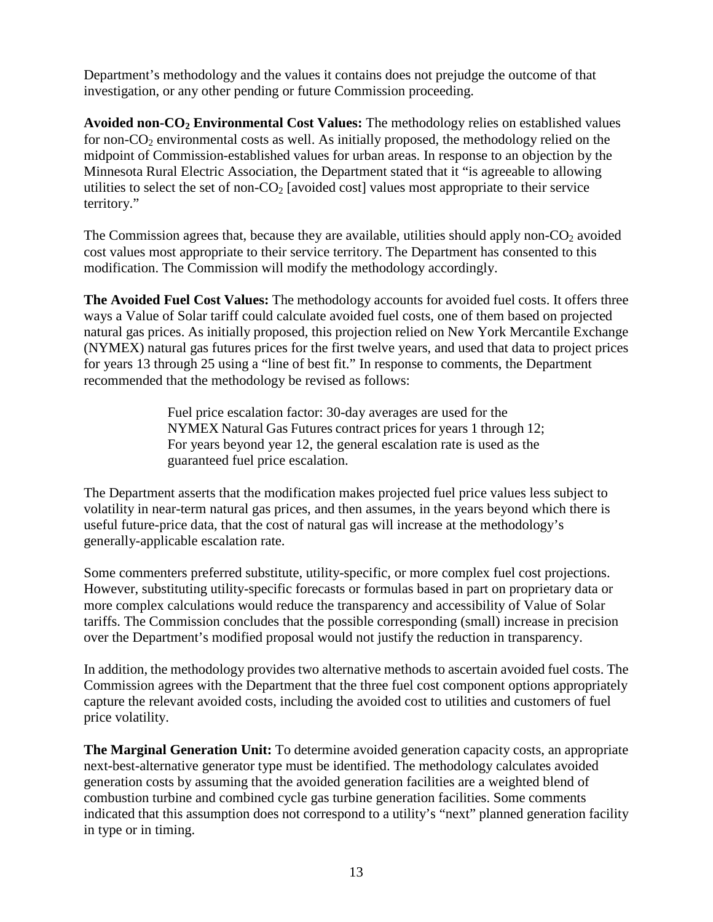Department's methodology and the values it contains does not prejudge the outcome of that investigation, or any other pending or future Commission proceeding.

**Avoided non-CO2 Environmental Cost Values:** The methodology relies on established values for non- $CO<sub>2</sub>$  environmental costs as well. As initially proposed, the methodology relied on the midpoint of Commission-established values for urban areas. In response to an objection by the Minnesota Rural Electric Association, the Department stated that it "is agreeable to allowing utilities to select the set of non- $CO<sub>2</sub>$  [avoided cost] values most appropriate to their service territory."

The Commission agrees that, because they are available, utilities should apply non- $CO<sub>2</sub>$  avoided cost values most appropriate to their service territory. The Department has consented to this modification. The Commission will modify the methodology accordingly.

**The Avoided Fuel Cost Values:** The methodology accounts for avoided fuel costs. It offers three ways a Value of Solar tariff could calculate avoided fuel costs, one of them based on projected natural gas prices. As initially proposed, this projection relied on New York Mercantile Exchange (NYMEX) natural gas futures prices for the first twelve years, and used that data to project prices for years 13 through 25 using a "line of best fit." In response to comments, the Department recommended that the methodology be revised as follows:

> Fuel price escalation factor: 30-day averages are used for the NYMEX Natural Gas Futures contract prices for years 1 through 12; For years beyond year 12, the general escalation rate is used as the guaranteed fuel price escalation.

The Department asserts that the modification makes projected fuel price values less subject to volatility in near-term natural gas prices, and then assumes, in the years beyond which there is useful future-price data, that the cost of natural gas will increase at the methodology's generally-applicable escalation rate.

Some commenters preferred substitute, utility-specific, or more complex fuel cost projections. However, substituting utility-specific forecasts or formulas based in part on proprietary data or more complex calculations would reduce the transparency and accessibility of Value of Solar tariffs. The Commission concludes that the possible corresponding (small) increase in precision over the Department's modified proposal would not justify the reduction in transparency.

In addition, the methodology provides two alternative methods to ascertain avoided fuel costs. The Commission agrees with the Department that the three fuel cost component options appropriately capture the relevant avoided costs, including the avoided cost to utilities and customers of fuel price volatility.

**The Marginal Generation Unit:** To determine avoided generation capacity costs, an appropriate next-best-alternative generator type must be identified. The methodology calculates avoided generation costs by assuming that the avoided generation facilities are a weighted blend of combustion turbine and combined cycle gas turbine generation facilities. Some comments indicated that this assumption does not correspond to a utility's "next" planned generation facility in type or in timing.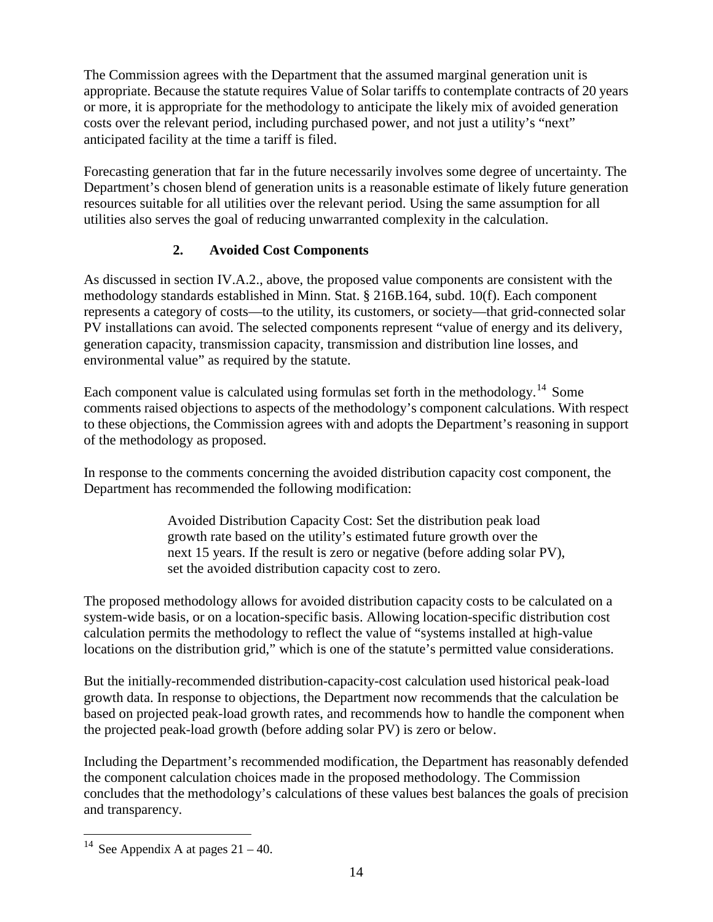The Commission agrees with the Department that the assumed marginal generation unit is appropriate. Because the statute requires Value of Solar tariffs to contemplate contracts of 20 years or more, it is appropriate for the methodology to anticipate the likely mix of avoided generation costs over the relevant period, including purchased power, and not just a utility's "next" anticipated facility at the time a tariff is filed.

Forecasting generation that far in the future necessarily involves some degree of uncertainty. The Department's chosen blend of generation units is a reasonable estimate of likely future generation resources suitable for all utilities over the relevant period. Using the same assumption for all utilities also serves the goal of reducing unwarranted complexity in the calculation.

#### **2. Avoided Cost Components**

As discussed in section IV.A.2., above, the proposed value components are consistent with the methodology standards established in Minn. Stat. § 216B.164, subd. 10(f). Each component represents a category of costs—to the utility, its customers, or society—that grid-connected solar PV installations can avoid. The selected components represent "value of energy and its delivery, generation capacity, transmission capacity, transmission and distribution line losses, and environmental value" as required by the statute.

Each component value is calculated using formulas set forth in the methodology.<sup>[14](#page-13-0)</sup> Some comments raised objections to aspects of the methodology's component calculations. With respect to these objections, the Commission agrees with and adopts the Department's reasoning in support of the methodology as proposed.

In response to the comments concerning the avoided distribution capacity cost component, the Department has recommended the following modification:

> Avoided Distribution Capacity Cost: Set the distribution peak load growth rate based on the utility's estimated future growth over the next 15 years. If the result is zero or negative (before adding solar PV), set the avoided distribution capacity cost to zero.

The proposed methodology allows for avoided distribution capacity costs to be calculated on a system-wide basis, or on a location-specific basis. Allowing location-specific distribution cost calculation permits the methodology to reflect the value of "systems installed at high-value locations on the distribution grid," which is one of the statute's permitted value considerations.

But the initially-recommended distribution-capacity-cost calculation used historical peak-load growth data. In response to objections, the Department now recommends that the calculation be based on projected peak-load growth rates, and recommends how to handle the component when the projected peak-load growth (before adding solar PV) is zero or below.

Including the Department's recommended modification, the Department has reasonably defended the component calculation choices made in the proposed methodology. The Commission concludes that the methodology's calculations of these values best balances the goals of precision and transparency.

<span id="page-13-0"></span><sup>&</sup>lt;sup>14</sup> See Appendix A at pages  $21 - 40$ .  $\overline{a}$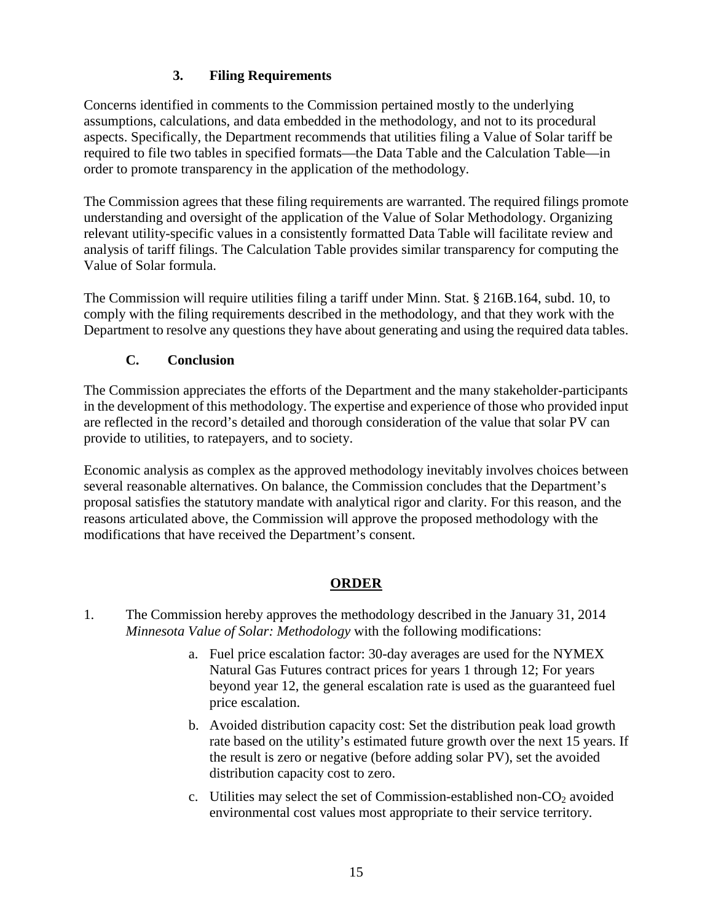#### **3. Filing Requirements**

Concerns identified in comments to the Commission pertained mostly to the underlying assumptions, calculations, and data embedded in the methodology, and not to its procedural aspects. Specifically, the Department recommends that utilities filing a Value of Solar tariff be required to file two tables in specified formats—the Data Table and the Calculation Table—in order to promote transparency in the application of the methodology.

The Commission agrees that these filing requirements are warranted. The required filings promote understanding and oversight of the application of the Value of Solar Methodology. Organizing relevant utility-specific values in a consistently formatted Data Table will facilitate review and analysis of tariff filings. The Calculation Table provides similar transparency for computing the Value of Solar formula.

The Commission will require utilities filing a tariff under Minn. Stat. § 216B.164, subd. 10, to comply with the filing requirements described in the methodology, and that they work with the Department to resolve any questions they have about generating and using the required data tables.

#### **C. Conclusion**

The Commission appreciates the efforts of the Department and the many stakeholder-participants in the development of this methodology. The expertise and experience of those who provided input are reflected in the record's detailed and thorough consideration of the value that solar PV can provide to utilities, to ratepayers, and to society.

Economic analysis as complex as the approved methodology inevitably involves choices between several reasonable alternatives. On balance, the Commission concludes that the Department's proposal satisfies the statutory mandate with analytical rigor and clarity. For this reason, and the reasons articulated above, the Commission will approve the proposed methodology with the modifications that have received the Department's consent.

#### **ORDER**

- 1. The Commission hereby approves the methodology described in the January 31, 2014 *Minnesota Value of Solar: Methodology* with the following modifications:
	- a. Fuel price escalation factor: 30-day averages are used for the NYMEX Natural Gas Futures contract prices for years 1 through 12; For years beyond year 12, the general escalation rate is used as the guaranteed fuel price escalation.
	- b. Avoided distribution capacity cost: Set the distribution peak load growth rate based on the utility's estimated future growth over the next 15 years. If the result is zero or negative (before adding solar PV), set the avoided distribution capacity cost to zero.
	- c. Utilities may select the set of Commission-established non- $CO<sub>2</sub>$  avoided environmental cost values most appropriate to their service territory.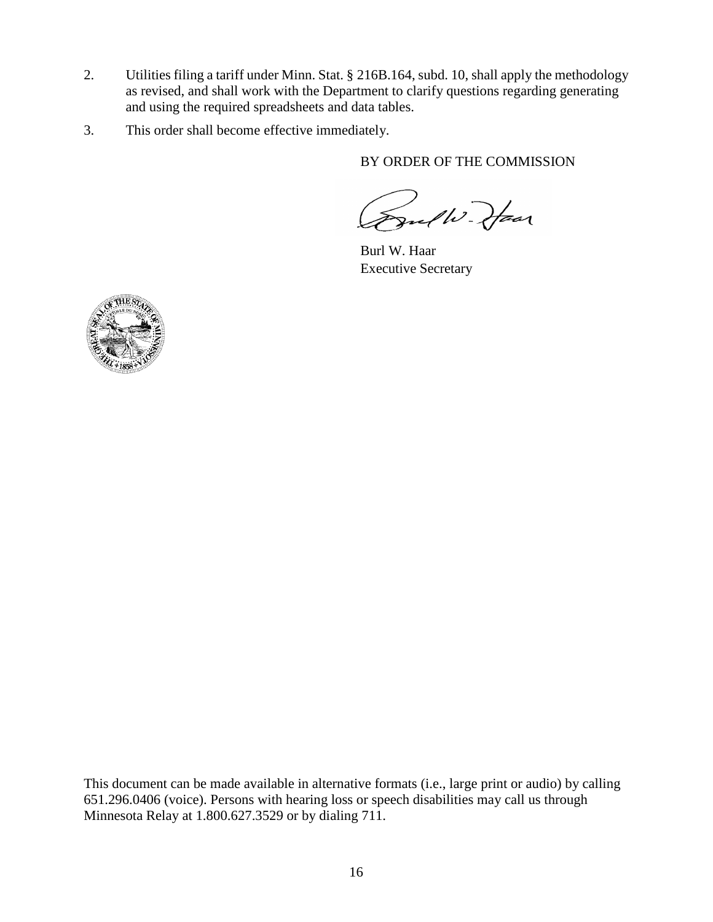- 2. Utilities filing a tariff under Minn. Stat. § 216B.164, subd. 10, shall apply the methodology as revised, and shall work with the Department to clarify questions regarding generating and using the required spreadsheets and data tables.
- 3. This order shall become effective immediately.

BY ORDER OF THE COMMISSION

Frulli Jan

Burl W. Haar Executive Secretary



This document can be made available in alternative formats (i.e., large print or audio) by calling 651.296.0406 (voice). Persons with hearing loss or speech disabilities may call us through Minnesota Relay at 1.800.627.3529 or by dialing 711.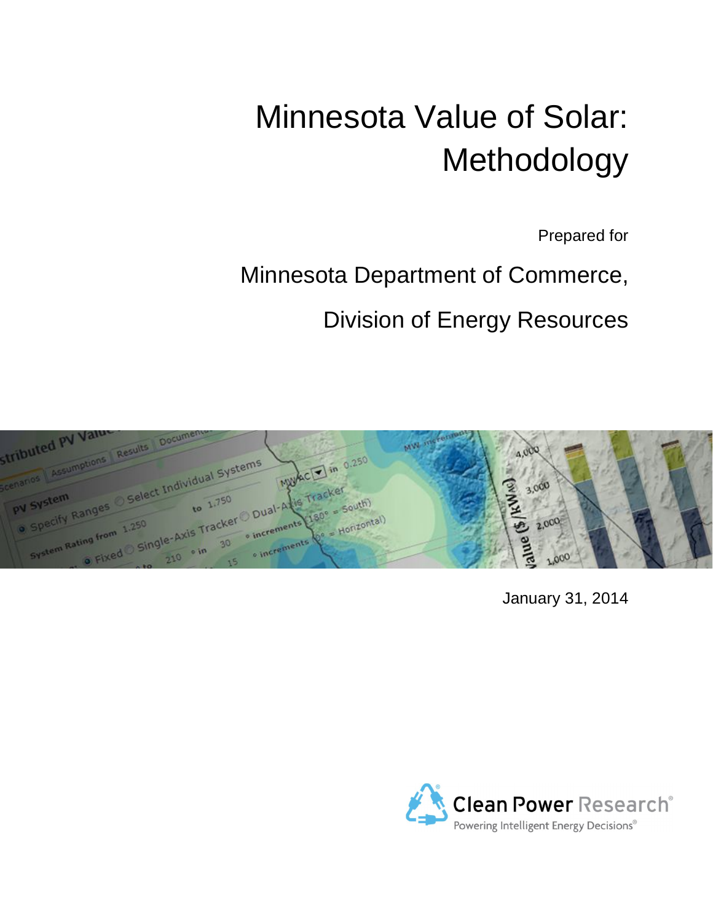# Minnesota Value of Solar: Methodology

Prepared for

## Minnesota Department of Commerce,

Division of Energy Resources



January 31, 2014

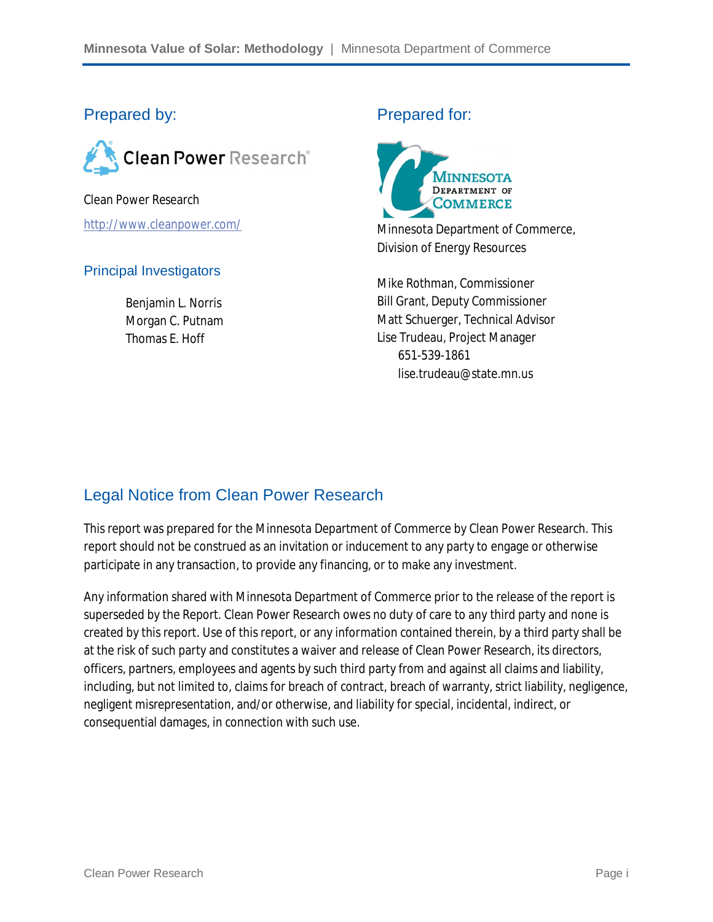#### Prepared by:



Clean Power Research http://www.cleanpower.com/

#### Principal Investigators

Benjamin L. Norris Morgan C. Putnam Thomas E. Hoff

#### Prepared for:



Minnesota Department of Commerce, Division of Energy Resources

Mike Rothman, Commissioner Bill Grant, Deputy Commissioner Matt Schuerger, Technical Advisor Lise Trudeau, Project Manager 651-539-1861 lise.trudeau@state.mn.us

### Legal Notice from Clean Power Research

This report was prepared for the Minnesota Department of Commerce by Clean Power Research. This report should not be construed as an invitation or inducement to any party to engage or otherwise participate in any transaction, to provide any financing, or to make any investment.

Any information shared with Minnesota Department of Commerce prior to the release of the report is superseded by the Report. Clean Power Research owes no duty of care to any third party and none is created by this report. Use of this report, or any information contained therein, by a third party shall be at the risk of such party and constitutes a waiver and release of Clean Power Research, its directors, officers, partners, employees and agents by such third party from and against all claims and liability, including, but not limited to, claims for breach of contract, breach of warranty, strict liability, negligence, negligent misrepresentation, and/or otherwise, and liability for special, incidental, indirect, or consequential damages, in connection with such use.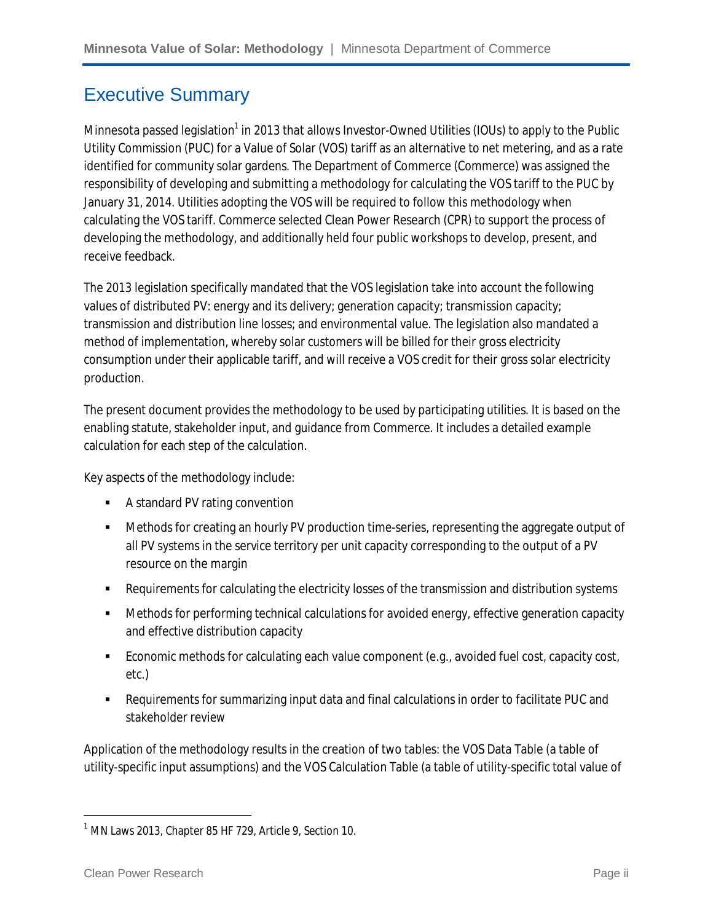### Executive Summary

Minnesota passed legislation<sup>1</sup> in 2013 that allows Investor-Owned Utilities (IOUs) to apply to the Public Utility Commission (PUC) for a Value of Solar (VOS) tariff as an alternative to net metering, and as a rate identified for community solar gardens. The Department of Commerce (Commerce) was assigned the responsibility of developing and submitting a methodology for calculating the VOS tariff to the PUC by January 31, 2014. Utilities adopting the VOS will be required to follow this methodology when calculating the VOS tariff. Commerce selected Clean Power Research (CPR) to support the process of developing the methodology, and additionally held four public workshops to develop, present, and receive feedback.

The 2013 legislation specifically mandated that the VOS legislation take into account the following values of distributed PV: energy and its delivery; generation capacity; transmission capacity; transmission and distribution line losses; and environmental value. The legislation also mandated a method of implementation, whereby solar customers will be billed for their gross electricity consumption under their applicable tariff, and will receive a VOS credit for their gross solar electricity production.

The present document provides the methodology to be used by participating utilities. It is based on the enabling statute, stakeholder input, and guidance from Commerce. It includes a detailed example calculation for each step of the calculation.

Key aspects of the methodology include:

- **A** standard PV rating convention
- Methods for creating an hourly PV production time-series, representing the aggregate output of all PV systems in the service territory per unit capacity corresponding to the output of a PV resource on the margin
- Requirements for calculating the electricity losses of the transmission and distribution systems
- **•** Methods for performing technical calculations for avoided energy, effective generation capacity and effective distribution capacity
- Economic methods for calculating each value component (e.g., avoided fuel cost, capacity cost, etc.)
- Requirements for summarizing input data and final calculations in order to facilitate PUC and stakeholder review

Application of the methodology results in the creation of two tables: the VOS Data Table (a table of utility-specific input assumptions) and the VOS Calculation Table (a table of utility-specific total value of

 $\overline{\phantom{a}}$ 

 $1$  MN Laws 2013, Chapter 85 HF 729, Article 9, Section 10.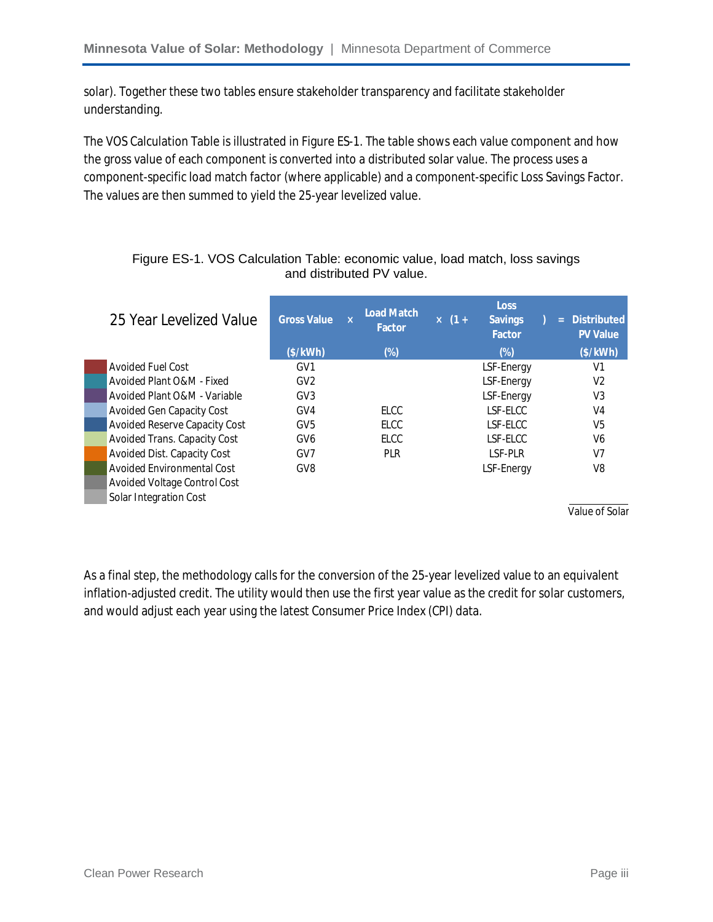solar). Together these two tables ensure stakeholder transparency and facilitate stakeholder understanding.

The VOS Calculation Table is illustrated in Figure ES-1. The table shows each value component and how the gross value of each component is converted into a distributed solar value. The process uses a component-specific load match factor (where applicable) and a component-specific Loss Savings Factor. The values are then summed to yield the 25-year levelized value.

| 25 Year Levelized Value       | <b>Gross Value</b> | $\overline{\mathbf{x}}$ | <b>Load Match</b><br>Factor | $\times$ (1+ | <b>Loss</b><br><b>Savings</b><br><b>Factor</b> | $\equiv$ | <b>Distributed</b><br><b>PV Value</b> |
|-------------------------------|--------------------|-------------------------|-----------------------------|--------------|------------------------------------------------|----------|---------------------------------------|
|                               | (\$/kWh)           |                         | $(\%)$                      |              | $(\%)$                                         |          | (\$/kWh)                              |
| Avoided Fuel Cost             | GV <sub>1</sub>    |                         |                             |              | LSF-Energy                                     |          | V1                                    |
| Avoided Plant O&M - Fixed     | GV2                |                         |                             |              | LSF-Energy                                     |          | V <sub>2</sub>                        |
| Avoided Plant O&M - Variable  | GV <sub>3</sub>    |                         |                             |              | LSF-Energy                                     |          | V <sub>3</sub>                        |
| Avoided Gen Capacity Cost     | GV4                |                         | <b>ELCC</b>                 |              | LSF-ELCC                                       |          | V4                                    |
| Avoided Reserve Capacity Cost | GV <sub>5</sub>    |                         | <b>ELCC</b>                 |              | LSF-ELCC                                       |          | V <sub>5</sub>                        |
| Avoided Trans. Capacity Cost  | GV <sub>6</sub>    |                         | <b>ELCC</b>                 |              | LSF-ELCC                                       |          | V <sub>6</sub>                        |
| Avoided Dist. Capacity Cost   | GV <sub>7</sub>    |                         | <b>PLR</b>                  |              | LSF-PLR                                        |          | V <sub>7</sub>                        |
| Avoided Environmental Cost    | GV <sub>8</sub>    |                         |                             |              | LSF-Energy                                     |          | V <sub>8</sub>                        |
| Avoided Voltage Control Cost  |                    |                         |                             |              |                                                |          |                                       |
| Solar Integration Cost        |                    |                         |                             |              |                                                |          |                                       |
|                               |                    |                         |                             |              |                                                |          | Value of Solar                        |

#### Figure ES-1. VOS Calculation Table: economic value, load match, loss savings and distributed PV value.

As a final step, the methodology calls for the conversion of the 25-year levelized value to an equivalent inflation-adjusted credit. The utility would then use the first year value as the credit for solar customers, and would adjust each year using the latest Consumer Price Index (CPI) data.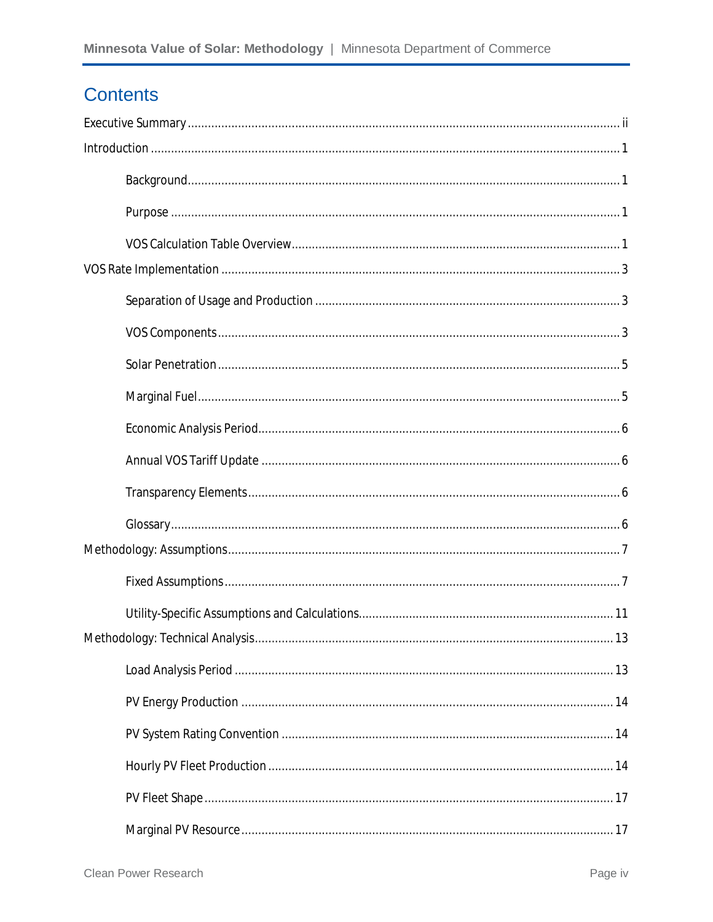### **Contents**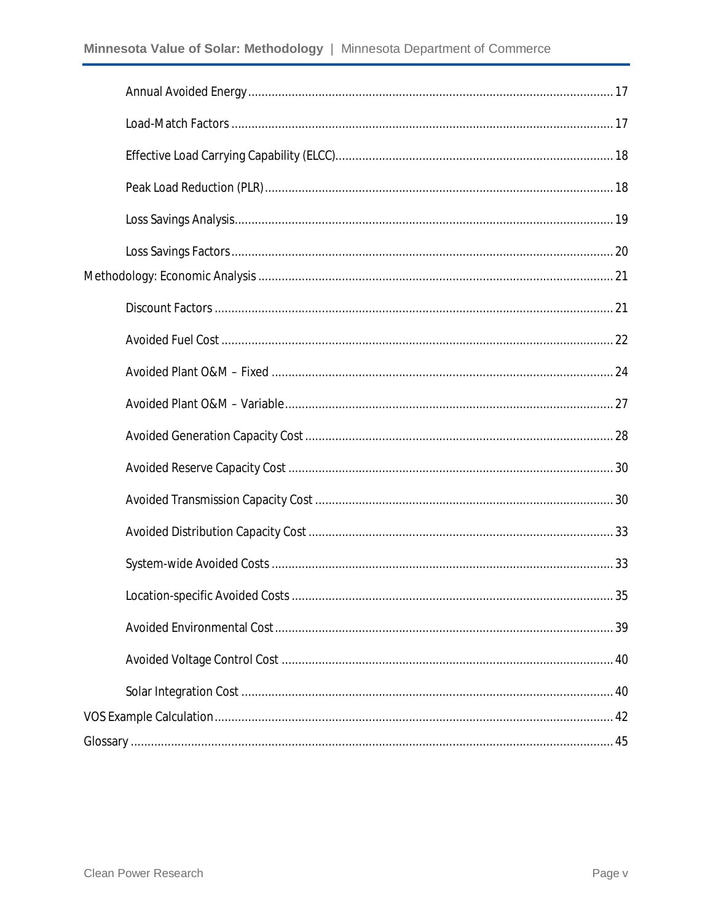| 40 |
|----|
|    |
|    |
|    |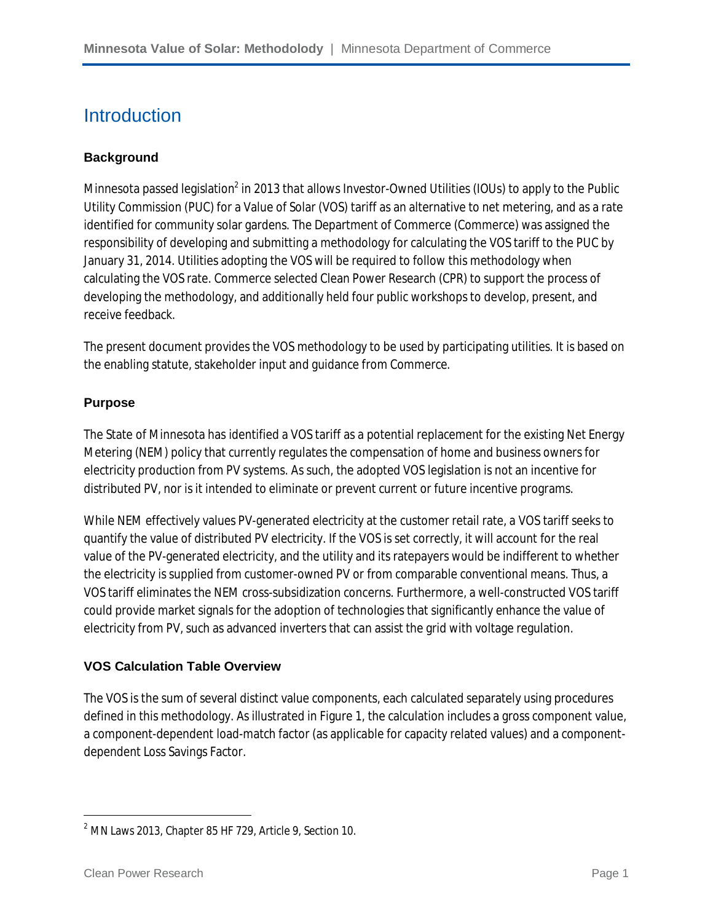### **Introduction**

#### **Background**

Minnesota passed legislation $^2$  in 2013 that allows Investor-Owned Utilities (IOUs) to apply to the Public Utility Commission (PUC) for a Value of Solar (VOS) tariff as an alternative to net metering, and as a rate identified for community solar gardens. The Department of Commerce (Commerce) was assigned the responsibility of developing and submitting a methodology for calculating the VOS tariff to the PUC by January 31, 2014. Utilities adopting the VOS will be required to follow this methodology when calculating the VOS rate. Commerce selected Clean Power Research (CPR) to support the process of developing the methodology, and additionally held four public workshops to develop, present, and receive feedback.

The present document provides the VOS methodology to be used by participating utilities. It is based on the enabling statute, stakeholder input and guidance from Commerce.

#### **Purpose**

The State of Minnesota has identified a VOS tariff as a potential replacement for the existing Net Energy Metering (NEM) policy that currently regulates the compensation of home and business owners for electricity production from PV systems. As such, the adopted VOS legislation is not an incentive for distributed PV, nor is it intended to eliminate or prevent current or future incentive programs.

While NEM effectively values PV-generated electricity at the customer retail rate, a VOS tariff seeks to quantify the value of distributed PV electricity. If the VOS is set correctly, it will account for the real value of the PV-generated electricity, and the utility and its ratepayers would be indifferent to whether the electricity is supplied from customer-owned PV or from comparable conventional means. Thus, a VOS tariff eliminates the NEM cross-subsidization concerns. Furthermore, a well-constructed VOS tariff could provide market signals for the adoption of technologies that significantly enhance the value of electricity from PV, such as advanced inverters that can assist the grid with voltage regulation.

#### **VOS Calculation Table Overview**

The VOS is the sum of several distinct value components, each calculated separately using procedures defined in this methodology. As illustrated in Figure 1, the calculation includes a gross component value, a component-dependent load-match factor (as applicable for capacity related values) and a componentdependent Loss Savings Factor.

 $\overline{\phantom{a}}$ 

<sup>2</sup> MN Laws 2013, Chapter 85 HF 729, Article 9, Section 10.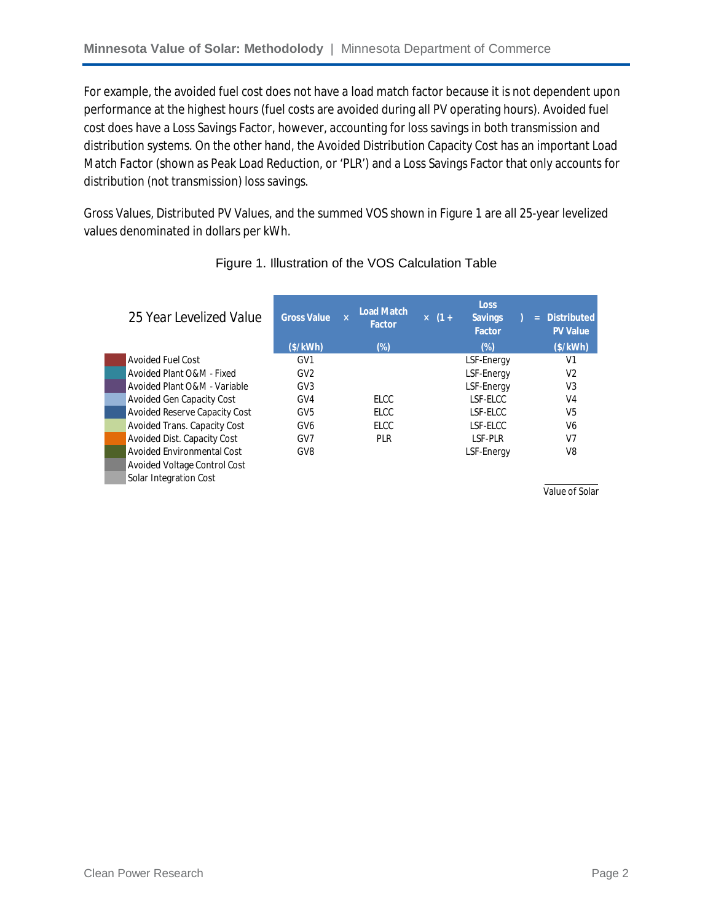For example, the avoided fuel cost does not have a load match factor because it is not dependent upon performance at the highest hours (fuel costs are avoided during all PV operating hours). Avoided fuel cost does have a Loss Savings Factor, however, accounting for loss savings in both transmission and distribution systems. On the other hand, the Avoided Distribution Capacity Cost has an important Load Match Factor (shown as Peak Load Reduction, or 'PLR') and a Loss Savings Factor that only accounts for distribution (not transmission) loss savings.

Gross Values, Distributed PV Values, and the summed VOS shown in Figure 1 are all 25-year levelized values denominated in dollars per kWh.

| 25 Year Levelized Value       | <b>Gross Value</b> | <b>Load Match</b><br>$\mathbf{x}$<br><b>Factor</b> | $\times$ (1+ | <b>Loss</b><br><b>Savings</b><br><b>Factor</b> | Ξ | <b>Distributed</b><br><b>PV Value</b> |
|-------------------------------|--------------------|----------------------------------------------------|--------------|------------------------------------------------|---|---------------------------------------|
|                               | (\$/kWh)           | (%)                                                |              | $(\%)$                                         |   | (S/KWh)                               |
| Avoided Fuel Cost             | GV <sub>1</sub>    |                                                    |              | LSF-Energy                                     |   | V1                                    |
| Avoided Plant O&M - Fixed     | GV <sub>2</sub>    |                                                    |              | LSF-Energy                                     |   | V <sub>2</sub>                        |
| Avoided Plant O&M - Variable  | GV <sub>3</sub>    |                                                    |              | LSF-Energy                                     |   | V <sub>3</sub>                        |
| Avoided Gen Capacity Cost     | GV4                | <b>ELCC</b>                                        |              | LSF-ELCC                                       |   | V <sub>4</sub>                        |
| Avoided Reserve Capacity Cost | GV <sub>5</sub>    | <b>ELCC</b>                                        |              | LSF-ELCC                                       |   | V <sub>5</sub>                        |
| Avoided Trans. Capacity Cost  | GV <sub>6</sub>    | <b>ELCC</b>                                        |              | LSF-ELCC                                       |   | V <sub>6</sub>                        |
| Avoided Dist. Capacity Cost   | GV7                | <b>PLR</b>                                         |              | LSF-PLR                                        |   | V <sub>7</sub>                        |
| Avoided Environmental Cost    | GV <sub>8</sub>    |                                                    |              | LSF-Energy                                     |   | V <sub>8</sub>                        |
| Avoided Voltage Control Cost  |                    |                                                    |              |                                                |   |                                       |
| Solar Integration Cost        |                    |                                                    |              |                                                |   |                                       |

#### Figure 1. Illustration of the VOS Calculation Table

Value of Solar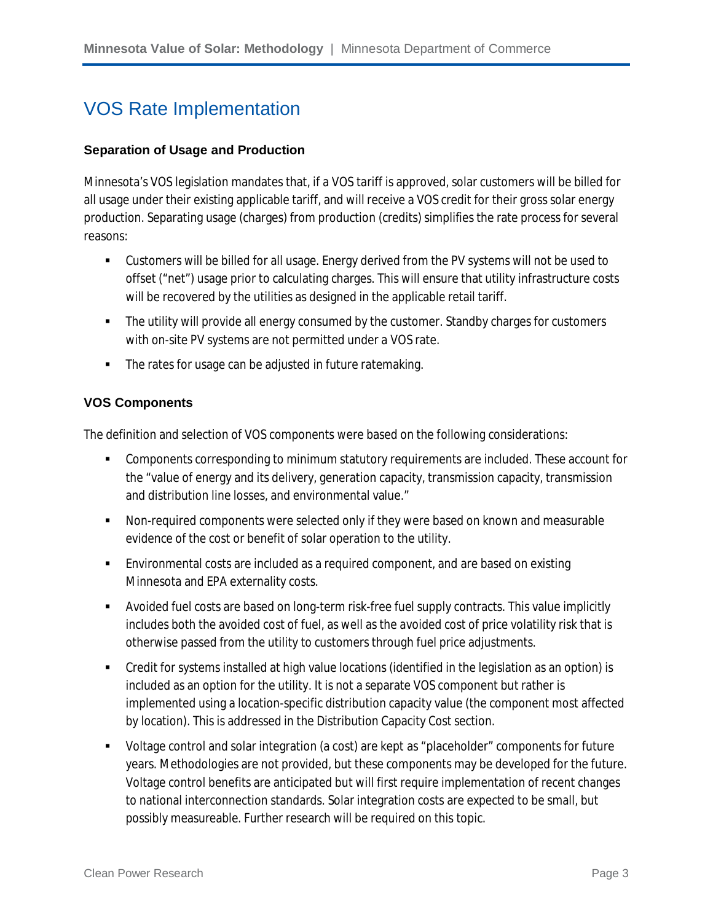### VOS Rate Implementation

#### **Separation of Usage and Production**

Minnesota's VOS legislation mandates that, if a VOS tariff is approved, solar customers will be billed for all usage under their existing applicable tariff, and will receive a VOS credit for their gross solar energy production. Separating usage (charges) from production (credits) simplifies the rate process for several reasons:

- Customers will be billed for all usage. Energy derived from the PV systems will not be used to offset ("net") usage prior to calculating charges. This will ensure that utility infrastructure costs will be recovered by the utilities as designed in the applicable retail tariff.
- The utility will provide all energy consumed by the customer. Standby charges for customers with on-site PV systems are not permitted under a VOS rate.
- **The rates for usage can be adjusted in future ratemaking.**

#### **VOS Components**

The definition and selection of VOS components were based on the following considerations:

- Components corresponding to minimum statutory requirements are included. These account for the "value of energy and its delivery, generation capacity, transmission capacity, transmission and distribution line losses, and environmental value."
- Non-required components were selected only if they were based on known and measurable evidence of the cost or benefit of solar operation to the utility.
- Environmental costs are included as a required component, and are based on existing Minnesota and EPA externality costs.
- Avoided fuel costs are based on long-term risk-free fuel supply contracts. This value implicitly includes both the avoided cost of fuel, as well as the avoided cost of price volatility risk that is otherwise passed from the utility to customers through fuel price adjustments.
- Credit for systems installed at high value locations (identified in the legislation as an option) is included as an option for the utility. It is not a separate VOS component but rather is implemented using a location-specific distribution capacity value (the component most affected by location). This is addressed in the Distribution Capacity Cost section.
- Voltage control and solar integration (a cost) are kept as "placeholder" components for future years. Methodologies are not provided, but these components may be developed for the future. Voltage control benefits are anticipated but will first require implementation of recent changes to national interconnection standards. Solar integration costs are expected to be small, but possibly measureable. Further research will be required on this topic.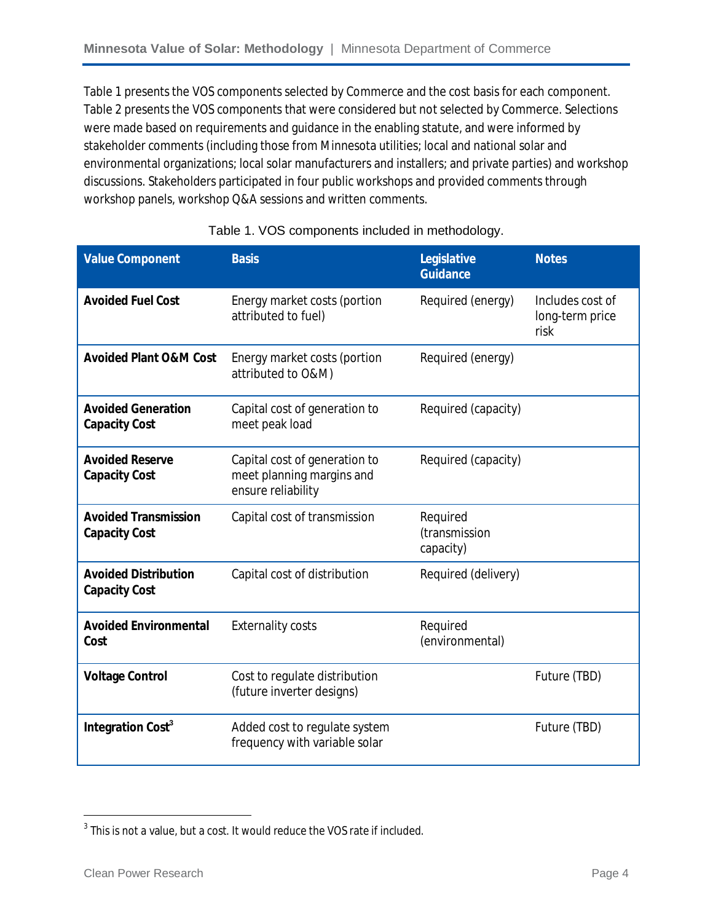Table 1 presents the VOS components selected by Commerce and the cost basis for each component. Table 2 presents the VOS components that were considered but not selected by Commerce. Selections were made based on requirements and guidance in the enabling statute, and were informed by stakeholder comments (including those from Minnesota utilities; local and national solar and environmental organizations; local solar manufacturers and installers; and private parties) and workshop discussions. Stakeholders participated in four public workshops and provided comments through workshop panels, workshop Q&A sessions and written comments.

| <b>Value Component</b>                              | <b>Basis</b>                                                                     | Legislative<br><b>Guidance</b>         | <b>Notes</b>                                |
|-----------------------------------------------------|----------------------------------------------------------------------------------|----------------------------------------|---------------------------------------------|
| <b>Avoided Fuel Cost</b>                            | Energy market costs (portion<br>attributed to fuel)                              | Required (energy)                      | Includes cost of<br>long-term price<br>risk |
| <b>Avoided Plant O&amp;M Cost</b>                   | Energy market costs (portion<br>attributed to O&M)                               | Required (energy)                      |                                             |
| <b>Avoided Generation</b><br><b>Capacity Cost</b>   | Capital cost of generation to<br>meet peak load                                  | Required (capacity)                    |                                             |
| <b>Avoided Reserve</b><br><b>Capacity Cost</b>      | Capital cost of generation to<br>meet planning margins and<br>ensure reliability | Required (capacity)                    |                                             |
| <b>Avoided Transmission</b><br><b>Capacity Cost</b> | Capital cost of transmission                                                     | Required<br>(transmission<br>capacity) |                                             |
| <b>Avoided Distribution</b><br><b>Capacity Cost</b> | Capital cost of distribution                                                     | Required (delivery)                    |                                             |
| <b>Avoided Environmental</b><br>Cost                | <b>Externality costs</b>                                                         | Required<br>(environmental)            |                                             |
| <b>Voltage Control</b>                              | Cost to regulate distribution<br>(future inverter designs)                       |                                        | Future (TBD)                                |
| Integration Cost <sup>3</sup>                       | Added cost to regulate system<br>frequency with variable solar                   |                                        | Future (TBD)                                |

#### Table 1. VOS components included in methodology.

 3 This is not a value, but a cost. It would reduce the VOS rate if included.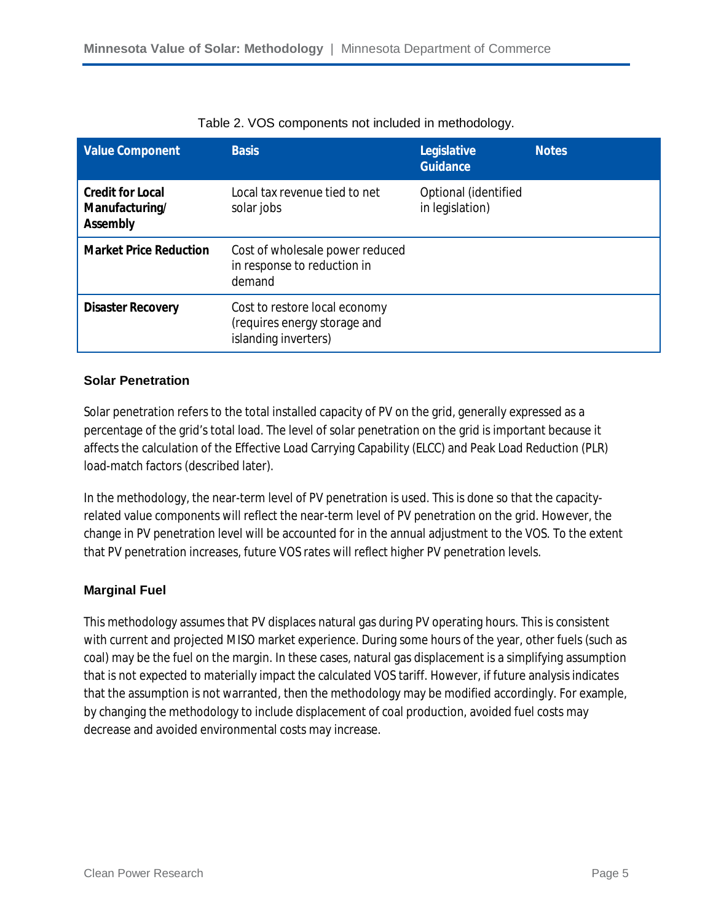| <b>Value Component</b>                                       | <b>Basis</b>                                                                          | Legislative<br><b>Guidance</b>          | <b>Notes</b> |
|--------------------------------------------------------------|---------------------------------------------------------------------------------------|-----------------------------------------|--------------|
| <b>Credit for Local</b><br>Manufacturing/<br><b>Assembly</b> | Local tax revenue tied to net<br>solar jobs                                           | Optional (identified<br>in legislation) |              |
| <b>Market Price Reduction</b>                                | Cost of wholesale power reduced<br>in response to reduction in<br>demand              |                                         |              |
| <b>Disaster Recovery</b>                                     | Cost to restore local economy<br>(requires energy storage and<br>islanding inverters) |                                         |              |

|  |  |  | Table 2. VOS components not included in methodology. |  |
|--|--|--|------------------------------------------------------|--|
|--|--|--|------------------------------------------------------|--|

#### **Solar Penetration**

Solar penetration refers to the total installed capacity of PV on the grid, generally expressed as a percentage of the grid's total load. The level of solar penetration on the grid is important because it affects the calculation of the Effective Load Carrying Capability (ELCC) and Peak Load Reduction (PLR) load-match factors (described later).

In the methodology, the near-term level of PV penetration is used. This is done so that the capacityrelated value components will reflect the near-term level of PV penetration on the grid. However, the change in PV penetration level will be accounted for in the annual adjustment to the VOS. To the extent that PV penetration increases, future VOS rates will reflect higher PV penetration levels.

#### **Marginal Fuel**

This methodology assumes that PV displaces natural gas during PV operating hours. This is consistent with current and projected MISO market experience. During some hours of the year, other fuels (such as coal) may be the fuel on the margin. In these cases, natural gas displacement is a simplifying assumption that is not expected to materially impact the calculated VOS tariff. However, if future analysis indicates that the assumption is not warranted, then the methodology may be modified accordingly. For example, by changing the methodology to include displacement of coal production, avoided fuel costs may decrease and avoided environmental costs may increase.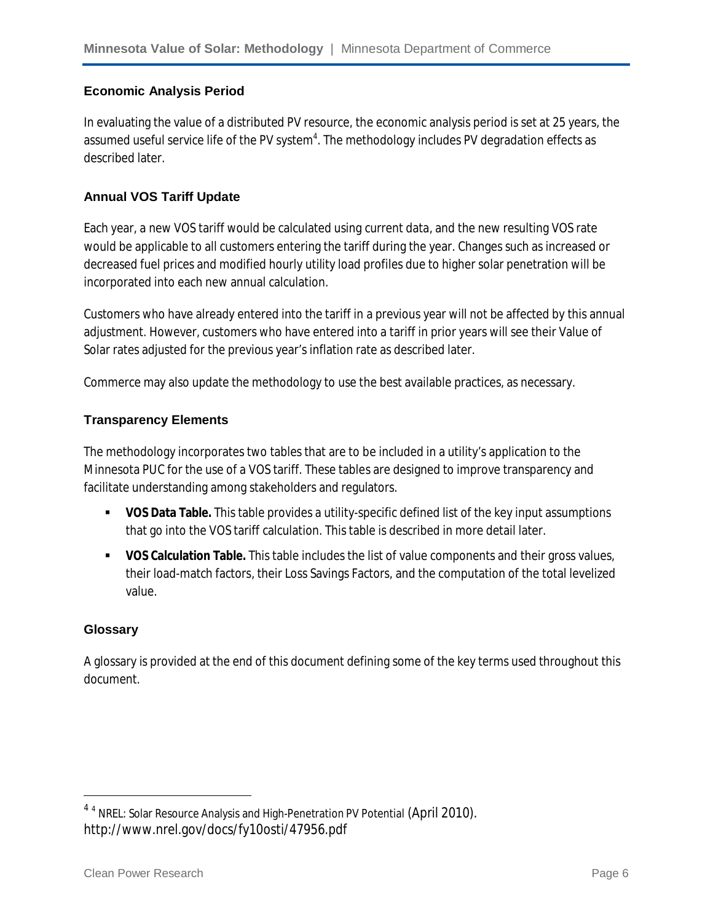#### **Economic Analysis Period**

In evaluating the value of a distributed PV resource, the economic analysis period is set at 25 years, the assumed useful service life of the PV system $^4$ . The methodology includes PV degradation effects as described later.

#### **Annual VOS Tariff Update**

Each year, a new VOS tariff would be calculated using current data, and the new resulting VOS rate would be applicable to all customers entering the tariff during the year. Changes such as increased or decreased fuel prices and modified hourly utility load profiles due to higher solar penetration will be incorporated into each new annual calculation.

Customers who have already entered into the tariff in a previous year will not be affected by this annual adjustment. However, customers who have entered into a tariff in prior years will see their Value of Solar rates adjusted for the previous year's inflation rate as described later.

Commerce may also update the methodology to use the best available practices, as necessary.

#### **Transparency Elements**

The methodology incorporates two tables that are to be included in a utility's application to the Minnesota PUC for the use of a VOS tariff. These tables are designed to improve transparency and facilitate understanding among stakeholders and regulators.

- **VOS Data Table.** This table provides a utility-specific defined list of the key input assumptions that go into the VOS tariff calculation. This table is described in more detail later.
- **VOS Calculation Table.** This table includes the list of value components and their gross values, their load-match factors, their Loss Savings Factors, and the computation of the total levelized value.

#### **Glossary**

 $\overline{a}$ 

A glossary is provided at the end of this document defining some of the key terms used throughout this document.

 $^{4}$  <sup>4</sup> NREL: Solar Resource Analysis and High-Penetration PV Potential (April 2010). http://www.nrel.gov/docs/fy10osti/47956.pdf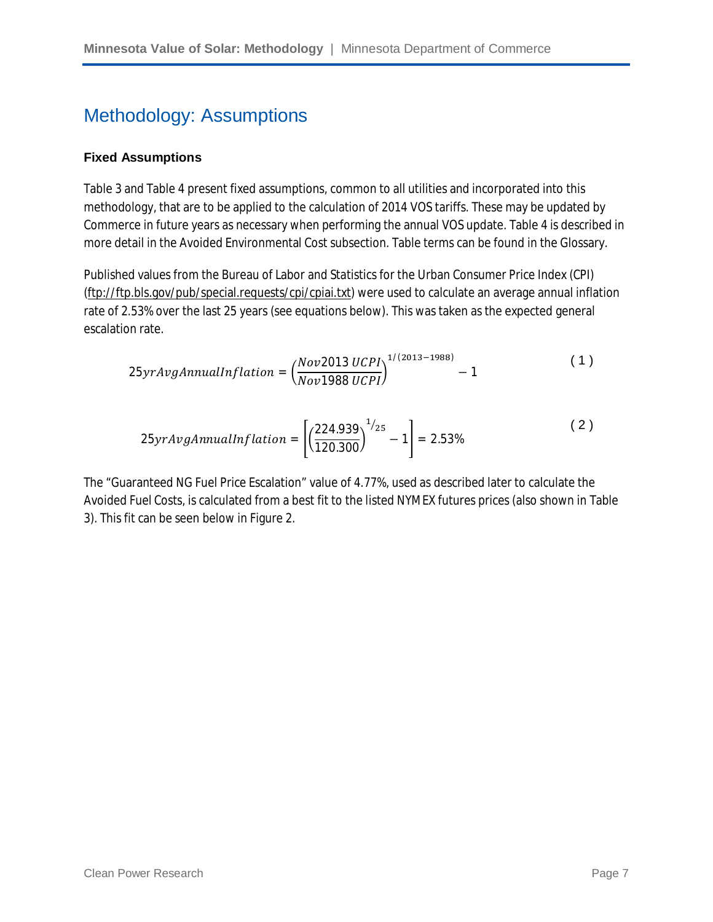### Methodology: Assumptions

#### **Fixed Assumptions**

Table 3 and Table 4 present fixed assumptions, common to all utilities and incorporated into this methodology, that are to be applied to the calculation of 2014 VOS tariffs. These may be updated by Commerce in future years as necessary when performing the annual VOS update. Table 4 is described in more detail in the Avoided Environmental Cost subsection. Table terms can be found in the Glossary.

Published values from the Bureau of Labor and Statistics for the Urban Consumer Price Index (CPI) (ftp://ftp.bls.gov/pub/special.requests/cpi/cpiai.txt) were used to calculate an average annual inflation rate of 2.53% over the last 25 years (see equations below). This was taken as the expected general escalation rate.

$$
25yrAvgAnnualInflation = \left(\frac{Nov2013 \, UCPI}{Nov1988 \, UCPI}\right)^{1/(2013-1988)} - 1\tag{1}
$$

$$
25 \text{yrAvgAnnualInflation} = \left[ \left( \frac{224.939}{120.300} \right)^{1/25} - 1 \right] = 2.53\% \tag{2}
$$

The "Guaranteed NG Fuel Price Escalation" value of 4.77%, used as described later to calculate the Avoided Fuel Costs, is calculated from a best fit to the listed NYMEX futures prices (also shown in Table 3). This fit can be seen below in Figure 2.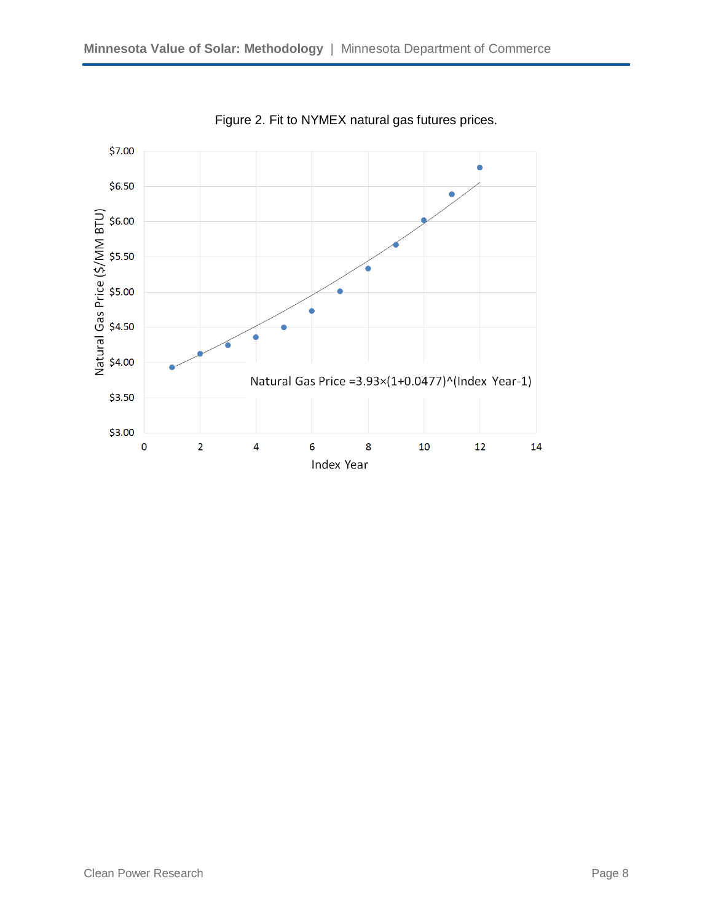

Figure 2. Fit to NYMEX natural gas futures prices.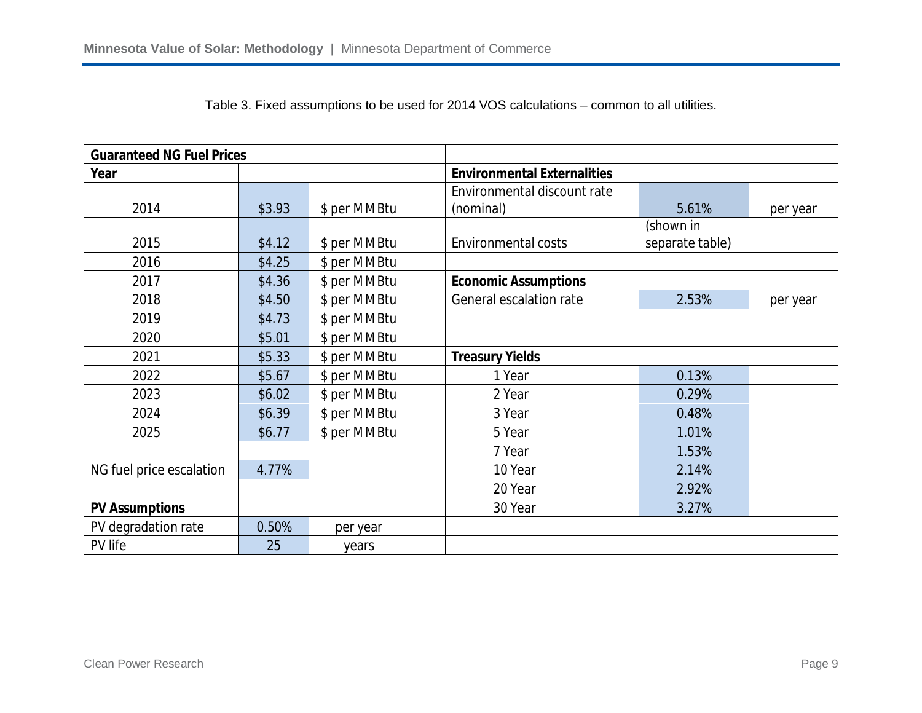| <b>Guaranteed NG Fuel Prices</b> |        |              |                                    |                 |          |
|----------------------------------|--------|--------------|------------------------------------|-----------------|----------|
| Year                             |        |              | <b>Environmental Externalities</b> |                 |          |
|                                  |        |              | Environmental discount rate        |                 |          |
| 2014                             | \$3.93 | \$ per MMBtu | (nominal)                          | 5.61%           | per year |
|                                  |        |              |                                    | (shown in       |          |
| 2015                             | \$4.12 | \$ per MMBtu | <b>Environmental costs</b>         | separate table) |          |
| 2016                             | \$4.25 | \$ per MMBtu |                                    |                 |          |
| 2017                             | \$4.36 | \$ per MMBtu | <b>Economic Assumptions</b>        |                 |          |
| 2018                             | \$4.50 | \$ per MMBtu | General escalation rate            | 2.53%           | per year |
| 2019                             | \$4.73 | \$ per MMBtu |                                    |                 |          |
| 2020                             | \$5.01 | \$ per MMBtu |                                    |                 |          |
| 2021                             | \$5.33 | \$ per MMBtu | <b>Treasury Yields</b>             |                 |          |
| 2022                             | \$5.67 | \$ per MMBtu | 1 Year                             | 0.13%           |          |
| 2023                             | \$6.02 | \$ per MMBtu | 2 Year                             | 0.29%           |          |
| 2024                             | \$6.39 | \$ per MMBtu | 3 Year                             | 0.48%           |          |
| 2025                             | \$6.77 | \$ per MMBtu | 5 Year                             | 1.01%           |          |
|                                  |        |              | 7 Year                             | 1.53%           |          |
| NG fuel price escalation         | 4.77%  |              | 10 Year                            | 2.14%           |          |
|                                  |        |              | 20 Year                            | 2.92%           |          |
| <b>PV Assumptions</b>            |        |              | 30 Year                            | 3.27%           |          |
| PV degradation rate              | 0.50%  | per year     |                                    |                 |          |
| PV life                          | 25     | years        |                                    |                 |          |

Table 3. Fixed assumptions to be used for 2014 VOS calculations – common to all utilities.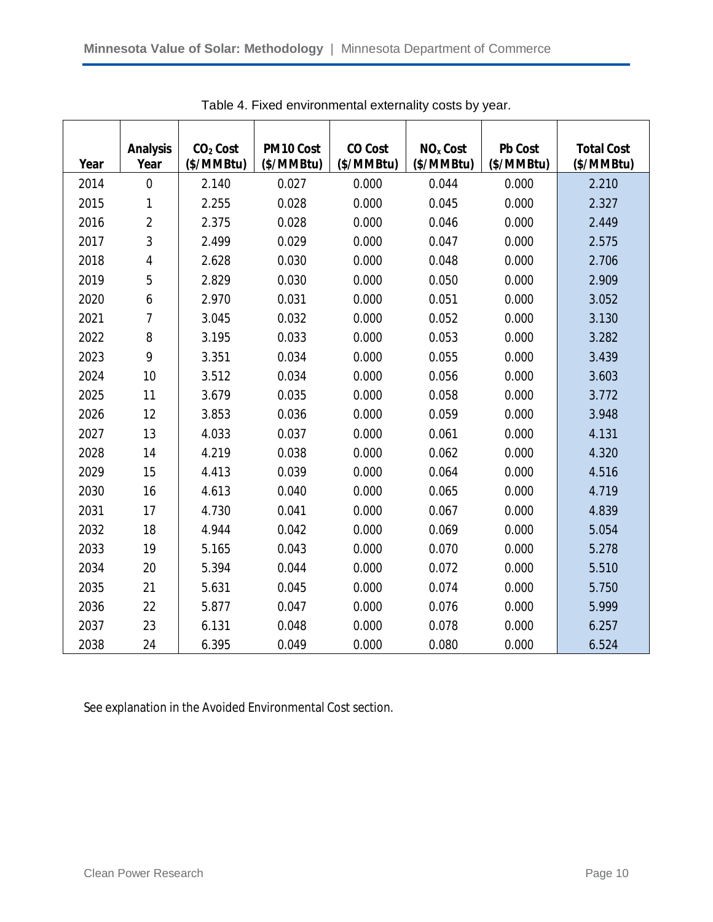| Year | <b>Analysis</b><br>Year | $CO2$ Cost<br>(\$/MMBtu) | PM10 Cost<br>(\$/MMBtu) | <b>CO Cost</b><br>(\$/MMBtu) | NO <sub>x</sub> Cost<br>(\$/MMBtu) | <b>Pb Cost</b><br>(\$/MMBtu) | <b>Total Cost</b><br>(\$/MMBtu) |
|------|-------------------------|--------------------------|-------------------------|------------------------------|------------------------------------|------------------------------|---------------------------------|
| 2014 | $\mathbf 0$             | 2.140                    | 0.027                   | 0.000                        | 0.044                              | 0.000                        | 2.210                           |
| 2015 | 1                       | 2.255                    | 0.028                   | 0.000                        | 0.045                              | 0.000                        | 2.327                           |
| 2016 | $\overline{2}$          | 2.375                    | 0.028                   | 0.000                        | 0.046                              | 0.000                        | 2.449                           |
| 2017 | 3                       | 2.499                    | 0.029                   | 0.000                        | 0.047                              | 0.000                        | 2.575                           |
| 2018 | $\overline{\mathbf{4}}$ | 2.628                    | 0.030                   | 0.000                        | 0.048                              | 0.000                        | 2.706                           |
| 2019 | 5                       | 2.829                    | 0.030                   | 0.000                        | 0.050                              | 0.000                        | 2.909                           |
| 2020 | 6                       | 2.970                    | 0.031                   | 0.000                        | 0.051                              | 0.000                        | 3.052                           |
| 2021 | $\overline{7}$          | 3.045                    | 0.032                   | 0.000                        | 0.052                              | 0.000                        | 3.130                           |
| 2022 | 8                       | 3.195                    | 0.033                   | 0.000                        | 0.053                              | 0.000                        | 3.282                           |
| 2023 | 9                       | 3.351                    | 0.034                   | 0.000                        | 0.055                              | 0.000                        | 3.439                           |
| 2024 | 10                      | 3.512                    | 0.034                   | 0.000                        | 0.056                              | 0.000                        | 3.603                           |
| 2025 | 11                      | 3.679                    | 0.035                   | 0.000                        | 0.058                              | 0.000                        | 3.772                           |
| 2026 | 12                      | 3.853                    | 0.036                   | 0.000                        | 0.059                              | 0.000                        | 3.948                           |
| 2027 | 13                      | 4.033                    | 0.037                   | 0.000                        | 0.061                              | 0.000                        | 4.131                           |
| 2028 | 14                      | 4.219                    | 0.038                   | 0.000                        | 0.062                              | 0.000                        | 4.320                           |
| 2029 | 15                      | 4.413                    | 0.039                   | 0.000                        | 0.064                              | 0.000                        | 4.516                           |
| 2030 | 16                      | 4.613                    | 0.040                   | 0.000                        | 0.065                              | 0.000                        | 4.719                           |
| 2031 | 17                      | 4.730                    | 0.041                   | 0.000                        | 0.067                              | 0.000                        | 4.839                           |
| 2032 | 18                      | 4.944                    | 0.042                   | 0.000                        | 0.069                              | 0.000                        | 5.054                           |
| 2033 | 19                      | 5.165                    | 0.043                   | 0.000                        | 0.070                              | 0.000                        | 5.278                           |
| 2034 | 20                      | 5.394                    | 0.044                   | 0.000                        | 0.072                              | 0.000                        | 5.510                           |
| 2035 | 21                      | 5.631                    | 0.045                   | 0.000                        | 0.074                              | 0.000                        | 5.750                           |
| 2036 | 22                      | 5.877                    | 0.047                   | 0.000                        | 0.076                              | 0.000                        | 5.999                           |
| 2037 | 23                      | 6.131                    | 0.048                   | 0.000                        | 0.078                              | 0.000                        | 6.257                           |
| 2038 | 24                      | 6.395                    | 0.049                   | 0.000                        | 0.080                              | 0.000                        | 6.524                           |

Table 4. Fixed environmental externality costs by year.

See explanation in the Avoided Environmental Cost section.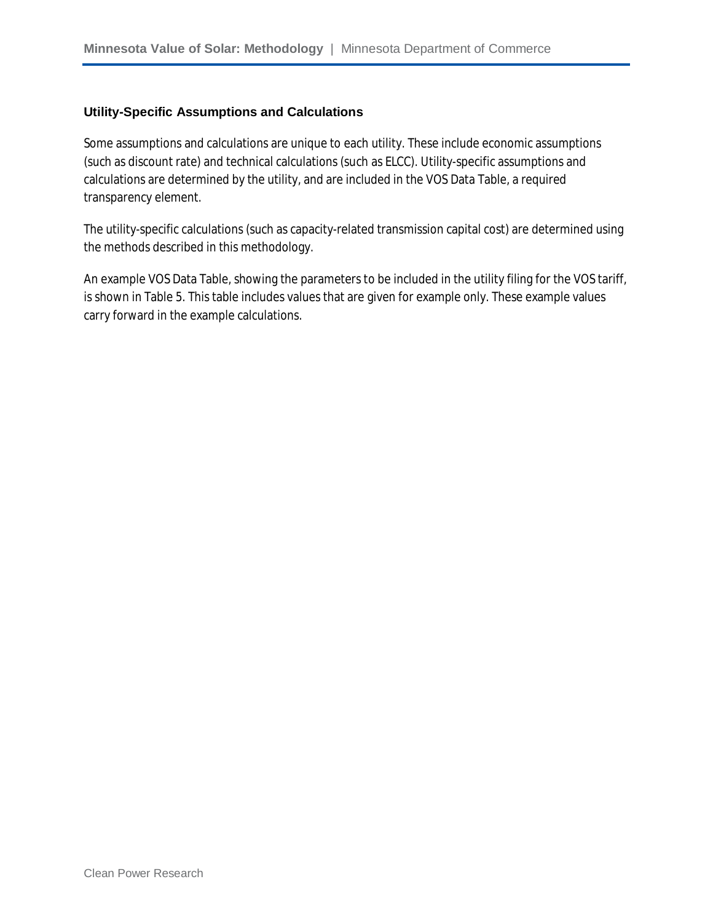#### **Utility-Specific Assumptions and Calculations**

Some assumptions and calculations are unique to each utility. These include economic assumptions (such as discount rate) and technical calculations (such as ELCC). Utility-specific assumptions and calculations are determined by the utility, and are included in the VOS Data Table, a required transparency element.

The utility-specific calculations (such as capacity-related transmission capital cost) are determined using the methods described in this methodology.

An example VOS Data Table, showing the parameters to be included in the utility filing for the VOS tariff, is shown in Table 5. This table includes values that are given for example only. These example values carry forward in the example calculations.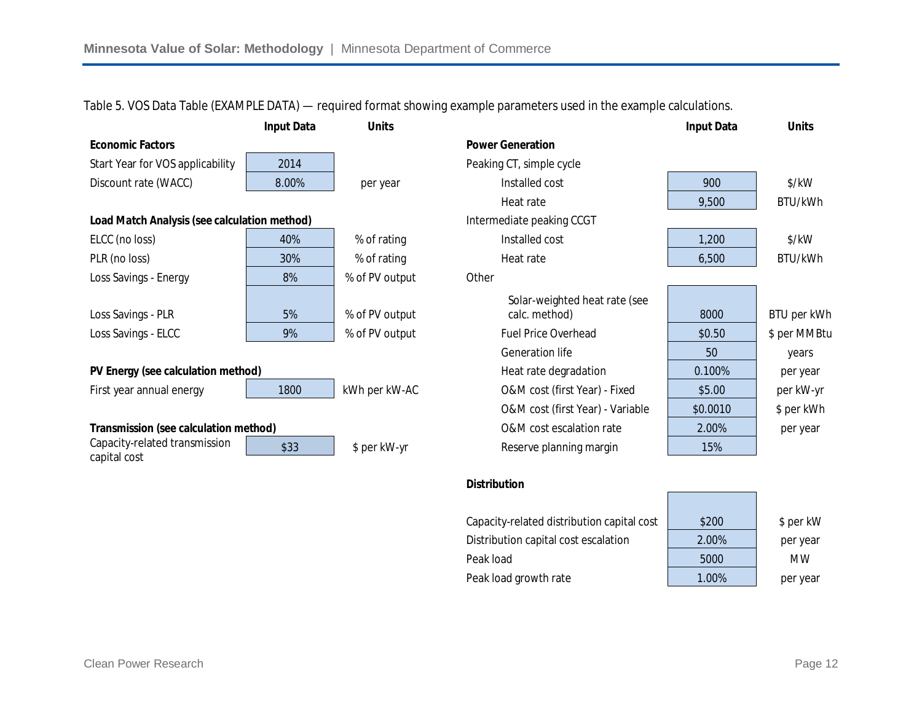**Input Data Units Input Data Units Economic Factors Power Generation** Start Year for VOS applicability 2014 and the CH Peaking CT, simple cycle Discount rate (WACC) 8.00% per year Installed cost 900 \$/kW Heat rate **1** 9.500 BTU/kWh **Load Match Analysis (see calculation method) Intermediate peaking CCGT** ELCC (no loss) | 40% | % of rating Installed cost | 1,200 | \$/kW PLR (no loss) | 30% | % of rating Heat rate BTU/kWh Loss Savings - Energy The Read Construction Savings - Energy The Read Construction Savings - Construction Savi Loss Savings - PLR 5% % of PV output Solar-weighted heat rate (see calc. method) 8000 BTU per kWh Loss Savings - ELCC Promoted and Security 9% (9% of PV output Fuel Price Overhead Fuel Price Overhead Specific Sper MMBtu Generation life 10 years **PV Energy (see calculation method) PV Energy (see calculation method) Heat rate degradation per year** First year annual energy 1800 kWh per kW-AC O&M cost (first Year) - Fixed \$5.00 per kW-yr O&M cost (first Year) - Variable  $\begin{array}{|c|c|} \hline \text{$$0.0010$} & \text{$$per kWh} \end{array}$ **Transmission (see calculation method)** C&M cost escalation rate 2.00% per year Capacity-related transmission capital cost \$33 \$138 \$ per kW-yr Reserve planning margin 15%

Table 5. VOS Data Table (EXAMPLE DATA) — required format showing example parameters used in the example calculations.

#### **Distribution**

| Capacity-related distribution capital cost | \$200 | \$ per kW |
|--------------------------------------------|-------|-----------|
| Distribution capital cost escalation       | 2.00% | per year  |
| Peak load                                  | 5000  | <b>MW</b> |
| Peak load growth rate                      | 1.00% | per year  |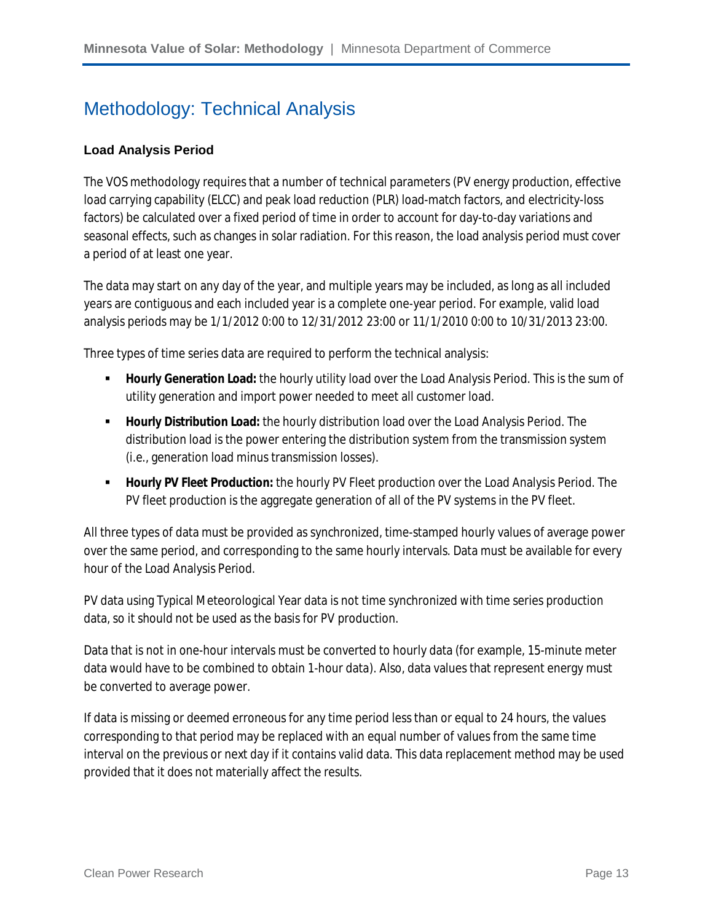### Methodology: Technical Analysis

#### **Load Analysis Period**

The VOS methodology requires that a number of technical parameters (PV energy production, effective load carrying capability (ELCC) and peak load reduction (PLR) load-match factors, and electricity-loss factors) be calculated over a fixed period of time in order to account for day-to-day variations and seasonal effects, such as changes in solar radiation. For this reason, the load analysis period must cover a period of at least one year.

The data may start on any day of the year, and multiple years may be included, as long as all included years are contiguous and each included year is a complete one-year period. For example, valid load analysis periods may be 1/1/2012 0:00 to 12/31/2012 23:00 or 11/1/2010 0:00 to 10/31/2013 23:00.

Three types of time series data are required to perform the technical analysis:

- **Hourly Generation Load:** the hourly utility load over the Load Analysis Period. This is the sum of utility generation and import power needed to meet all customer load.
- **Hourly Distribution Load:** the hourly distribution load over the Load Analysis Period. The distribution load is the power entering the distribution system from the transmission system (i.e., generation load minus transmission losses).
- **Hourly PV Fleet Production:** the hourly PV Fleet production over the Load Analysis Period. The PV fleet production is the aggregate generation of all of the PV systems in the PV fleet.

All three types of data must be provided as synchronized, time-stamped hourly values of average power over the same period, and corresponding to the same hourly intervals. Data must be available for every hour of the Load Analysis Period.

PV data using Typical Meteorological Year data is not time synchronized with time series production data, so it should not be used as the basis for PV production.

Data that is not in one-hour intervals must be converted to hourly data (for example, 15-minute meter data would have to be combined to obtain 1-hour data). Also, data values that represent energy must be converted to average power.

If data is missing or deemed erroneous for any time period less than or equal to 24 hours, the values corresponding to that period may be replaced with an equal number of values from the same time interval on the previous or next day if it contains valid data. This data replacement method may be used provided that it does not materially affect the results.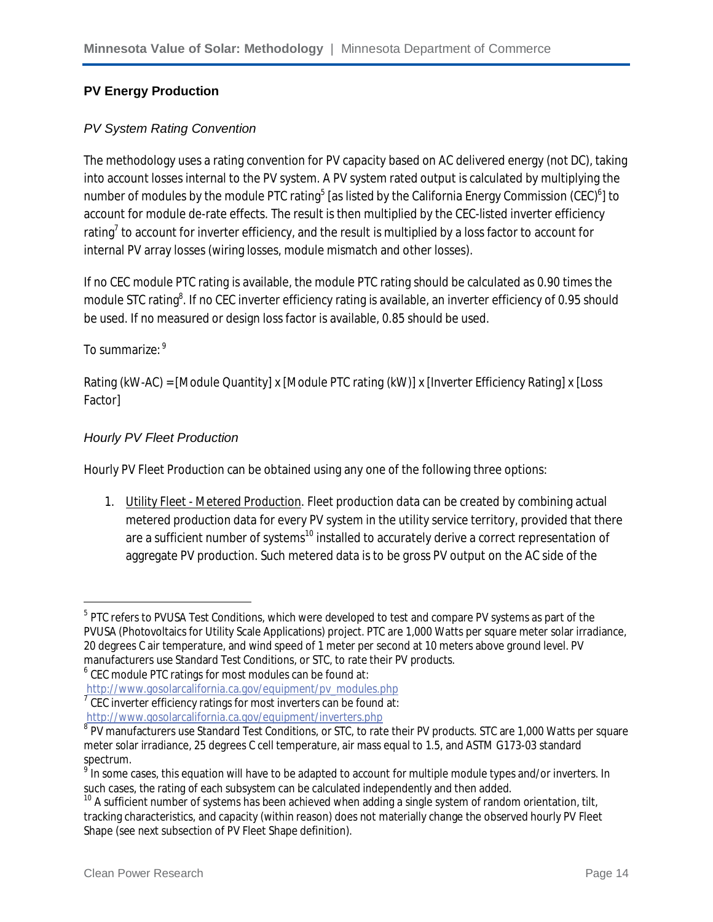#### **PV Energy Production**

#### *PV System Rating Convention*

The methodology uses a rating convention for PV capacity based on AC delivered energy (not DC), taking into account losses internal to the PV system. A PV system rated output is calculated by multiplying the number of modules by the module PTC rating<sup>5</sup> [as listed by the California Energy Commission (CEC)<sup>6</sup>] to account for module de-rate effects. The result is then multiplied by the CEC-listed inverter efficiency rating ${}^{7}$  to account for inverter efficiency, and the result is multiplied by a loss factor to account for internal PV array losses (wiring losses, module mismatch and other losses).

If no CEC module PTC rating is available, the module PTC rating should be calculated as 0.90 times the module STC rating<sup>8</sup>. If no CEC inverter efficiency rating is available, an inverter efficiency of 0.95 should be used. If no measured or design loss factor is available, 0.85 should be used.

#### To summarize: 9

 $\overline{\phantom{a}}$ 

Rating (kW-AC) = [Module Quantity] x [Module PTC rating (kW)] x [Inverter Efficiency Rating] x [Loss Factor]

#### *Hourly PV Fleet Production*

Hourly PV Fleet Production can be obtained using any one of the following three options:

1. Utility Fleet - Metered Production. Fleet production data can be created by combining actual metered production data for every PV system in the utility service territory, provided that there are a sufficient number of systems<sup>10</sup> installed to accurately derive a correct representation of aggregate PV production. Such metered data is to be gross PV output on the AC side of the

 $^5$  PTC refers to PVUSA Test Conditions, which were developed to test and compare PV systems as part of the PVUSA (Photovoltaics for Utility Scale Applications) project. PTC are 1,000 Watts per square meter solar irradiance, 20 degrees C air temperature, and wind speed of 1 meter per second at 10 meters above ground level. PV manufacturers use Standard Test Conditions, or STC, to rate their PV products.

 $^6$  CEC module PTC ratings for most modules can be found at:

http://www.gosolarcalifornia.ca.gov/equipment/pv\_modules.php

 $7$  CEC inverter efficiency ratings for most inverters can be found at:

http://www.gosolarcalifornia.ca.gov/equipment/inverters.php

 $^8$  PV manufacturers use Standard Test Conditions, or STC, to rate their PV products. STC are 1,000 Watts per square meter solar irradiance, 25 degrees C cell temperature, air mass equal to 1.5, and ASTM G173-03 standard spectrum.

 $^9$  In some cases, this equation will have to be adapted to account for multiple module types and/or inverters. In such cases, the rating of each subsystem can be calculated independently and then added.

<sup>&</sup>lt;sup>10</sup> A sufficient number of systems has been achieved when adding a single system of random orientation, tilt, tracking characteristics, and capacity (within reason) does not materially change the observed hourly PV Fleet Shape (see next subsection of PV Fleet Shape definition).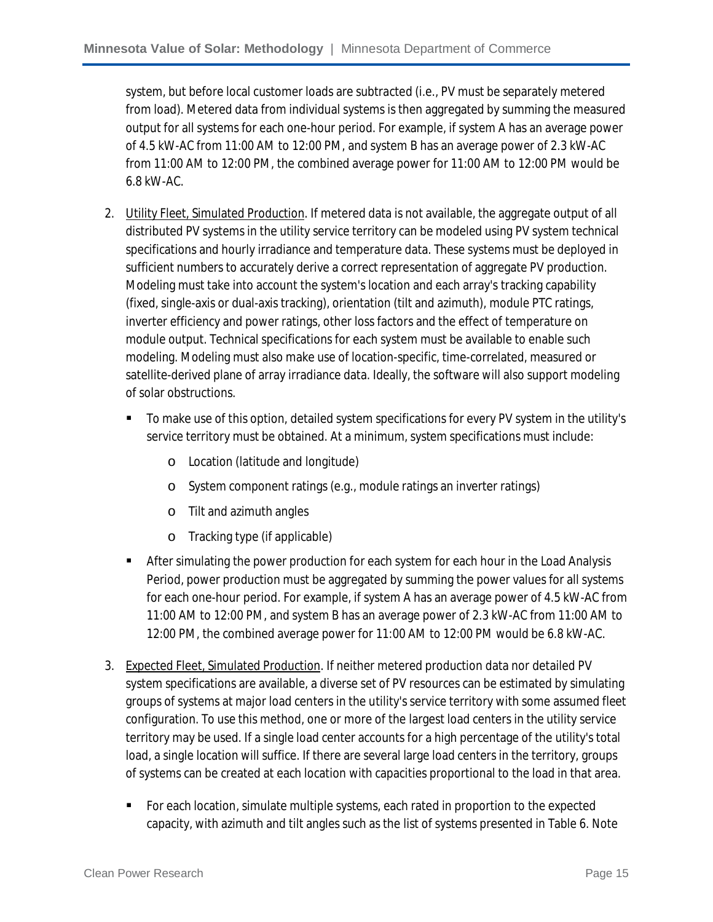system, but before local customer loads are subtracted (i.e., PV must be separately metered from load). Metered data from individual systems is then aggregated by summing the measured output for all systems for each one-hour period. For example, if system A has an average power of 4.5 kW-AC from 11:00 AM to 12:00 PM, and system B has an average power of 2.3 kW-AC from 11:00 AM to 12:00 PM, the combined average power for 11:00 AM to 12:00 PM would be 6.8 kW-AC.

- 2. Utility Fleet, Simulated Production. If metered data is not available, the aggregate output of all distributed PV systems in the utility service territory can be modeled using PV system technical specifications and hourly irradiance and temperature data. These systems must be deployed in sufficient numbers to accurately derive a correct representation of aggregate PV production. Modeling must take into account the system's location and each array's tracking capability (fixed, single-axis or dual-axis tracking), orientation (tilt and azimuth), module PTC ratings, inverter efficiency and power ratings, other loss factors and the effect of temperature on module output. Technical specifications for each system must be available to enable such modeling. Modeling must also make use of location-specific, time-correlated, measured or satellite-derived plane of array irradiance data. Ideally, the software will also support modeling of solar obstructions.
	- To make use of this option, detailed system specifications for every PV system in the utility's service territory must be obtained. At a minimum, system specifications must include:
		- o Location (latitude and longitude)
		- o System component ratings (e.g., module ratings an inverter ratings)
		- o Tilt and azimuth angles
		- o Tracking type (if applicable)
	- **After simulating the power production for each system for each hour in the Load Analysis** Period, power production must be aggregated by summing the power values for all systems for each one-hour period. For example, if system A has an average power of 4.5 kW-AC from 11:00 AM to 12:00 PM, and system B has an average power of 2.3 kW-AC from 11:00 AM to 12:00 PM, the combined average power for 11:00 AM to 12:00 PM would be 6.8 kW-AC.
- 3. Expected Fleet, Simulated Production. If neither metered production data nor detailed PV system specifications are available, a diverse set of PV resources can be estimated by simulating groups of systems at major load centers in the utility's service territory with some assumed fleet configuration. To use this method, one or more of the largest load centers in the utility service territory may be used. If a single load center accounts for a high percentage of the utility's total load, a single location will suffice. If there are several large load centers in the territory, groups of systems can be created at each location with capacities proportional to the load in that area.
	- For each location, simulate multiple systems, each rated in proportion to the expected capacity, with azimuth and tilt angles such as the list of systems presented in Table 6. Note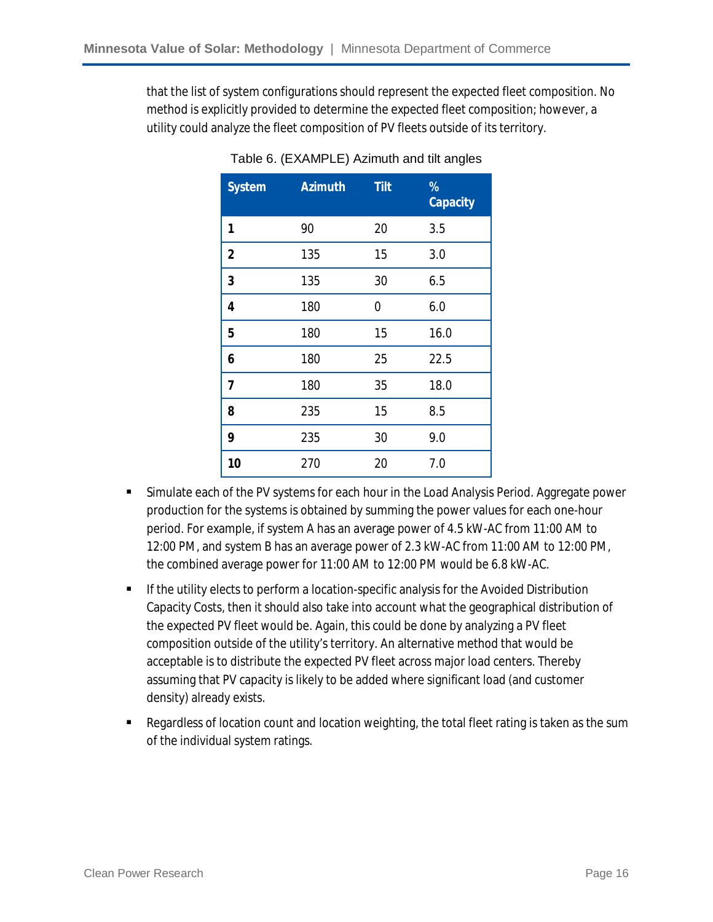that the list of system configurations should represent the expected fleet composition. No method is explicitly provided to determine the expected fleet composition; however, a utility could analyze the fleet composition of PV fleets outside of its territory.

| <b>System</b> | <b>Azimuth</b> | <b>Tilt</b> | %<br><b>Capacity</b> |
|---------------|----------------|-------------|----------------------|
| 1             | 90             | 20          | 3.5                  |
| 2             | 135            | 15          | 3.0                  |
| 3             | 135            | 30          | 6.5                  |
| 4             | 180            | 0           | 6.0                  |
| 5             | 180            | 15          | 16.0                 |
| 6             | 180            | 25          | 22.5                 |
| 7             | 180            | 35          | 18.0                 |
| 8             | 235            | 15          | 8.5                  |
| 9             | 235            | 30          | 9.0                  |
| 10            | 270            | 20          | 7.0                  |

Table 6. (EXAMPLE) Azimuth and tilt angles

- Simulate each of the PV systems for each hour in the Load Analysis Period. Aggregate power production for the systems is obtained by summing the power values for each one-hour period. For example, if system A has an average power of 4.5 kW-AC from 11:00 AM to 12:00 PM, and system B has an average power of 2.3 kW-AC from 11:00 AM to 12:00 PM, the combined average power for 11:00 AM to 12:00 PM would be 6.8 kW-AC.
- **If the utility elects to perform a location-specific analysis for the Avoided Distribution** Capacity Costs, then it should also take into account what the geographical distribution of the expected PV fleet would be. Again, this could be done by analyzing a PV fleet composition outside of the utility's territory. An alternative method that would be acceptable is to distribute the expected PV fleet across major load centers. Thereby assuming that PV capacity is likely to be added where significant load (and customer density) already exists.
- Regardless of location count and location weighting, the total fleet rating is taken as the sum of the individual system ratings.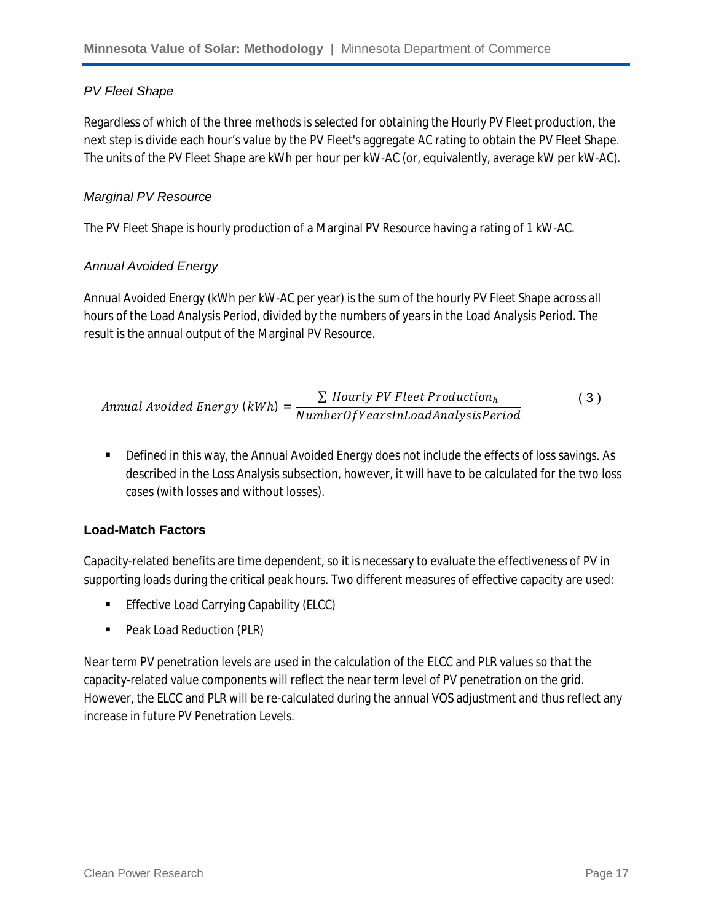#### *PV Fleet Shape*

Regardless of which of the three methods is selected for obtaining the Hourly PV Fleet production, the next step is divide each hour's value by the PV Fleet's aggregate AC rating to obtain the PV Fleet Shape. The units of the PV Fleet Shape are kWh per hour per kW-AC (or, equivalently, average kW per kW-AC).

#### *Marginal PV Resource*

The PV Fleet Shape is hourly production of a Marginal PV Resource having a rating of 1 kW-AC.

#### *Annual Avoided Energy*

Annual Avoided Energy (kWh per kW-AC per year) is the sum of the hourly PV Fleet Shape across all hours of the Load Analysis Period, divided by the numbers of years in the Load Analysis Period. The result is the annual output of the Marginal PV Resource.

$$
Annual \, Avoided \, Energy \,(kWh) = \frac{\sum \, Hourly \, PV \, Fleet \, Production_h}{NumberOf Years InLoadAnalysisPeriod}
$$
 (3)

**Defined in this way, the Annual Avoided Energy does not include the effects of loss savings. As** described in the Loss Analysis subsection, however, it will have to be calculated for the two loss cases (with losses and without losses).

#### **Load-Match Factors**

Capacity-related benefits are time dependent, so it is necessary to evaluate the effectiveness of PV in supporting loads during the critical peak hours. Two different measures of effective capacity are used:

- **Effective Load Carrying Capability (ELCC)**
- Peak Load Reduction (PLR)

Near term PV penetration levels are used in the calculation of the ELCC and PLR values so that the capacity-related value components will reflect the near term level of PV penetration on the grid. However, the ELCC and PLR will be re-calculated during the annual VOS adjustment and thus reflect any increase in future PV Penetration Levels.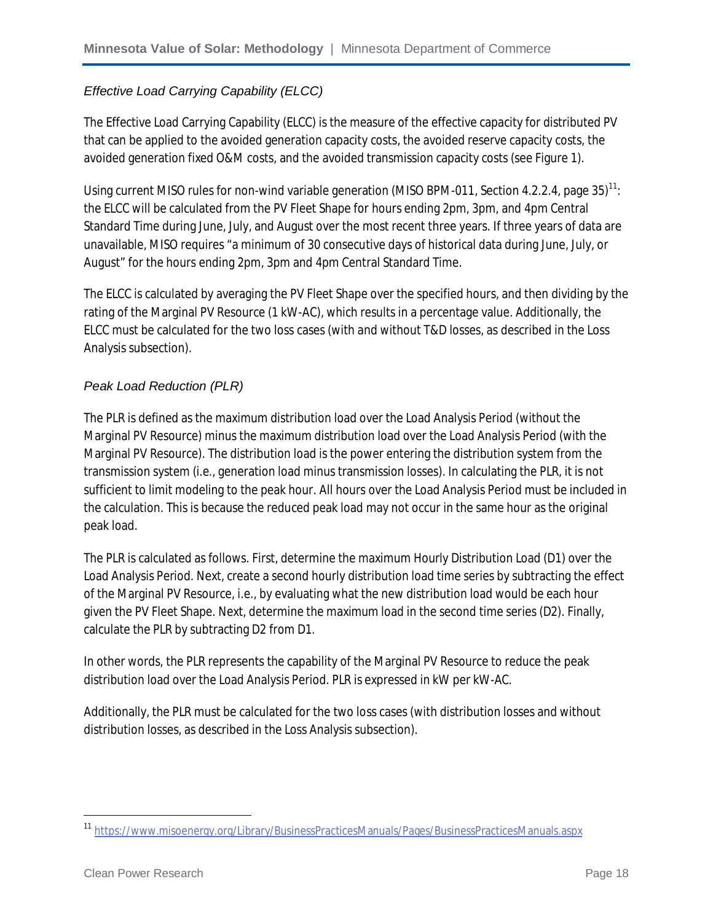#### *Effective Load Carrying Capability (ELCC)*

The Effective Load Carrying Capability (ELCC) is the measure of the effective capacity for distributed PV that can be applied to the avoided generation capacity costs, the avoided reserve capacity costs, the avoided generation fixed O&M costs, and the avoided transmission capacity costs (see Figure 1).

Using current MISO rules for non-wind variable generation (MISO BPM-011, Section 4.2.2.4, page  $35$ )<sup>11</sup>: the ELCC will be calculated from the PV Fleet Shape for hours ending 2pm, 3pm, and 4pm Central Standard Time during June, July, and August over the most recent three years. If three years of data are unavailable, MISO requires "a minimum of 30 consecutive days of historical data during June, July, or August" for the hours ending 2pm, 3pm and 4pm Central Standard Time.

The ELCC is calculated by averaging the PV Fleet Shape over the specified hours, and then dividing by the rating of the Marginal PV Resource (1 kW-AC), which results in a percentage value. Additionally, the ELCC must be calculated for the two loss cases (with and without T&D losses, as described in the Loss Analysis subsection).

#### *Peak Load Reduction (PLR)*

The PLR is defined as the maximum distribution load over the Load Analysis Period (without the Marginal PV Resource) minus the maximum distribution load over the Load Analysis Period (with the Marginal PV Resource). The distribution load is the power entering the distribution system from the transmission system (i.e., generation load minus transmission losses). In calculating the PLR, it is not sufficient to limit modeling to the peak hour. All hours over the Load Analysis Period must be included in the calculation. This is because the reduced peak load may not occur in the same hour as the original peak load.

The PLR is calculated as follows. First, determine the maximum Hourly Distribution Load (D1) over the Load Analysis Period. Next, create a second hourly distribution load time series by subtracting the effect of the Marginal PV Resource, i.e., by evaluating what the new distribution load would be each hour given the PV Fleet Shape. Next, determine the maximum load in the second time series (D2). Finally, calculate the PLR by subtracting D2 from D1.

In other words, the PLR represents the capability of the Marginal PV Resource to reduce the peak distribution load over the Load Analysis Period. PLR is expressed in kW per kW-AC.

Additionally, the PLR must be calculated for the two loss cases (with distribution losses and without distribution losses, as described in the Loss Analysis subsection).

 $\overline{\phantom{a}}$ 

<sup>11</sup> https://www.misoenergy.org/Library/BusinessPracticesManuals/Pages/BusinessPracticesManuals.aspx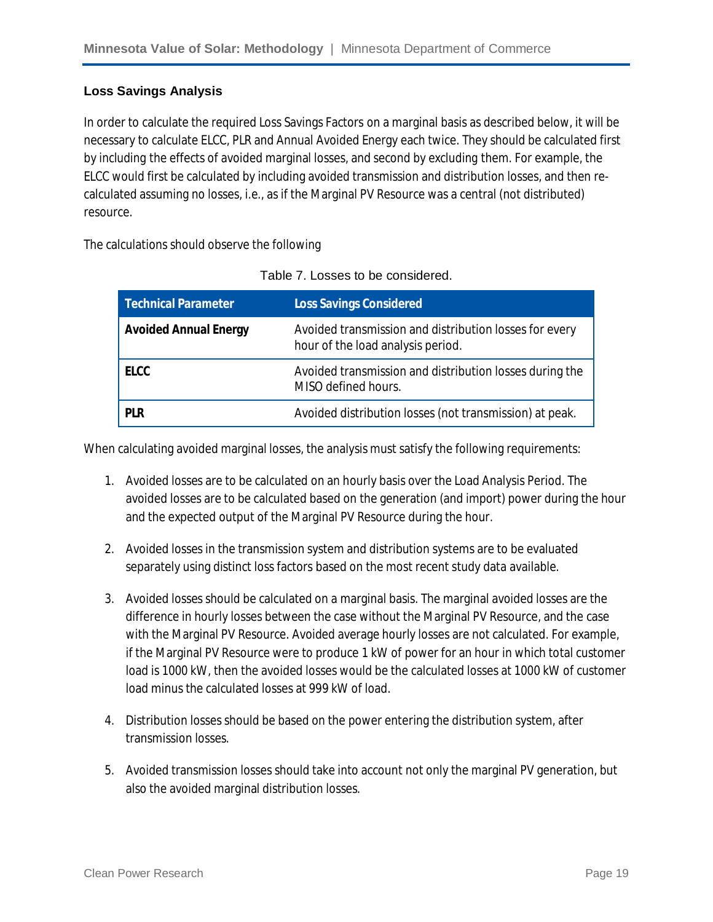#### **Loss Savings Analysis**

In order to calculate the required Loss Savings Factors on a marginal basis as described below, it will be necessary to calculate ELCC, PLR and Annual Avoided Energy each twice. They should be calculated first by *including* the effects of avoided marginal losses, and second by *excluding* them. For example, the ELCC would first be calculated by including avoided transmission and distribution losses, and then recalculated assuming no losses, i.e., as if the Marginal PV Resource was a central (not distributed) resource.

The calculations should observe the following

| <b>Technical Parameter</b>   | <b>Loss Savings Considered</b>                                                              |
|------------------------------|---------------------------------------------------------------------------------------------|
| <b>Avoided Annual Energy</b> | Avoided transmission and distribution losses for every<br>hour of the load analysis period. |
| <b>ELCC</b>                  | Avoided transmission and distribution losses during the<br>MISO defined hours.              |
| <b>PLR</b>                   | Avoided distribution losses (not transmission) at peak.                                     |

When calculating avoided marginal losses, the analysis must satisfy the following requirements:

- 1. Avoided losses are to be calculated on an hourly basis over the Load Analysis Period. The avoided losses are to be calculated based on the generation (and import) power during the hour and the expected output of the Marginal PV Resource during the hour.
- 2. Avoided losses in the transmission system and distribution systems are to be evaluated separately using distinct loss factors based on the most recent study data available.
- 3. Avoided losses should be calculated on a marginal basis. The marginal avoided losses are the difference in hourly losses between the case without the Marginal PV Resource, and the case with the Marginal PV Resource. Avoided average hourly losses are not calculated. For example, if the Marginal PV Resource were to produce 1 kW of power for an hour in which total customer load is 1000 kW, then the avoided losses would be the calculated losses at 1000 kW of customer load minus the calculated losses at 999 kW of load.
- 4. Distribution losses should be based on the power entering the distribution system, after transmission losses.
- 5. Avoided transmission losses should take into account not only the marginal PV generation, but also the avoided marginal distribution losses.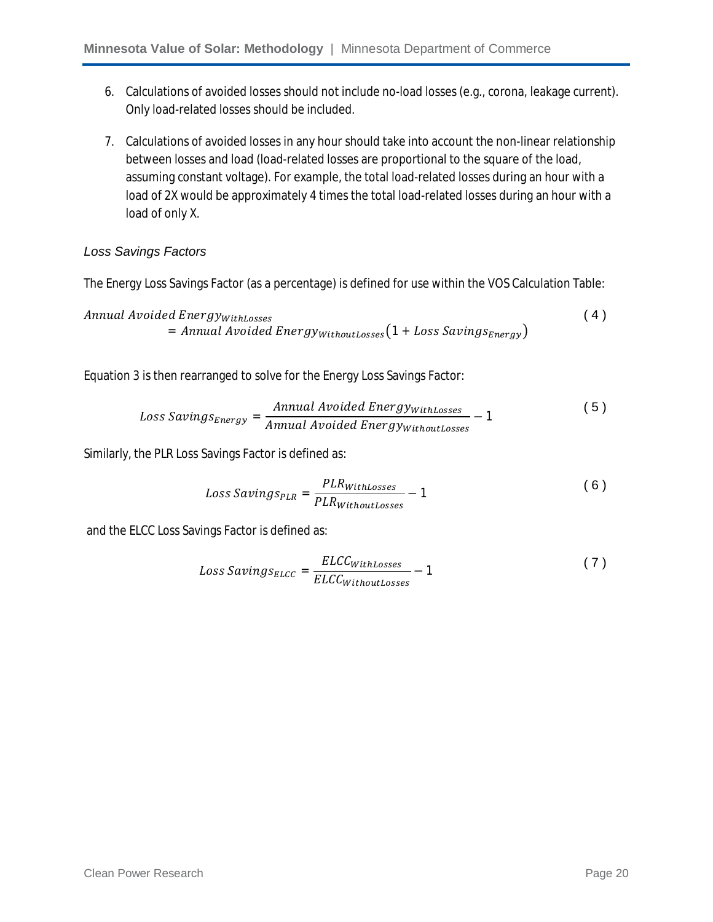- 6. Calculations of avoided losses should not include no-load losses (e.g., corona, leakage current). Only load-related losses should be included.
- 7. Calculations of avoided losses in any hour should take into account the non-linear relationship between losses and load (load-related losses are proportional to the square of the load, assuming constant voltage). For example, the total load-related losses during an hour with a load of 2X would be approximately 4 times the total load-related losses during an hour with a load of only X.

#### *Loss Savings Factors*

The Energy Loss Savings Factor (as a percentage) is defined for use within the VOS Calculation Table:

Annual Avoided EnergywithLosses  $=$  Annual Avoided Energy $w$ <sub>ithoutLosses</sub> $(1 + Loss\,SavingS_{Energy})$  $(4)$ 

Equation 3 is then rearranged to solve for the Energy Loss Savings Factor:

$$
Loss\,Savings_{Energy} = \frac{Annual\,Avoided\,Energy_{WithLosses}}{Annual\,Avoided\,Energy_{WithoutLosses}} - 1
$$
 (5)

Similarly, the PLR Loss Savings Factor is defined as:

$$
Loss\,Savings_{PLR} = \frac{PLR_{WithLosses}}{PLR_{WithoutLosses}} - 1\tag{6}
$$

and the ELCC Loss Savings Factor is defined as:

$$
Loss\,Savings_{ELCC} = \frac{ELCC_{WithLosses}}{ELCC_{WithoutLosses}} - 1\tag{7}
$$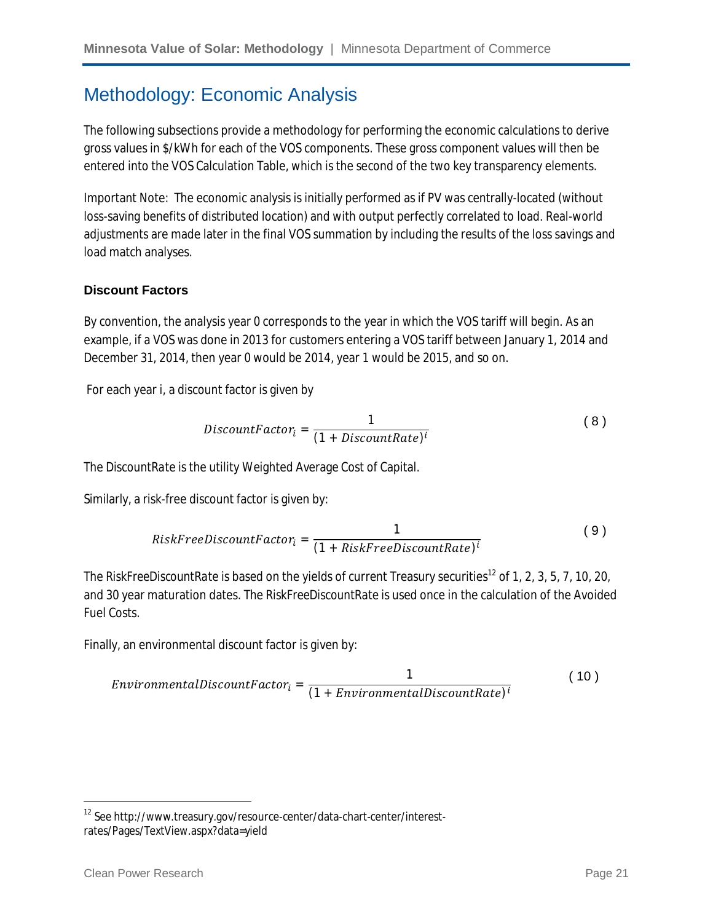### Methodology: Economic Analysis

The following subsections provide a methodology for performing the economic calculations to derive gross values in \$/kWh for each of the VOS components. These gross component values will then be entered into the VOS Calculation Table, which is the second of the two key transparency elements.

Important Note: The economic analysis is initially performed as if PV was centrally-located (without loss-saving benefits of distributed location) and with output perfectly correlated to load. Real-world adjustments are made later in the final VOS summation by including the results of the loss savings and load match analyses.

#### **Discount Factors**

By convention, the analysis year 0 corresponds to the year in which the VOS tariff will begin. As an example, if a VOS was done in 2013 for customers entering a VOS tariff between January 1, 2014 and December 31, 2014, then year 0 would be 2014, year 1 would be 2015, and so on.

For each year *i*, a discount factor is given by

$$
DiscountFactor_i = \frac{1}{(1 + DiscountRate)^i}
$$
 (8)

The *DiscountRate* is the utility Weighted Average Cost of Capital.

Similarly, a risk-free discount factor is given by:

RiskFreeDiscountFactor<sub>i</sub> = 
$$
\frac{1}{(1 + RiskFreeDiscountRate)^{i}}
$$
(9)

The *RiskFreeDiscountRate* is based on the yields of current Treasury securities<sup>12</sup> of 1, 2, 3, 5, 7, 10, 20, and 30 year maturation dates. The *RiskFreeDiscountRate* is used once in the calculation of the Avoided Fuel Costs.

Finally, an environmental discount factor is given by:

$$
Environment all biscountFactori = \frac{1}{(1 + Environmental biscountRate)i}
$$
 (10)

 $\overline{a}$ 

<sup>12</sup> See http://www.treasury.gov/resource-center/data-chart-center/interestrates/Pages/TextView.aspx?data=yield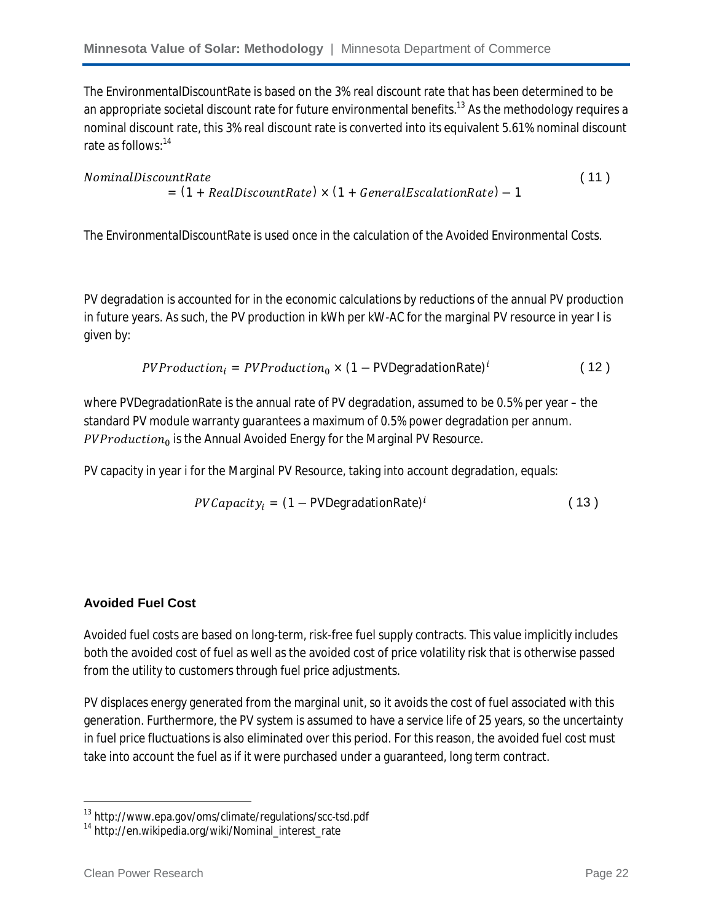The *EnvironmentalDiscountRate* is based on the 3% *real* discount rate that has been determined to be an appropriate societal discount rate for future environmental benefits.<sup>13</sup> As the methodology requires a nominal discount rate, this 3% *real* discount rate is converted into its equivalent 5.61% nominal discount rate as follows: 14

#### NominalDiscountRate  $= (1 + RealDiscountRate) \times (1 + General EscalationRate) - 1$  $(11)$

The *EnvironmentalDiscountRate* is used once in the calculation of the Avoided Environmental Costs.

PV degradation is accounted for in the economic calculations by reductions of the annual PV production in future years. As such, the PV production in kWh per kW-AC for the marginal PV resource in year I is given by:

$$
PVProduction_{i} = PVProduction_{0} \times (1 - PVDegradationRate)^{i}
$$
 (12)

where PVDegradationRate is the annual rate of PV degradation, assumed to be 0.5% per year – the standard PV module warranty guarantees a maximum of 0.5% power degradation per annum. PVProduction<sub>0</sub> is the Annual Avoided Energy for the Marginal PV Resource.

PV capacity in year *i* for the Marginal PV Resource, taking into account degradation, equals:

$$
PVCapacity_i = (1 - PVDegradationRate)^i
$$
 (13)

#### **Avoided Fuel Cost**

Avoided fuel costs are based on long-term, risk-free fuel supply contracts. This value implicitly includes both the avoided cost of fuel as well as the avoided cost of price volatility risk that is otherwise passed from the utility to customers through fuel price adjustments.

PV displaces energy generated from the marginal unit, so it avoids the cost of fuel associated with this generation. Furthermore, the PV system is assumed to have a service life of 25 years, so the uncertainty in fuel price fluctuations is also eliminated over this period. For this reason, the avoided fuel cost must take into account the fuel as if it were purchased under a guaranteed, long term contract.

 $\overline{a}$ 

<sup>&</sup>lt;sup>13</sup> http://www.epa.gov/oms/climate/regulations/scc-tsd.pdf

<sup>&</sup>lt;sup>14</sup> http://en.wikipedia.org/wiki/Nominal\_interest\_rate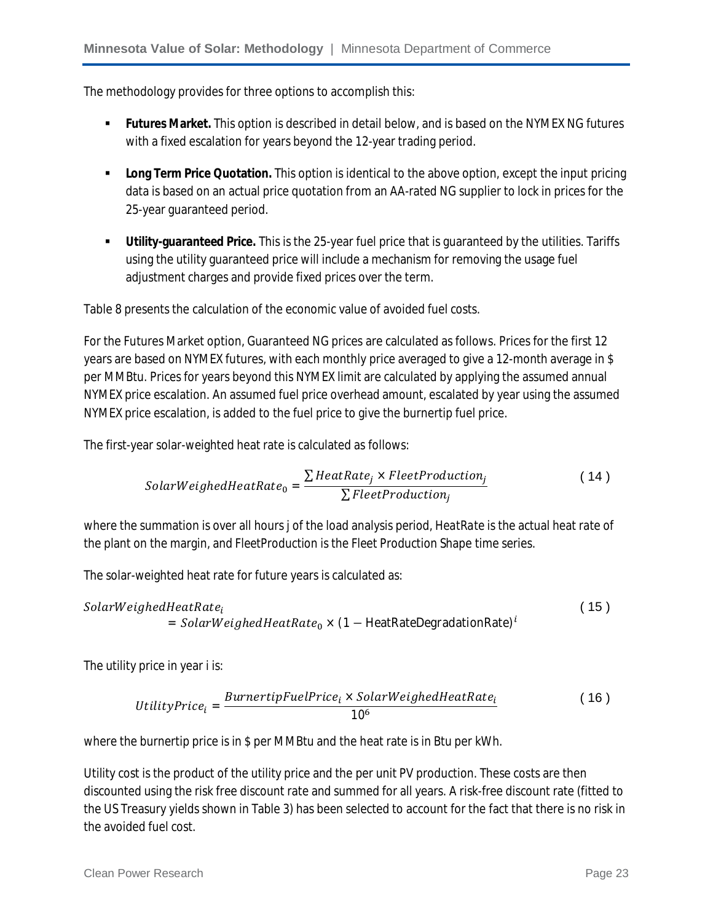The methodology provides for three options to accomplish this:

- **Futures Market.** This option is described in detail below, and is based on the NYMEX NG futures with a fixed escalation for years beyond the 12-year trading period.
- **Long Term Price Quotation.** This option is identical to the above option, except the input pricing data is based on an actual price quotation from an AA-rated NG supplier to lock in prices for the 25-year guaranteed period.
- **Utility-guaranteed Price.** This is the 25-year fuel price that is guaranteed by the utilities. Tariffs using the utility guaranteed price will include a mechanism for removing the usage fuel adjustment charges and provide fixed prices over the term.

Table 8 presents the calculation of the economic value of avoided fuel costs.

For the Futures Market option, Guaranteed NG prices are calculated as follows. Prices for the first 12 years are based on NYMEX futures, with each monthly price averaged to give a 12-month average in \$ per MMBtu. Prices for years beyond this NYMEX limit are calculated by applying the assumed annual NYMEX price escalation. An assumed fuel price overhead amount, escalated by year using the assumed NYMEX price escalation, is added to the fuel price to give the burnertip fuel price.

The first-year solar-weighted heat rate is calculated as follows:

$$
Solar Weighted HeatRate_0 = \frac{\sum HeatRate_j \times FleetProduction_j}{\sum FleetProduction_j}
$$
 (14)

where the summation is over all hours *j* of the load analysis period, *HeatRate* is the actual heat rate of the plant on the margin, and *FleetProduction* is the Fleet Production Shape time series.

The solar-weighted heat rate for future years is calculated as:

$$
Solar Weighted HeatRatei = SolarWeightedHeatRate0 × (1 - HeatRateDegradationRate)i
$$

The utility price in year *i* is:

$$
UtilityPrice_i = \frac{BurnertipFuelPrice_i \times SolarWeightedHeatRate_i}{10^6}
$$
 (16)

where the burnertip price is in \$ per MMBtu and the heat rate is in Btu per kWh.

Utility cost is the product of the utility price and the per unit PV production. These costs are then discounted using the risk free discount rate and summed for all years. A risk-free discount rate (fitted to the US Treasury yields shown in Table 3) has been selected to account for the fact that there is no risk in the avoided fuel cost.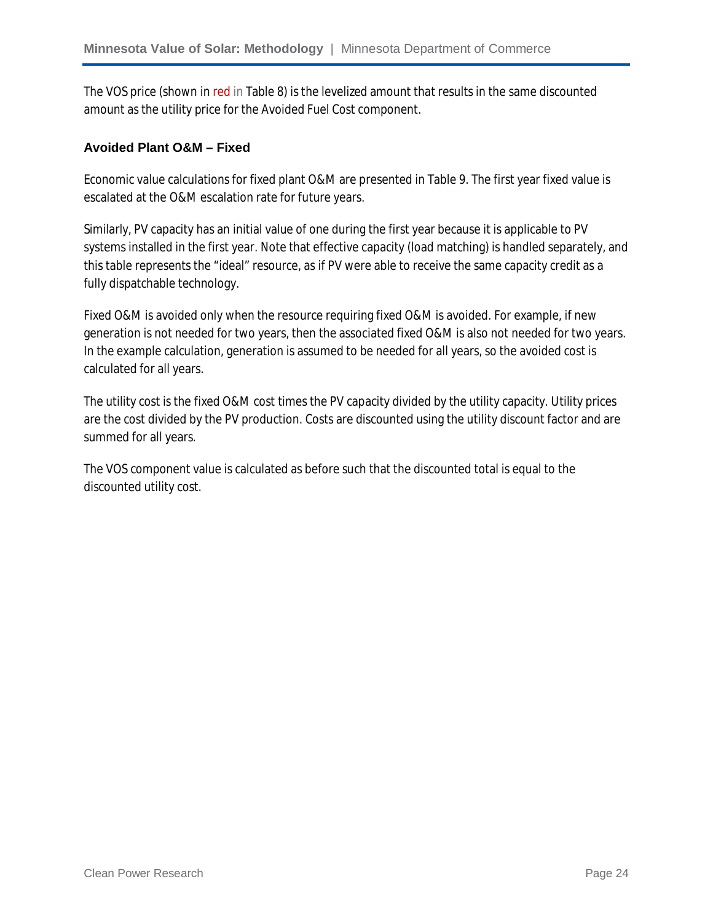The VOS price (shown in red in Table 8) is the levelized amount that results in the same discounted amount as the utility price for the Avoided Fuel Cost component.

#### **Avoided Plant O&M – Fixed**

Economic value calculations for fixed plant O&M are presented in Table 9. The first year fixed value is escalated at the O&M escalation rate for future years.

Similarly, PV capacity has an initial value of one during the first year because it is applicable to PV systems installed in the first year. Note that effective capacity (load matching) is handled separately, and this table represents the "ideal" resource, as if PV were able to receive the same capacity credit as a fully dispatchable technology.

Fixed O&M is avoided only when the resource requiring fixed O&M is avoided. For example, if new generation is not needed for two years, then the associated fixed O&M is also not needed for two years. In the example calculation, generation is assumed to be needed for all years, so the avoided cost is calculated for all years.

The utility cost is the fixed O&M cost times the PV capacity divided by the utility capacity. Utility prices are the cost divided by the PV production. Costs are discounted using the utility discount factor and are summed for all years.

The VOS component value is calculated as before such that the discounted total is equal to the discounted utility cost.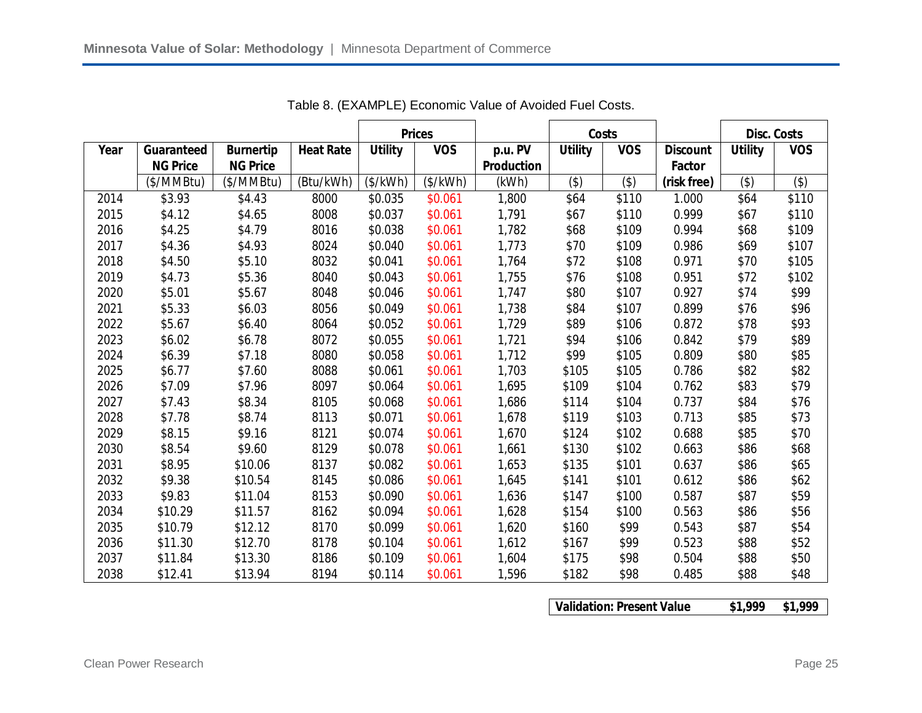|      |                 |                  |                  |                | <b>Prices</b> |                   |                | Costs      |                 | <b>Disc. Costs</b> |            |
|------|-----------------|------------------|------------------|----------------|---------------|-------------------|----------------|------------|-----------------|--------------------|------------|
| Year | Guaranteed      | <b>Burnertip</b> | <b>Heat Rate</b> | <b>Utility</b> | <b>VOS</b>    | p.u. PV           | <b>Utility</b> | <b>VOS</b> | <b>Discount</b> | <b>Utility</b>     | <b>VOS</b> |
|      | <b>NG Price</b> | <b>NG Price</b>  |                  |                |               | <b>Production</b> |                |            | Factor          |                    |            |
|      | (\$/MMBtu)      | (\$/MMBtu)       | (Btu/kWh)        | (\$/kWh)       | (\$/kWh)      | (kWh)             | (3)            | (3)        | (risk free)     | $($ \$)            | (3)        |
| 2014 | \$3.93          | \$4.43           | 8000             | \$0.035        | \$0.061       | 1,800             | \$64           | \$110      | 1.000           | \$64               | \$110      |
| 2015 | \$4.12          | \$4.65           | 8008             | \$0.037        | \$0.061       | 1,791             | \$67           | \$110      | 0.999           | \$67               | \$110      |
| 2016 | \$4.25          | \$4.79           | 8016             | \$0.038        | \$0.061       | 1,782             | \$68           | \$109      | 0.994           | \$68               | \$109      |
| 2017 | \$4.36          | \$4.93           | 8024             | \$0.040        | \$0.061       | 1,773             | \$70           | \$109      | 0.986           | \$69               | \$107      |
| 2018 | \$4.50          | \$5.10           | 8032             | \$0.041        | \$0.061       | 1,764             | \$72           | \$108      | 0.971           | \$70               | \$105      |
| 2019 | \$4.73          | \$5.36           | 8040             | \$0.043        | \$0.061       | 1,755             | \$76           | \$108      | 0.951           | \$72               | \$102      |
| 2020 | \$5.01          | \$5.67           | 8048             | \$0.046        | \$0.061       | 1,747             | \$80           | \$107      | 0.927           | \$74               | \$99       |
| 2021 | \$5.33          | \$6.03           | 8056             | \$0.049        | \$0.061       | 1,738             | \$84           | \$107      | 0.899           | \$76               | \$96       |
| 2022 | \$5.67          | \$6.40           | 8064             | \$0.052        | \$0.061       | 1,729             | \$89           | \$106      | 0.872           | \$78               | \$93       |
| 2023 | \$6.02          | \$6.78           | 8072             | \$0.055        | \$0.061       | 1,721             | \$94           | \$106      | 0.842           | \$79               | \$89       |
| 2024 | \$6.39          | \$7.18           | 8080             | \$0.058        | \$0.061       | 1,712             | \$99           | \$105      | 0.809           | \$80               | \$85       |
| 2025 | \$6.77          | \$7.60           | 8088             | \$0.061        | \$0.061       | 1,703             | \$105          | \$105      | 0.786           | \$82               | \$82       |
| 2026 | \$7.09          | \$7.96           | 8097             | \$0.064        | \$0.061       | 1,695             | \$109          | \$104      | 0.762           | \$83               | \$79       |
| 2027 | \$7.43          | \$8.34           | 8105             | \$0.068        | \$0.061       | 1,686             | \$114          | \$104      | 0.737           | \$84               | \$76       |
| 2028 | \$7.78          | \$8.74           | 8113             | \$0.071        | \$0.061       | 1,678             | \$119          | \$103      | 0.713           | \$85               | \$73       |
| 2029 | \$8.15          | \$9.16           | 8121             | \$0.074        | \$0.061       | 1,670             | \$124          | \$102      | 0.688           | \$85               | \$70       |
| 2030 | \$8.54          | \$9.60           | 8129             | \$0.078        | \$0.061       | 1,661             | \$130          | \$102      | 0.663           | \$86               | \$68       |
| 2031 | \$8.95          | \$10.06          | 8137             | \$0.082        | \$0.061       | 1,653             | \$135          | \$101      | 0.637           | \$86               | \$65       |
| 2032 | \$9.38          | \$10.54          | 8145             | \$0.086        | \$0.061       | 1,645             | \$141          | \$101      | 0.612           | \$86               | \$62       |
| 2033 | \$9.83          | \$11.04          | 8153             | \$0.090        | \$0.061       | 1,636             | \$147          | \$100      | 0.587           | \$87               | \$59       |
| 2034 | \$10.29         | \$11.57          | 8162             | \$0.094        | \$0.061       | 1,628             | \$154          | \$100      | 0.563           | \$86               | \$56       |
| 2035 | \$10.79         | \$12.12          | 8170             | \$0.099        | \$0.061       | 1,620             | \$160          | \$99       | 0.543           | \$87               | \$54       |
| 2036 | \$11.30         | \$12.70          | 8178             | \$0.104        | \$0.061       | 1,612             | \$167          | \$99       | 0.523           | \$88               | \$52       |
| 2037 | \$11.84         | \$13.30          | 8186             | \$0.109        | \$0.061       | 1,604             | \$175          | \$98       | 0.504           | \$88               | \$50       |
| 2038 | \$12.41         | \$13.94          | 8194             | \$0.114        | \$0.061       | 1,596             | \$182          | \$98       | 0.485           | \$88               | \$48       |

Table 8. (EXAMPLE) Economic Value of Avoided Fuel Costs.

**Validation: Present Value \$1,999 \$1,999**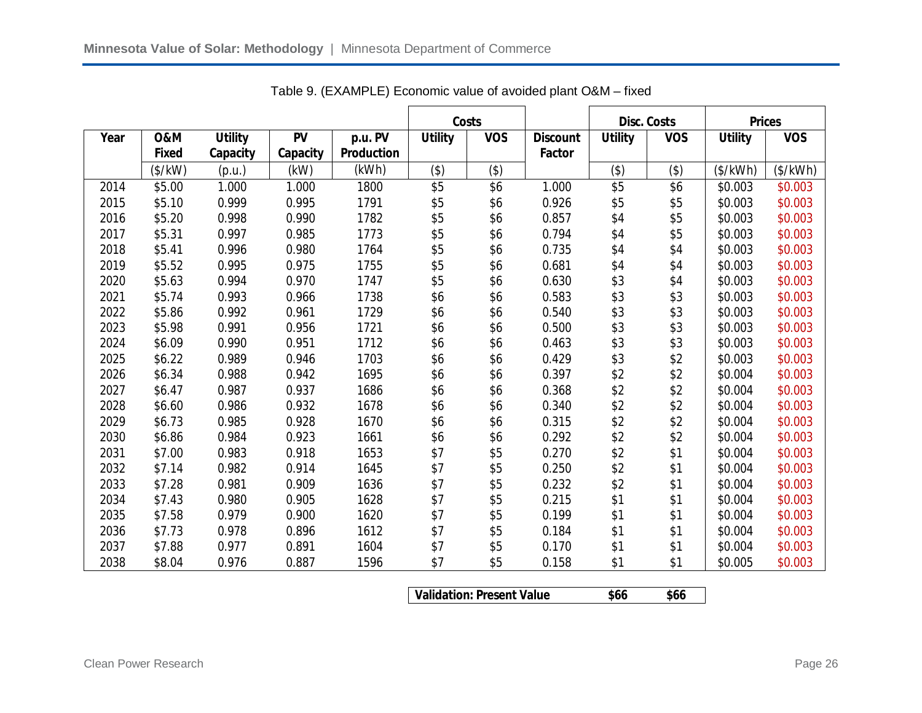|      |                |                |           |                   |                | Costs      |                 |                | <b>Disc. Costs</b> | <b>Prices</b>  |            |
|------|----------------|----------------|-----------|-------------------|----------------|------------|-----------------|----------------|--------------------|----------------|------------|
| Year | <b>0&amp;M</b> | <b>Utility</b> | <b>PV</b> | p.u. PV           | <b>Utility</b> | <b>VOS</b> | <b>Discount</b> | <b>Utility</b> | <b>VOS</b>         | <b>Utility</b> | <b>VOS</b> |
|      | <b>Fixed</b>   | Capacity       | Capacity  | <b>Production</b> |                |            | Factor          |                |                    |                |            |
|      | $(*/kW)$       | (p.u.)         | (kW)      | (kWh)             | $($ \$)        | (3)        |                 | (3)            | $($ \$)            | (\$/kWh)       | (\$/kWh)   |
| 2014 | \$5.00         | 1.000          | 1.000     | 1800              | \$5            | \$6        | 1.000           | $\sqrt{5}$     | \$6                | \$0.003        | \$0.003    |
| 2015 | \$5.10         | 0.999          | 0.995     | 1791              | \$5            | \$6        | 0.926           | \$5            | \$5                | \$0.003        | \$0.003    |
| 2016 | \$5.20         | 0.998          | 0.990     | 1782              | \$5            | \$6        | 0.857           | \$4            | \$5                | \$0.003        | \$0.003    |
| 2017 | \$5.31         | 0.997          | 0.985     | 1773              | \$5            | \$6        | 0.794           | \$4            | \$5                | \$0.003        | \$0.003    |
| 2018 | \$5.41         | 0.996          | 0.980     | 1764              | \$5            | \$6        | 0.735           | \$4            | \$4                | \$0.003        | \$0.003    |
| 2019 | \$5.52         | 0.995          | 0.975     | 1755              | \$5            | \$6        | 0.681           | \$4            | \$4                | \$0.003        | \$0.003    |
| 2020 | \$5.63         | 0.994          | 0.970     | 1747              | \$5            | \$6        | 0.630           | \$3            | \$4                | \$0.003        | \$0.003    |
| 2021 | \$5.74         | 0.993          | 0.966     | 1738              | \$6            | \$6        | 0.583           | \$3            | \$3                | \$0.003        | \$0.003    |
| 2022 | \$5.86         | 0.992          | 0.961     | 1729              | \$6            | \$6        | 0.540           | \$3            | \$3                | \$0.003        | \$0.003    |
| 2023 | \$5.98         | 0.991          | 0.956     | 1721              | \$6            | \$6        | 0.500           | \$3            | \$3                | \$0.003        | \$0.003    |
| 2024 | \$6.09         | 0.990          | 0.951     | 1712              | \$6            | \$6        | 0.463           | \$3            | \$3                | \$0.003        | \$0.003    |
| 2025 | \$6.22         | 0.989          | 0.946     | 1703              | \$6            | \$6        | 0.429           | \$3            | \$2                | \$0.003        | \$0.003    |
| 2026 | \$6.34         | 0.988          | 0.942     | 1695              | \$6            | \$6        | 0.397           | \$2            | \$2                | \$0.004        | \$0.003    |
| 2027 | \$6.47         | 0.987          | 0.937     | 1686              | \$6            | \$6        | 0.368           | \$2            | \$2                | \$0.004        | \$0.003    |
| 2028 | \$6.60         | 0.986          | 0.932     | 1678              | \$6            | \$6        | 0.340           | \$2            | \$2                | \$0.004        | \$0.003    |
| 2029 | \$6.73         | 0.985          | 0.928     | 1670              | \$6            | \$6        | 0.315           | \$2            | \$2                | \$0.004        | \$0.003    |
| 2030 | \$6.86         | 0.984          | 0.923     | 1661              | \$6            | \$6        | 0.292           | \$2            | \$2                | \$0.004        | \$0.003    |
| 2031 | \$7.00         | 0.983          | 0.918     | 1653              | \$7            | \$5        | 0.270           | \$2            | \$1                | \$0.004        | \$0.003    |
| 2032 | \$7.14         | 0.982          | 0.914     | 1645              | \$7            | \$5        | 0.250           | \$2            | \$1                | \$0.004        | \$0.003    |
| 2033 | \$7.28         | 0.981          | 0.909     | 1636              | \$7            | \$5        | 0.232           | \$2            | \$1                | \$0.004        | \$0.003    |
| 2034 | \$7.43         | 0.980          | 0.905     | 1628              | \$7            | \$5        | 0.215           | \$1            | \$1                | \$0.004        | \$0.003    |
| 2035 | \$7.58         | 0.979          | 0.900     | 1620              | \$7            | \$5        | 0.199           | \$1            | \$1                | \$0.004        | \$0.003    |
| 2036 | \$7.73         | 0.978          | 0.896     | 1612              | \$7            | \$5        | 0.184           | \$1            | \$1                | \$0.004        | \$0.003    |
| 2037 | \$7.88         | 0.977          | 0.891     | 1604              | \$7            | \$5        | 0.170           | \$1            | \$1                | \$0.004        | \$0.003    |
| 2038 | \$8.04         | 0.976          | 0.887     | 1596              | \$7            | \$5        | 0.158           | \$1            | \$1                | \$0.005        | \$0.003    |

Table 9. (EXAMPLE) Economic value of avoided plant O&M – fixed

**Validation: Present Value \$66 \$66**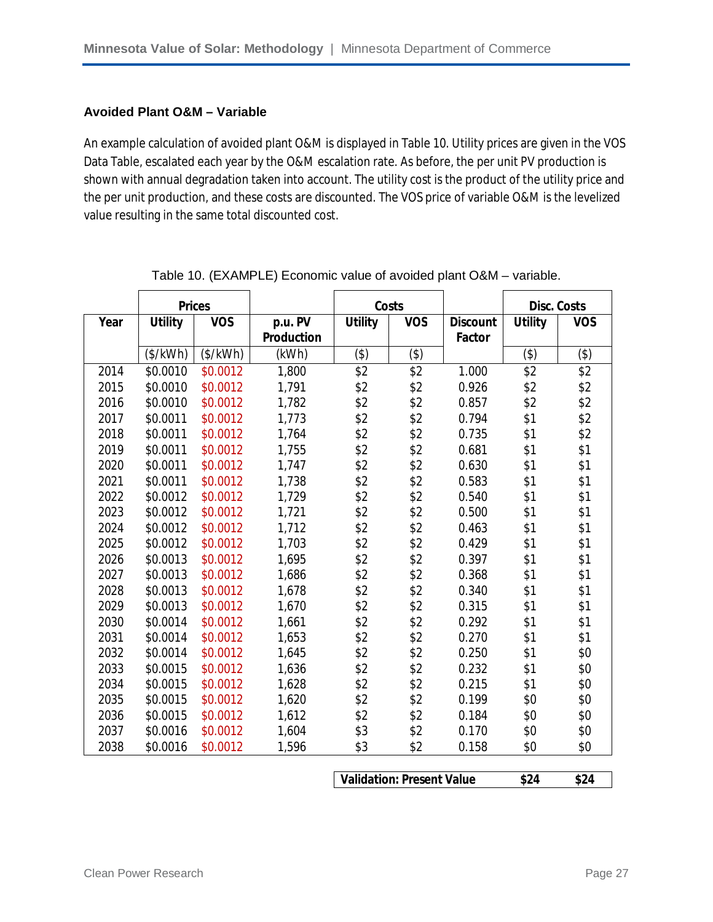#### **Avoided Plant O&M – Variable**

An example calculation of avoided plant O&M is displayed in Table 10. Utility prices are given in the VOS Data Table, escalated each year by the O&M escalation rate. As before, the per unit PV production is shown with annual degradation taken into account. The utility cost is the product of the utility price and the per unit production, and these costs are discounted. The VOS price of variable O&M is the levelized value resulting in the same total discounted cost.

|      | <b>Prices</b>  |            |                   | Costs          |            |                 | <b>Disc. Costs</b> |            |
|------|----------------|------------|-------------------|----------------|------------|-----------------|--------------------|------------|
| Year | <b>Utility</b> | <b>VOS</b> | p.u. PV           | <b>Utility</b> | <b>VOS</b> | <b>Discount</b> | <b>Utility</b>     | <b>VOS</b> |
|      |                |            | <b>Production</b> |                |            | <b>Factor</b>   |                    |            |
|      | (\$/kWh)       | (\$/kWh)   | (kWh)             | (3)            | (3)        |                 | (3)                | (3)        |
| 2014 | \$0.0010       | \$0.0012   | 1,800             | \$2            | \$2        | 1.000           | \$2                | \$2        |
| 2015 | \$0.0010       | \$0.0012   | 1,791             | \$2            | \$2        | 0.926           | \$2                | \$2        |
| 2016 | \$0.0010       | \$0.0012   | 1,782             | \$2            | \$2        | 0.857           | \$2                | \$2        |
| 2017 | \$0.0011       | \$0.0012   | 1,773             | \$2            | \$2        | 0.794           | \$1                | \$2        |
| 2018 | \$0.0011       | \$0.0012   | 1,764             | \$2            | \$2        | 0.735           | \$1                | \$2        |
| 2019 | \$0.0011       | \$0.0012   | 1,755             | \$2            | \$2        | 0.681           | \$1                | \$1        |
| 2020 | \$0.0011       | \$0.0012   | 1,747             | \$2            | \$2        | 0.630           | \$1                | \$1        |
| 2021 | \$0.0011       | \$0.0012   | 1,738             | \$2            | \$2        | 0.583           | \$1                | \$1        |
| 2022 | \$0.0012       | \$0.0012   | 1,729             | \$2            | \$2        | 0.540           | \$1                | \$1        |
| 2023 | \$0.0012       | \$0.0012   | 1,721             | \$2            | \$2        | 0.500           | \$1                | \$1        |
| 2024 | \$0.0012       | \$0.0012   | 1,712             | \$2            | \$2        | 0.463           | \$1                | \$1        |
| 2025 | \$0.0012       | \$0.0012   | 1,703             | \$2            | \$2        | 0.429           | \$1                | \$1        |
| 2026 | \$0.0013       | \$0.0012   | 1,695             | \$2            | \$2        | 0.397           | \$1                | \$1        |
| 2027 | \$0.0013       | \$0.0012   | 1,686             | \$2            | \$2        | 0.368           | \$1                | \$1        |
| 2028 | \$0.0013       | \$0.0012   | 1,678             | \$2            | \$2        | 0.340           | \$1                | \$1        |
| 2029 | \$0.0013       | \$0.0012   | 1,670             | \$2            | \$2        | 0.315           | \$1                | \$1        |
| 2030 | \$0.0014       | \$0.0012   | 1,661             | \$2            | \$2        | 0.292           | \$1                | \$1        |
| 2031 | \$0.0014       | \$0.0012   | 1,653             | \$2            | \$2        | 0.270           | \$1                | \$1        |
| 2032 | \$0.0014       | \$0.0012   | 1,645             | \$2            | \$2        | 0.250           | \$1                | \$0        |
| 2033 | \$0.0015       | \$0.0012   | 1,636             | \$2            | \$2        | 0.232           | \$1                | \$0        |
| 2034 | \$0.0015       | \$0.0012   | 1,628             | \$2            | \$2        | 0.215           | \$1                | \$0        |
| 2035 | \$0.0015       | \$0.0012   | 1,620             | \$2            | \$2        | 0.199           | \$0                | \$0        |
| 2036 | \$0.0015       | \$0.0012   | 1,612             | \$2            | \$2        | 0.184           | \$0                | \$0        |
| 2037 | \$0.0016       | \$0.0012   | 1,604             | \$3            | \$2        | 0.170           | \$0                | \$0        |
| 2038 | \$0.0016       | \$0.0012   | 1,596             | \$3            | \$2        | 0.158           | \$0                | \$0        |
|      |                |            |                   |                |            |                 |                    |            |

Table 10. (EXAMPLE) Economic value of avoided plant O&M – variable.

**Validation: Present Value \$24 \$24**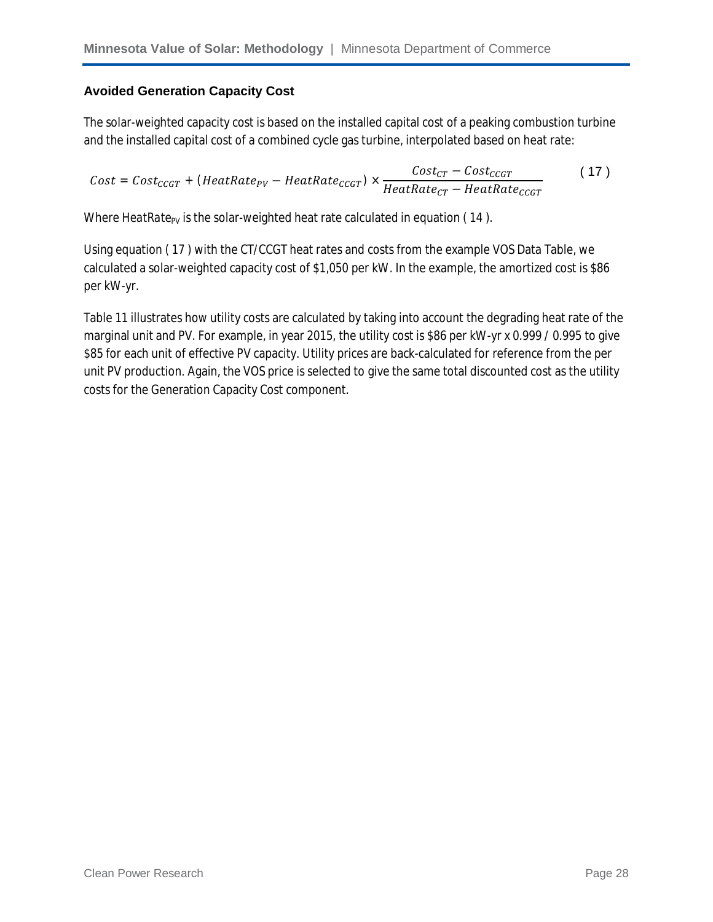#### **Avoided Generation Capacity Cost**

The solar-weighted capacity cost is based on the installed capital cost of a peaking combustion turbine and the installed capital cost of a combined cycle gas turbine, interpolated based on heat rate:

$$
Cost = Cost_{CCGT} + (HeatRate_{PV} - HeatRate_{CCGT}) \times \frac{Cost_{CT} - Cost_{CCGT}}{HeatRate_{CT} - HeatRate_{CCGT}}
$$
 (17)

Where *HeatRate<sub>PV</sub>* is the solar-weighted heat rate calculated in equation (14).

Using equation ( 17 ) with the CT/CCGT heat rates and costs from the example VOS Data Table, we calculated a solar-weighted capacity cost of \$1,050 per kW. In the example, the amortized cost is \$86 per kW-yr.

Table 11 illustrates how utility costs are calculated by taking into account the degrading heat rate of the marginal unit and PV. For example, in year 2015, the utility cost is \$86 per kW-yr x 0.999 / 0.995 to give \$85 for each unit of effective PV capacity. Utility prices are back-calculated for reference from the per unit PV production. Again, the VOS price is selected to give the same total discounted cost as the utility costs for the Generation Capacity Cost component.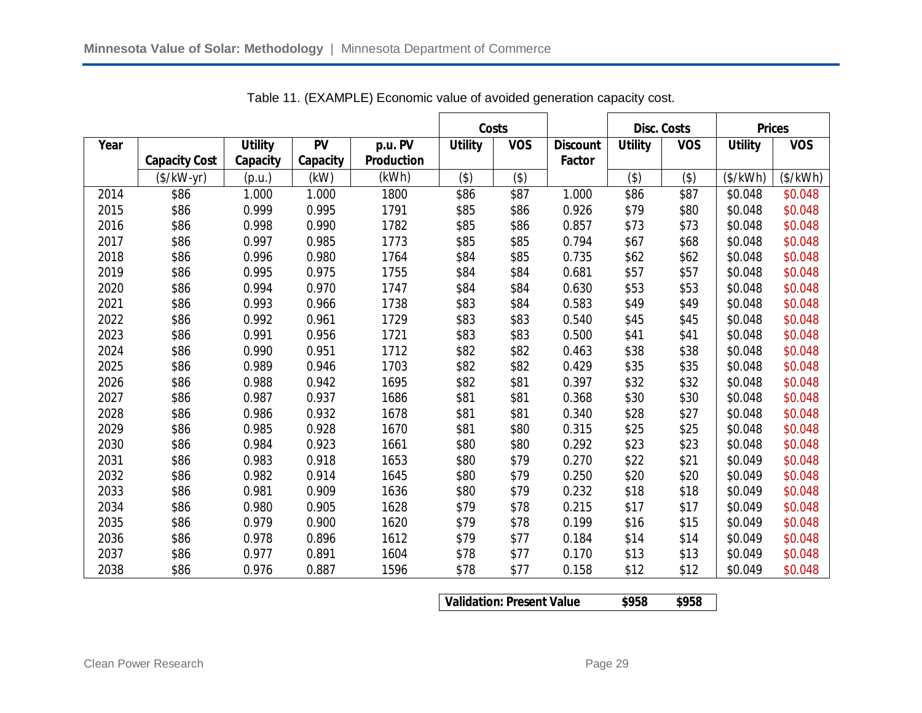|      |                      |                |           |                   |                | <b>Costs</b> |                 | <b>Disc. Costs</b> |            | <b>Prices</b>  |            |
|------|----------------------|----------------|-----------|-------------------|----------------|--------------|-----------------|--------------------|------------|----------------|------------|
| Year |                      | <b>Utility</b> | <b>PV</b> | p.u. PV           | <b>Utility</b> | <b>VOS</b>   | <b>Discount</b> | <b>Utility</b>     | <b>VOS</b> | <b>Utility</b> | <b>VOS</b> |
|      | <b>Capacity Cost</b> | Capacity       | Capacity  | <b>Production</b> |                |              | <b>Factor</b>   |                    |            |                |            |
|      | $($/kW-yr)$          | (p.u.)         | (kW)      | (kWh)             | (3)            | (3)          |                 | $($ \$)            | (3)        | (\$/kWh)       | (\$/kWh)   |
| 2014 | \$86                 | 1.000          | 1.000     | 1800              | \$86           | \$87         | 1.000           | \$86               | \$87       | \$0.048        | \$0.048    |
| 2015 | \$86                 | 0.999          | 0.995     | 1791              | \$85           | \$86         | 0.926           | \$79               | \$80       | \$0.048        | \$0.048    |
| 2016 | \$86                 | 0.998          | 0.990     | 1782              | \$85           | \$86         | 0.857           | \$73               | \$73       | \$0.048        | \$0.048    |
| 2017 | \$86                 | 0.997          | 0.985     | 1773              | \$85           | \$85         | 0.794           | \$67               | \$68       | \$0.048        | \$0.048    |
| 2018 | \$86                 | 0.996          | 0.980     | 1764              | \$84           | \$85         | 0.735           | \$62               | \$62       | \$0.048        | \$0.048    |
| 2019 | \$86                 | 0.995          | 0.975     | 1755              | \$84           | \$84         | 0.681           | \$57               | \$57       | \$0.048        | \$0.048    |
| 2020 | \$86                 | 0.994          | 0.970     | 1747              | \$84           | \$84         | 0.630           | \$53               | \$53       | \$0.048        | \$0.048    |
| 2021 | \$86                 | 0.993          | 0.966     | 1738              | \$83           | \$84         | 0.583           | \$49               | \$49       | \$0.048        | \$0.048    |
| 2022 | \$86                 | 0.992          | 0.961     | 1729              | \$83           | \$83         | 0.540           | \$45               | \$45       | \$0.048        | \$0.048    |
| 2023 | \$86                 | 0.991          | 0.956     | 1721              | \$83           | \$83         | 0.500           | \$41               | \$41       | \$0.048        | \$0.048    |
| 2024 | \$86                 | 0.990          | 0.951     | 1712              | \$82           | \$82         | 0.463           | \$38               | \$38       | \$0.048        | \$0.048    |
| 2025 | \$86                 | 0.989          | 0.946     | 1703              | \$82           | \$82         | 0.429           | \$35               | \$35       | \$0.048        | \$0.048    |
| 2026 | \$86                 | 0.988          | 0.942     | 1695              | \$82           | \$81         | 0.397           | \$32               | \$32       | \$0.048        | \$0.048    |
| 2027 | \$86                 | 0.987          | 0.937     | 1686              | \$81           | \$81         | 0.368           | \$30               | \$30       | \$0.048        | \$0.048    |
| 2028 | \$86                 | 0.986          | 0.932     | 1678              | \$81           | \$81         | 0.340           | \$28               | \$27       | \$0.048        | \$0.048    |
| 2029 | \$86                 | 0.985          | 0.928     | 1670              | \$81           | \$80         | 0.315           | \$25               | \$25       | \$0.048        | \$0.048    |
| 2030 | \$86                 | 0.984          | 0.923     | 1661              | \$80           | \$80         | 0.292           | \$23               | \$23       | \$0.048        | \$0.048    |
| 2031 | \$86                 | 0.983          | 0.918     | 1653              | \$80           | \$79         | 0.270           | \$22               | \$21       | \$0.049        | \$0.048    |
| 2032 | \$86                 | 0.982          | 0.914     | 1645              | \$80           | \$79         | 0.250           | \$20               | \$20       | \$0.049        | \$0.048    |
| 2033 | \$86                 | 0.981          | 0.909     | 1636              | \$80           | \$79         | 0.232           | \$18               | \$18       | \$0.049        | \$0.048    |
| 2034 | \$86                 | 0.980          | 0.905     | 1628              | \$79           | \$78         | 0.215           | \$17               | \$17       | \$0.049        | \$0.048    |
| 2035 | \$86                 | 0.979          | 0.900     | 1620              | \$79           | \$78         | 0.199           | \$16               | \$15       | \$0.049        | \$0.048    |
| 2036 | \$86                 | 0.978          | 0.896     | 1612              | \$79           | \$77         | 0.184           | \$14               | \$14       | \$0.049        | \$0.048    |
| 2037 | \$86                 | 0.977          | 0.891     | 1604              | \$78           | \$77         | 0.170           | \$13               | \$13       | \$0.049        | \$0.048    |
| 2038 | \$86                 | 0.976          | 0.887     | 1596              | \$78           | \$77         | 0.158           | \$12               | \$12       | \$0.049        | \$0.048    |

Table 11. (EXAMPLE) Economic value of avoided generation capacity cost.

| <b>Validation: Present Value</b> | \$958 | \$958 |
|----------------------------------|-------|-------|
|                                  |       |       |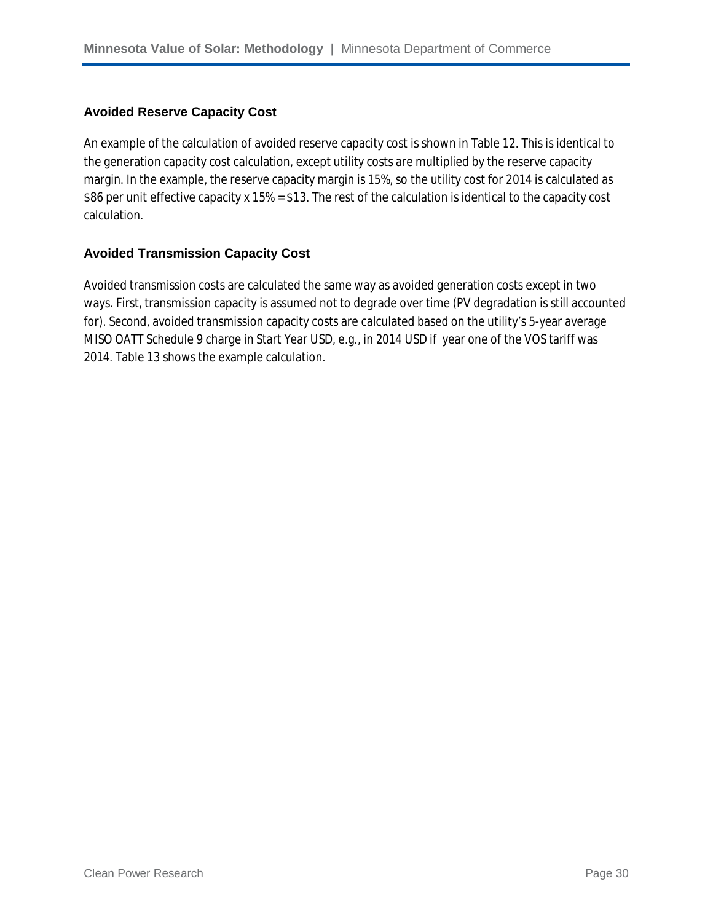#### **Avoided Reserve Capacity Cost**

An example of the calculation of avoided reserve capacity cost is shown in Table 12. This is identical to the generation capacity cost calculation, except utility costs are multiplied by the reserve capacity margin. In the example, the reserve capacity margin is 15%, so the utility cost for 2014 is calculated as \$86 per unit effective capacity x 15% = \$13. The rest of the calculation is identical to the capacity cost calculation.

#### **Avoided Transmission Capacity Cost**

Avoided transmission costs are calculated the same way as avoided generation costs except in two ways. First, transmission capacity is assumed not to degrade over time (PV degradation is still accounted for). Second, avoided transmission capacity costs are calculated based on the utility's 5-year average MISO OATT Schedule 9 charge in Start Year USD, e.g., in 2014 USD if year one of the VOS tariff was 2014. Table 13 shows the example calculation.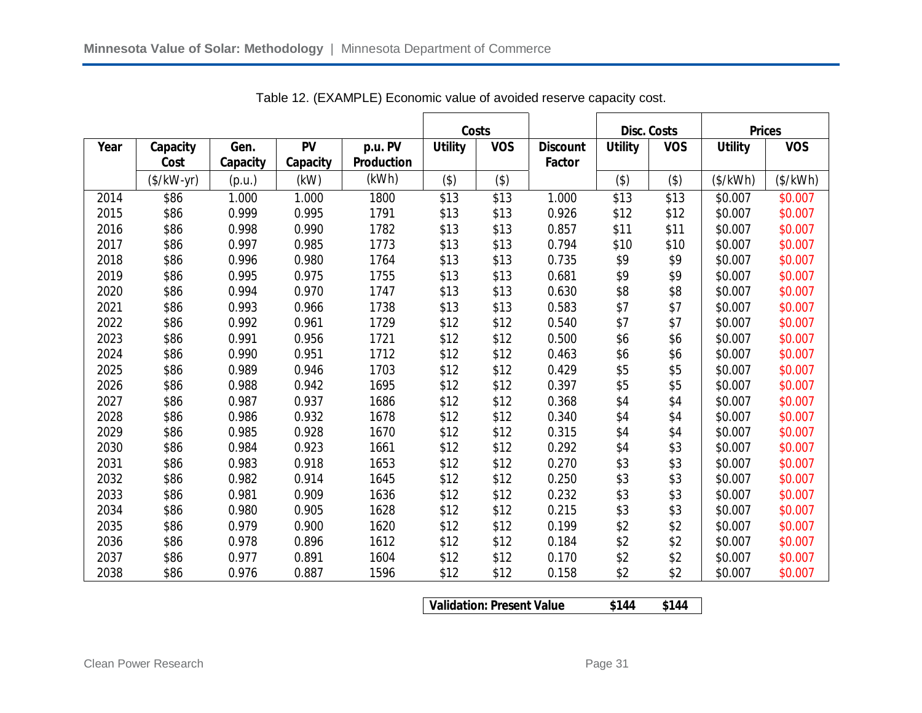|      |             |          |          |                   | Costs          |            |                 | <b>Disc. Costs</b> |            | <b>Prices</b>  |            |
|------|-------------|----------|----------|-------------------|----------------|------------|-----------------|--------------------|------------|----------------|------------|
| Year | Capacity    | Gen.     | PV       | p.u. PV           | <b>Utility</b> | <b>VOS</b> | <b>Discount</b> | <b>Utility</b>     | <b>VOS</b> | <b>Utility</b> | <b>VOS</b> |
|      | Cost        | Capacity | Capacity | <b>Production</b> |                |            | Factor          |                    |            |                |            |
|      | $($/kW-yr)$ | (p.u.)   | (kW)     | (kWh)             | (3)            | $($ \$)    |                 | $($ \$)            | (3)        | (\$/kWh)       | (\$/kWh)   |
| 2014 | \$86        | 1.000    | 1.000    | 1800              | \$13           | \$13       | 1.000           | \$13               | \$13       | \$0.007        | \$0.007    |
| 2015 | \$86        | 0.999    | 0.995    | 1791              | \$13           | \$13       | 0.926           | \$12               | \$12       | \$0.007        | \$0.007    |
| 2016 | \$86        | 0.998    | 0.990    | 1782              | \$13           | \$13       | 0.857           | \$11               | \$11       | \$0.007        | \$0.007    |
| 2017 | \$86        | 0.997    | 0.985    | 1773              | \$13           | \$13       | 0.794           | \$10               | \$10       | \$0.007        | \$0.007    |
| 2018 | \$86        | 0.996    | 0.980    | 1764              | \$13           | \$13       | 0.735           | \$9                | \$9        | \$0.007        | \$0.007    |
| 2019 | \$86        | 0.995    | 0.975    | 1755              | \$13           | \$13       | 0.681           | \$9                | \$9        | \$0.007        | \$0.007    |
| 2020 | \$86        | 0.994    | 0.970    | 1747              | \$13           | \$13       | 0.630           | \$8                | \$8        | \$0.007        | \$0.007    |
| 2021 | \$86        | 0.993    | 0.966    | 1738              | \$13           | \$13       | 0.583           | \$7                | \$7        | \$0.007        | \$0.007    |
| 2022 | \$86        | 0.992    | 0.961    | 1729              | \$12           | \$12       | 0.540           | \$7                | \$7        | \$0.007        | \$0.007    |
| 2023 | \$86        | 0.991    | 0.956    | 1721              | \$12           | \$12       | 0.500           | \$6                | \$6        | \$0.007        | \$0.007    |
| 2024 | \$86        | 0.990    | 0.951    | 1712              | \$12           | \$12       | 0.463           | \$6                | \$6        | \$0.007        | \$0.007    |
| 2025 | \$86        | 0.989    | 0.946    | 1703              | \$12           | \$12       | 0.429           | \$5                | \$5        | \$0.007        | \$0.007    |
| 2026 | \$86        | 0.988    | 0.942    | 1695              | \$12           | \$12       | 0.397           | \$5                | \$5        | \$0.007        | \$0.007    |
| 2027 | \$86        | 0.987    | 0.937    | 1686              | \$12           | \$12       | 0.368           | \$4                | \$4        | \$0.007        | \$0.007    |
| 2028 | \$86        | 0.986    | 0.932    | 1678              | \$12           | \$12       | 0.340           | \$4                | \$4        | \$0.007        | \$0.007    |
| 2029 | \$86        | 0.985    | 0.928    | 1670              | \$12           | \$12       | 0.315           | \$4                | \$4        | \$0.007        | \$0.007    |
| 2030 | \$86        | 0.984    | 0.923    | 1661              | \$12           | \$12       | 0.292           | \$4                | \$3        | \$0.007        | \$0.007    |
| 2031 | \$86        | 0.983    | 0.918    | 1653              | \$12           | \$12       | 0.270           | \$3                | \$3        | \$0.007        | \$0.007    |
| 2032 | \$86        | 0.982    | 0.914    | 1645              | \$12           | \$12       | 0.250           | \$3                | \$3        | \$0.007        | \$0.007    |
| 2033 | \$86        | 0.981    | 0.909    | 1636              | \$12           | \$12       | 0.232           | \$3                | \$3        | \$0.007        | \$0.007    |
| 2034 | \$86        | 0.980    | 0.905    | 1628              | \$12           | \$12       | 0.215           | \$3                | \$3        | \$0.007        | \$0.007    |
| 2035 | \$86        | 0.979    | 0.900    | 1620              | \$12           | \$12       | 0.199           | \$2                | \$2        | \$0.007        | \$0.007    |
| 2036 | \$86        | 0.978    | 0.896    | 1612              | \$12           | \$12       | 0.184           | \$2                | \$2        | \$0.007        | \$0.007    |
| 2037 | \$86        | 0.977    | 0.891    | 1604              | \$12           | \$12       | 0.170           | \$2                | \$2        | \$0.007        | \$0.007    |
| 2038 | \$86        | 0.976    | 0.887    | 1596              | \$12           | \$12       | 0.158           | \$2                | \$2        | \$0.007        | \$0.007    |

Table 12. (EXAMPLE) Economic value of avoided reserve capacity cost.

**Validation: Present Value \$144 \$144**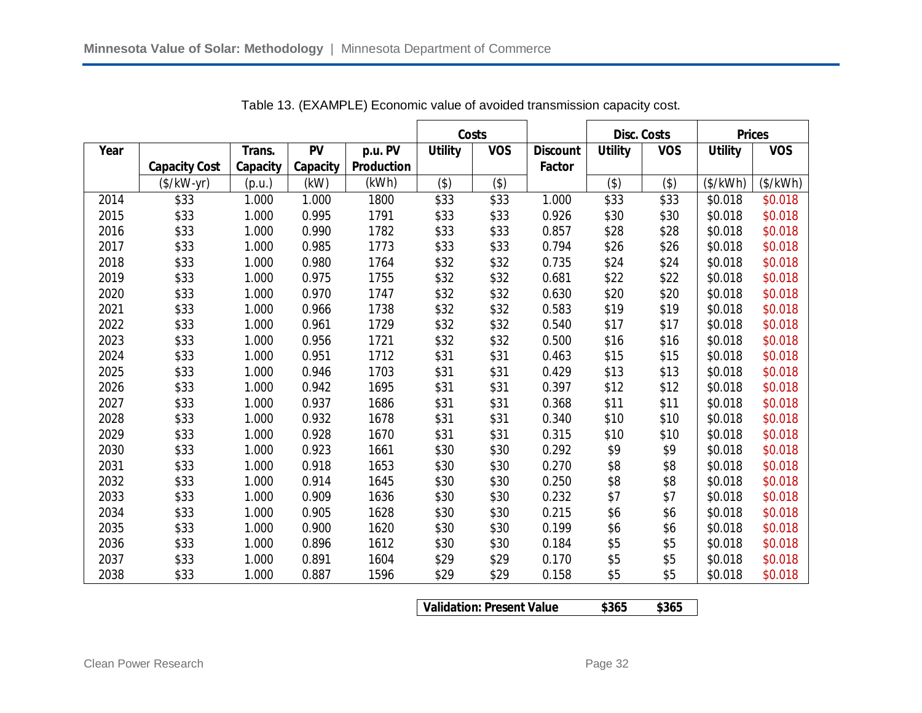|      |                      |          |           |                   | Costs          |            |                 | <b>Disc. Costs</b> |            | <b>Prices</b>  |            |
|------|----------------------|----------|-----------|-------------------|----------------|------------|-----------------|--------------------|------------|----------------|------------|
| Year |                      | Trans.   | <b>PV</b> | p.u. PV           | <b>Utility</b> | <b>VOS</b> | <b>Discount</b> | <b>Utility</b>     | <b>VOS</b> | <b>Utility</b> | <b>VOS</b> |
|      | <b>Capacity Cost</b> | Capacity | Capacity  | <b>Production</b> |                |            | Factor          |                    |            |                |            |
|      | $($/kW-yr)$          | (p.u.)   | (kW)      | (kWh)             | (3)            | (3)        |                 | $($ \$)            | (3)        | (\$/kWh)       | (\$/kWh)   |
| 2014 | \$33                 | 1.000    | 1.000     | 1800              | \$33           | \$33       | 1.000           | \$33               | \$33       | \$0.018        | \$0.018    |
| 2015 | \$33                 | 1.000    | 0.995     | 1791              | \$33           | \$33       | 0.926           | \$30               | \$30       | \$0.018        | \$0.018    |
| 2016 | \$33                 | 1.000    | 0.990     | 1782              | \$33           | \$33       | 0.857           | \$28               | \$28       | \$0.018        | \$0.018    |
| 2017 | \$33                 | 1.000    | 0.985     | 1773              | \$33           | \$33       | 0.794           | \$26               | \$26       | \$0.018        | \$0.018    |
| 2018 | \$33                 | 1.000    | 0.980     | 1764              | \$32           | \$32       | 0.735           | \$24               | \$24       | \$0.018        | \$0.018    |
| 2019 | \$33                 | 1.000    | 0.975     | 1755              | \$32           | \$32       | 0.681           | \$22               | \$22       | \$0.018        | \$0.018    |
| 2020 | \$33                 | 1.000    | 0.970     | 1747              | \$32           | \$32       | 0.630           | \$20               | \$20       | \$0.018        | \$0.018    |
| 2021 | \$33                 | 1.000    | 0.966     | 1738              | \$32           | \$32       | 0.583           | \$19               | \$19       | \$0.018        | \$0.018    |
| 2022 | \$33                 | 1.000    | 0.961     | 1729              | \$32           | \$32       | 0.540           | \$17               | \$17       | \$0.018        | \$0.018    |
| 2023 | \$33                 | 1.000    | 0.956     | 1721              | \$32           | \$32       | 0.500           | \$16               | \$16       | \$0.018        | \$0.018    |
| 2024 | \$33                 | 1.000    | 0.951     | 1712              | \$31           | \$31       | 0.463           | \$15               | \$15       | \$0.018        | \$0.018    |
| 2025 | \$33                 | 1.000    | 0.946     | 1703              | \$31           | \$31       | 0.429           | \$13               | \$13       | \$0.018        | \$0.018    |
| 2026 | \$33                 | 1.000    | 0.942     | 1695              | \$31           | \$31       | 0.397           | \$12               | \$12       | \$0.018        | \$0.018    |
| 2027 | \$33                 | 1.000    | 0.937     | 1686              | \$31           | \$31       | 0.368           | \$11               | \$11       | \$0.018        | \$0.018    |
| 2028 | \$33                 | 1.000    | 0.932     | 1678              | \$31           | \$31       | 0.340           | \$10               | \$10       | \$0.018        | \$0.018    |
| 2029 | \$33                 | 1.000    | 0.928     | 1670              | \$31           | \$31       | 0.315           | \$10               | \$10       | \$0.018        | \$0.018    |
| 2030 | \$33                 | 1.000    | 0.923     | 1661              | \$30           | \$30       | 0.292           | \$9                | \$9        | \$0.018        | \$0.018    |
| 2031 | \$33                 | 1.000    | 0.918     | 1653              | \$30           | \$30       | 0.270           | \$8                | \$8        | \$0.018        | \$0.018    |
| 2032 | \$33                 | 1.000    | 0.914     | 1645              | \$30           | \$30       | 0.250           | \$8                | \$8        | \$0.018        | \$0.018    |
| 2033 | \$33                 | 1.000    | 0.909     | 1636              | \$30           | \$30       | 0.232           | \$7                | \$7        | \$0.018        | \$0.018    |
| 2034 | \$33                 | 1.000    | 0.905     | 1628              | \$30           | \$30       | 0.215           | \$6                | \$6        | \$0.018        | \$0.018    |
| 2035 | \$33                 | 1.000    | 0.900     | 1620              | \$30           | \$30       | 0.199           | \$6                | \$6        | \$0.018        | \$0.018    |
| 2036 | \$33                 | 1.000    | 0.896     | 1612              | \$30           | \$30       | 0.184           | \$5                | \$5        | \$0.018        | \$0.018    |
| 2037 | \$33                 | 1.000    | 0.891     | 1604              | \$29           | \$29       | 0.170           | \$5                | \$5        | \$0.018        | \$0.018    |
| 2038 | \$33                 | 1.000    | 0.887     | 1596              | \$29           | \$29       | 0.158           | \$5                | \$5        | \$0.018        | \$0.018    |

Table 13. (EXAMPLE) Economic value of avoided transmission capacity cost.

**Validation: Present Value \$365 \$365**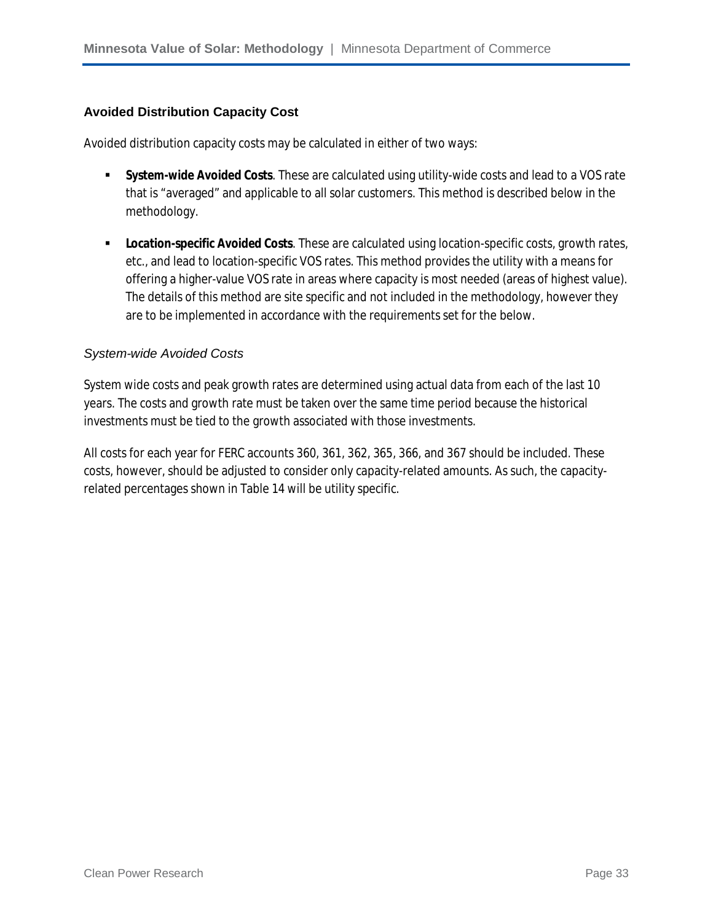#### **Avoided Distribution Capacity Cost**

Avoided distribution capacity costs may be calculated in either of two ways:

- **System-wide Avoided Costs**. These are calculated using utility-wide costs and lead to a VOS rate that is "averaged" and applicable to all solar customers. This method is described below in the methodology.
- **Location-specific Avoided Costs**. These are calculated using location-specific costs, growth rates, etc., and lead to location-specific VOS rates. This method provides the utility with a means for offering a higher-value VOS rate in areas where capacity is most needed (areas of highest value). The details of this method are site specific and not included in the methodology, however they are to be implemented in accordance with the requirements set for the below.

#### *System-wide Avoided Costs*

System wide costs and peak growth rates are determined using actual data from each of the last 10 years. The costs and growth rate must be taken over the same time period because the historical investments must be tied to the growth associated with those investments.

All costs for each year for FERC accounts 360, 361, 362, 365, 366, and 367 should be included. These costs, however, should be adjusted to consider only capacity-related amounts. As such, the capacityrelated percentages shown in Table 14 will be utility specific.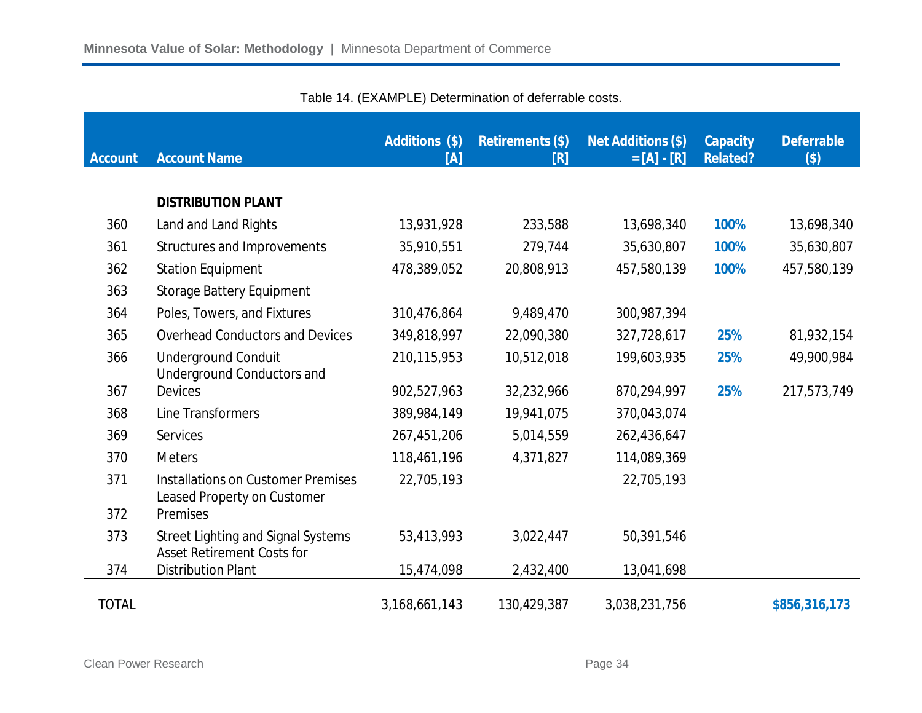| <b>Account</b> | <b>Account Name</b>                                                            | <b>Additions (\$)</b><br>$\overline{[A]}$ | <b>Retirements (\$)</b><br>[R] | <b>Net Additions (\$)</b><br>$= [A] - [R]$ | <b>Capacity</b><br><b>Related?</b> | <b>Deferrable</b><br>$($ \$) |
|----------------|--------------------------------------------------------------------------------|-------------------------------------------|--------------------------------|--------------------------------------------|------------------------------------|------------------------------|
|                |                                                                                |                                           |                                |                                            |                                    |                              |
|                | <b>DISTRIBUTION PLANT</b>                                                      |                                           |                                |                                            |                                    |                              |
| 360            | Land and Land Rights                                                           | 13,931,928                                | 233,588                        | 13,698,340                                 | 100%                               | 13,698,340                   |
| 361            | Structures and Improvements                                                    | 35,910,551                                | 279,744                        | 35,630,807                                 | 100%                               | 35,630,807                   |
| 362            | <b>Station Equipment</b>                                                       | 478,389,052                               | 20,808,913                     | 457,580,139                                | 100%                               | 457,580,139                  |
| 363            | <b>Storage Battery Equipment</b>                                               |                                           |                                |                                            |                                    |                              |
| 364            | Poles, Towers, and Fixtures                                                    | 310,476,864                               | 9,489,470                      | 300,987,394                                |                                    |                              |
| 365            | <b>Overhead Conductors and Devices</b>                                         | 349,818,997                               | 22,090,380                     | 327,728,617                                | 25%                                | 81,932,154                   |
| 366            | <b>Underground Conduit</b><br><b>Underground Conductors and</b>                | 210,115,953                               | 10,512,018                     | 199,603,935                                | 25%                                | 49,900,984                   |
| 367            | <b>Devices</b>                                                                 | 902,527,963                               | 32,232,966                     | 870,294,997                                | 25%                                | 217,573,749                  |
| 368            | Line Transformers                                                              | 389,984,149                               | 19,941,075                     | 370,043,074                                |                                    |                              |
| 369            | <b>Services</b>                                                                | 267,451,206                               | 5,014,559                      | 262,436,647                                |                                    |                              |
| 370            | <b>Meters</b>                                                                  | 118,461,196                               | 4,371,827                      | 114,089,369                                |                                    |                              |
| 371            | <b>Installations on Customer Premises</b><br>Leased Property on Customer       | 22,705,193                                |                                | 22,705,193                                 |                                    |                              |
| 372            | Premises                                                                       |                                           |                                |                                            |                                    |                              |
| 373            | <b>Street Lighting and Signal Systems</b><br><b>Asset Retirement Costs for</b> | 53,413,993                                | 3,022,447                      | 50,391,546                                 |                                    |                              |
| 374            | <b>Distribution Plant</b>                                                      | 15,474,098                                | 2,432,400                      | 13,041,698                                 |                                    |                              |
| <b>TOTAL</b>   |                                                                                | 3,168,661,143                             | 130,429,387                    | 3,038,231,756                              |                                    | \$856,316,173                |

Table 14. (EXAMPLE) Determination of deferrable costs.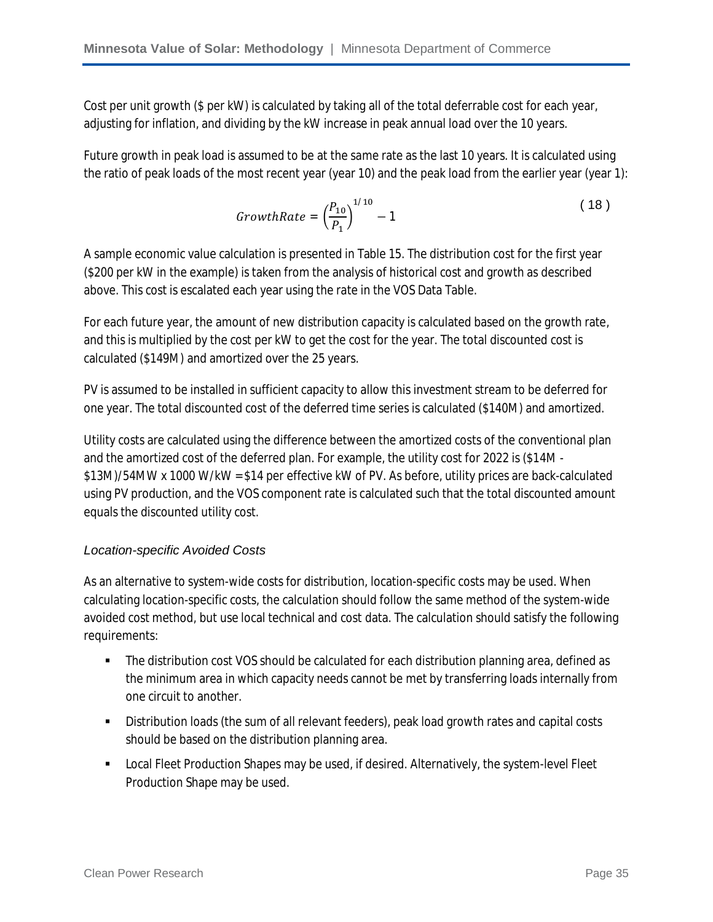Cost per unit growth (\$ per kW) is calculated by taking all of the total deferrable cost for each year, adjusting for inflation, and dividing by the kW increase in peak annual load over the 10 years.

Future growth in peak load is assumed to be at the same rate as the last 10 years. It is calculated using the ratio of peak loads of the most recent year (year 10) and the peak load from the earlier year (year 1):

$$
GrowthRate = \left(\frac{P_{10}}{P_1}\right)^{1/10} - 1\tag{18}
$$

A sample economic value calculation is presented in Table 15. The distribution cost for the first year (\$200 per kW in the example) is taken from the analysis of historical cost and growth as described above. This cost is escalated each year using the rate in the VOS Data Table.

For each future year, the amount of new distribution capacity is calculated based on the growth rate, and this is multiplied by the cost per kW to get the cost for the year. The total discounted cost is calculated (\$149M) and amortized over the 25 years.

PV is assumed to be installed in sufficient capacity to allow this investment stream to be deferred for one year. The total discounted cost of the deferred time series is calculated (\$140M) and amortized.

Utility costs are calculated using the difference between the amortized costs of the conventional plan and the amortized cost of the deferred plan. For example, the utility cost for 2022 is (\$14M - \$13M)/54MW x 1000 W/kW = \$14 per effective kW of PV. As before, utility prices are back-calculated using PV production, and the VOS component rate is calculated such that the total discounted amount equals the discounted utility cost.

#### *Location-specific Avoided Costs*

As an alternative to system-wide costs for distribution, location-specific costs may be used. When calculating location-specific costs, the calculation should follow the same method of the system-wide avoided cost method, but use local technical and cost data. The calculation should satisfy the following requirements:

- The distribution cost VOS should be calculated for each distribution planning area, defined as the minimum area in which capacity needs cannot be met by transferring loads internally from one circuit to another.
- Distribution loads (the sum of all relevant feeders), peak load growth rates and capital costs should be based on the distribution planning area.
- Local Fleet Production Shapes may be used, if desired. Alternatively, the system-level Fleet Production Shape may be used.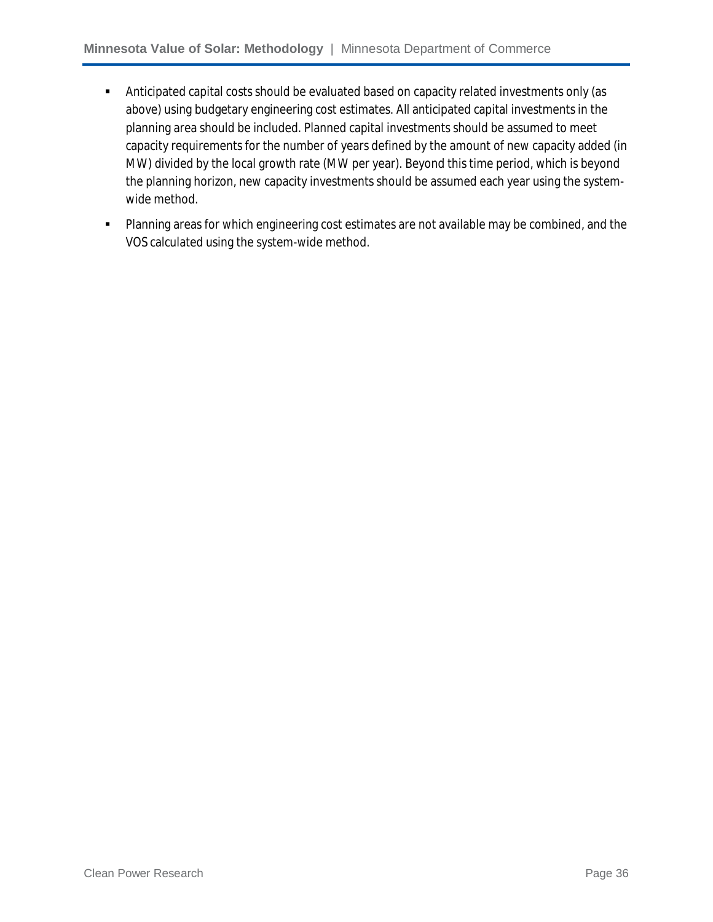- Anticipated capital costs should be evaluated based on capacity related investments only (as above) using budgetary engineering cost estimates. All anticipated capital investments in the planning area should be included. Planned capital investments should be assumed to meet capacity requirements for the number of years defined by the amount of new capacity added (in MW) divided by the local growth rate (MW per year). Beyond this time period, which is beyond the planning horizon, new capacity investments should be assumed each year using the systemwide method.
- **Planning areas for which engineering cost estimates are not available may be combined, and the** VOS calculated using the system-wide method.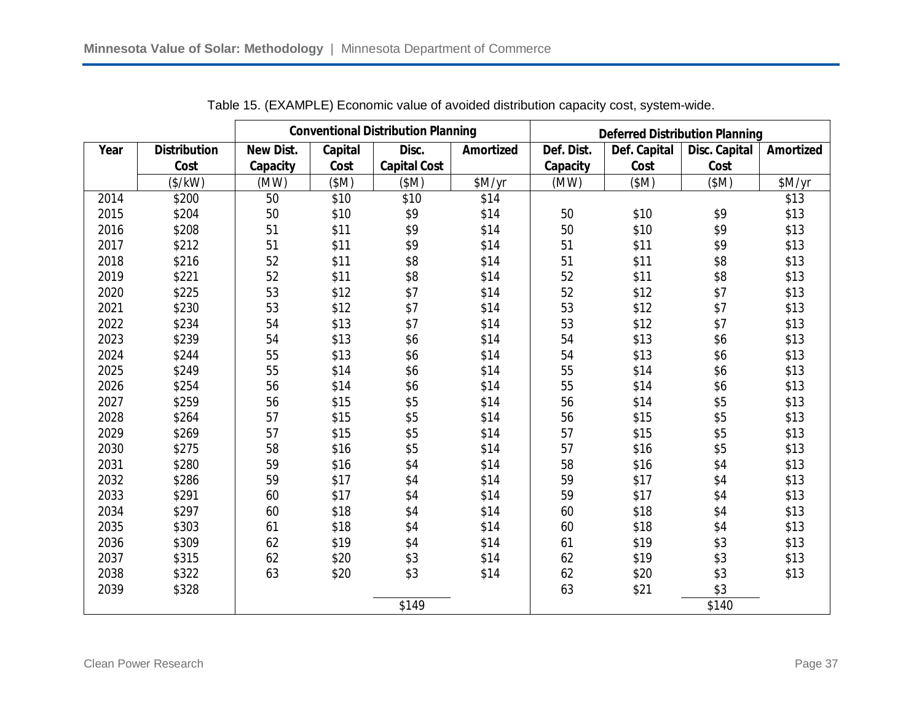|      |                     |                  |         | <b>Conventional Distribution Planning</b> |                  | <b>Deferred Distribution Planning</b> |              |               |                  |  |
|------|---------------------|------------------|---------|-------------------------------------------|------------------|---------------------------------------|--------------|---------------|------------------|--|
| Year | <b>Distribution</b> | <b>New Dist.</b> | Capital | Disc.                                     | <b>Amortized</b> | Def. Dist.                            | Def. Capital | Disc. Capital | <b>Amortized</b> |  |
|      | Cost                | Capacity         | Cost    | <b>Capital Cost</b>                       |                  | Capacity                              | Cost         | Cost          |                  |  |
|      | $(*/kW)$            | (MW)             | (SM)    | (SM)                                      | \$M/yr           | (MW)                                  | (SM)         | (SM)          | \$M/yr           |  |
| 2014 | \$200               | 50               | \$10    | \$10                                      | \$14             |                                       |              |               | \$13             |  |
| 2015 | \$204               | 50               | \$10    | \$9                                       | \$14             | 50                                    | \$10         | \$9           | \$13             |  |
| 2016 | \$208               | 51               | \$11    | \$9                                       | \$14             | 50                                    | \$10         | \$9           | \$13             |  |
| 2017 | \$212               | 51               | \$11    | \$9                                       | \$14             | 51                                    | \$11         | \$9           | \$13             |  |
| 2018 | \$216               | 52               | \$11    | \$8                                       | \$14             | 51                                    | \$11         | \$8           | \$13             |  |
| 2019 | \$221               | 52               | \$11    | \$8                                       | \$14             | 52                                    | \$11         | \$8           | \$13             |  |
| 2020 | \$225               | 53               | \$12    | \$7                                       | \$14             | 52                                    | \$12         | \$7           | \$13             |  |
| 2021 | \$230               | 53               | \$12    | \$7                                       | \$14             | 53                                    | \$12         | \$7           | \$13             |  |
| 2022 | \$234               | 54               | \$13    | \$7                                       | \$14             | 53                                    | \$12         | \$7           | \$13             |  |
| 2023 | \$239               | 54               | \$13    | \$6                                       | \$14             | 54                                    | \$13         | \$6           | \$13             |  |
| 2024 | \$244               | 55               | \$13    | \$6                                       | \$14             | 54                                    | \$13         | \$6           | \$13             |  |
| 2025 | \$249               | 55               | \$14    | \$6                                       | \$14             | 55                                    | \$14         | \$6           | \$13             |  |
| 2026 | \$254               | 56               | \$14    | \$6                                       | \$14             | 55                                    | \$14         | \$6           | \$13             |  |
| 2027 | \$259               | 56               | \$15    | \$5                                       | \$14             | 56                                    | \$14         | \$5           | \$13             |  |
| 2028 | \$264               | 57               | \$15    | \$5                                       | \$14             | 56                                    | \$15         | \$5           | \$13             |  |
| 2029 | \$269               | 57               | \$15    | \$5                                       | \$14             | 57                                    | \$15         | \$5           | \$13             |  |
| 2030 | \$275               | 58               | \$16    | \$5                                       | \$14             | 57                                    | \$16         | \$5           | \$13             |  |
| 2031 | \$280               | 59               | \$16    | \$4                                       | \$14             | 58                                    | \$16         | \$4           | \$13             |  |
| 2032 | \$286               | 59               | \$17    | \$4                                       | \$14             | 59                                    | \$17         | \$4           | \$13             |  |
| 2033 | \$291               | 60               | \$17    | \$4                                       | \$14             | 59                                    | \$17         | \$4           | \$13             |  |
| 2034 | \$297               | 60               | \$18    | \$4                                       | \$14             | 60                                    | \$18         | \$4           | \$13             |  |
| 2035 | \$303               | 61               | \$18    | \$4                                       | \$14             | 60                                    | \$18         | \$4           | \$13             |  |
| 2036 | \$309               | 62               | \$19    | \$4                                       | \$14             | 61                                    | \$19         | \$3           | \$13             |  |
| 2037 | \$315               | 62               | \$20    | \$3                                       | \$14             | 62                                    | \$19         | \$3           | \$13             |  |
| 2038 | \$322               | 63               | \$20    | \$3                                       | \$14             | 62                                    | \$20         | \$3           | \$13             |  |
| 2039 | \$328               |                  |         |                                           |                  | 63                                    | \$21         | \$3           |                  |  |
|      |                     |                  |         | \$149                                     |                  |                                       |              | \$140         |                  |  |

Table 15. (EXAMPLE) Economic value of avoided distribution capacity cost, system-wide.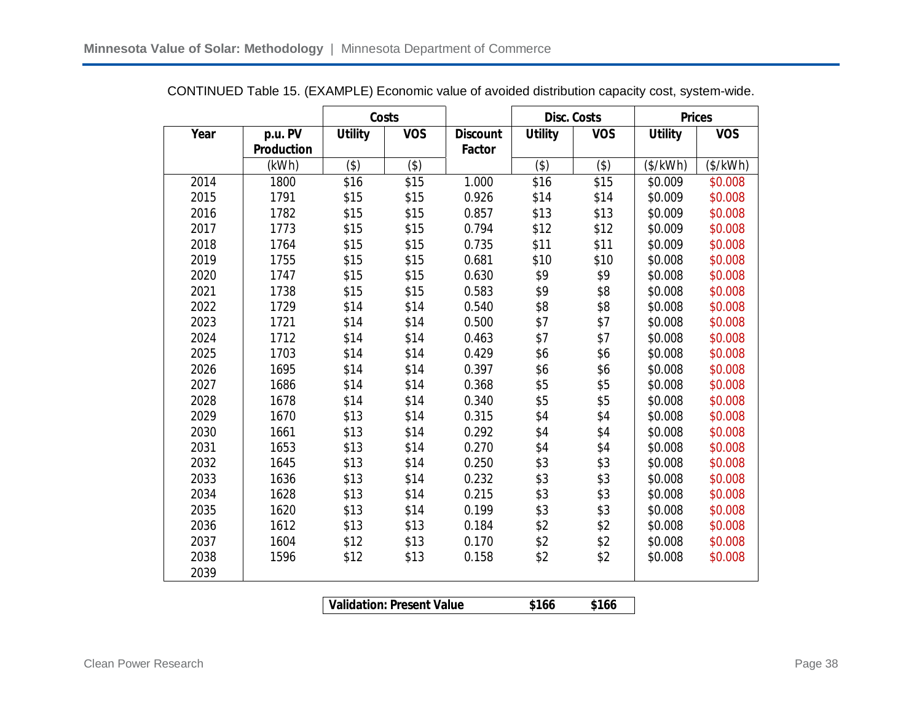|      |                   | Costs          |            |                 |                | <b>Disc. Costs</b> | <b>Prices</b>  |            |
|------|-------------------|----------------|------------|-----------------|----------------|--------------------|----------------|------------|
| Year | p.u. PV           | <b>Utility</b> | <b>VOS</b> | <b>Discount</b> | <b>Utility</b> | <b>VOS</b>         | <b>Utility</b> | <b>VOS</b> |
|      | <b>Production</b> |                |            | Factor          |                |                    |                |            |
|      | (kWh)             | $($ \$)        | $($ \$)    |                 | $($ \$)        | $($ \$)            | (\$/kWh)       | (\$/kWh)   |
| 2014 | 1800              | \$16           | \$15       | 1.000           | \$16           | \$15               | \$0.009        | \$0.008    |
| 2015 | 1791              | \$15           | \$15       | 0.926           | \$14           | \$14               | \$0.009        | \$0.008    |
| 2016 | 1782              | \$15           | \$15       | 0.857           | \$13           | \$13               | \$0.009        | \$0.008    |
| 2017 | 1773              | \$15           | \$15       | 0.794           | \$12           | \$12               | \$0.009        | \$0.008    |
| 2018 | 1764              | \$15           | \$15       | 0.735           | \$11           | \$11               | \$0.009        | \$0.008    |
| 2019 | 1755              | \$15           | \$15       | 0.681           | \$10           | \$10               | \$0.008        | \$0.008    |
| 2020 | 1747              | \$15           | \$15       | 0.630           | \$9            | \$9                | \$0.008        | \$0.008    |
| 2021 | 1738              | \$15           | \$15       | 0.583           | \$9            | \$8                | \$0.008        | \$0.008    |
| 2022 | 1729              | \$14           | \$14       | 0.540           | \$8            | \$8                | \$0.008        | \$0.008    |
| 2023 | 1721              | \$14           | \$14       | 0.500           | \$7            | \$7                | \$0.008        | \$0.008    |
| 2024 | 1712              | \$14           | \$14       | 0.463           | \$7            | \$7                | \$0.008        | \$0.008    |
| 2025 | 1703              | \$14           | \$14       | 0.429           | \$6            | \$6                | \$0.008        | \$0.008    |
| 2026 | 1695              | \$14           | \$14       | 0.397           | \$6            | \$6                | \$0.008        | \$0.008    |
| 2027 | 1686              | \$14           | \$14       | 0.368           | \$5            | \$5                | \$0.008        | \$0.008    |
| 2028 | 1678              | \$14           | \$14       | 0.340           | \$5            | \$5                | \$0.008        | \$0.008    |
| 2029 | 1670              | \$13           | \$14       | 0.315           | \$4            | \$4                | \$0.008        | \$0.008    |
| 2030 | 1661              | \$13           | \$14       | 0.292           | \$4            | \$4                | \$0.008        | \$0.008    |
| 2031 | 1653              | \$13           | \$14       | 0.270           | \$4            | \$4                | \$0.008        | \$0.008    |
| 2032 | 1645              | \$13           | \$14       | 0.250           | \$3            | \$3                | \$0.008        | \$0.008    |
| 2033 | 1636              | \$13           | \$14       | 0.232           | \$3            | \$3                | \$0.008        | \$0.008    |
| 2034 | 1628              | \$13           | \$14       | 0.215           | \$3            | \$3                | \$0.008        | \$0.008    |
| 2035 | 1620              | \$13           | \$14       | 0.199           | \$3            | \$3                | \$0.008        | \$0.008    |
| 2036 | 1612              | \$13           | \$13       | 0.184           | \$2            | \$2                | \$0.008        | \$0.008    |
| 2037 | 1604              | \$12           | \$13       | 0.170           | \$2            | \$2                | \$0.008        | \$0.008    |
| 2038 | 1596              | \$12           | \$13       | 0.158           | \$2            | \$2                | \$0.008        | \$0.008    |
| 2039 |                   |                |            |                 |                |                    |                |            |
|      |                   |                |            |                 |                |                    |                |            |

CONTINUED Table 15. (EXAMPLE) Economic value of avoided distribution capacity cost, system-wide.

**Validation: Present Value \$166 \$166**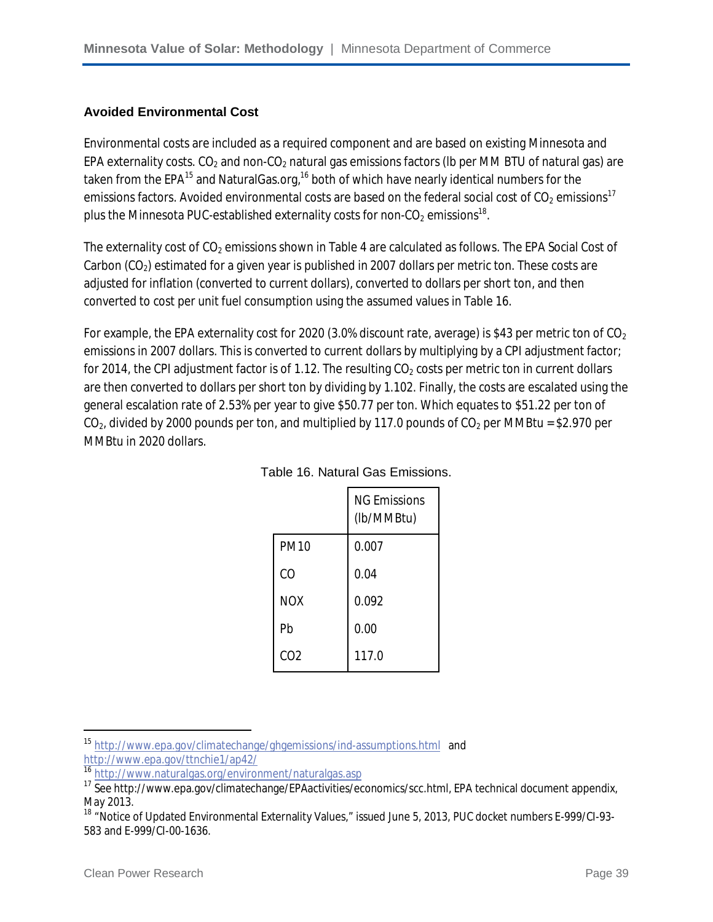#### **Avoided Environmental Cost**

Environmental costs are included as a required component and are based on existing Minnesota and EPA externality costs.  $CO<sub>2</sub>$  and non- $CO<sub>2</sub>$  natural gas emissions factors (lb per MM BTU of natural gas) are taken from the EPA<sup>15</sup> and NaturalGas.org,<sup>16</sup> both of which have nearly identical numbers for the emissions factors. Avoided environmental costs are based on the federal social cost of  $CO<sub>2</sub>$  emissions<sup>17</sup> plus the Minnesota PUC-established externality costs for non-CO $_2$  emissions $^{\text{18}}$ .

The externality cost of CO<sub>2</sub> emissions shown in Table 4 are calculated as follows. The EPA Social Cost of Carbon ( $CO<sub>2</sub>$ ) estimated for a given year is published in 2007 dollars per metric ton. These costs are adjusted for inflation (converted to current dollars), converted to dollars per short ton, and then converted to cost per unit fuel consumption using the assumed values in Table 16.

For example, the EPA externality cost for 2020 (3.0% discount rate, average) is \$43 per metric ton of  $CO<sub>2</sub>$ emissions in 2007 dollars. This is converted to current dollars by multiplying by a CPI adjustment factor; for 2014, the CPI adjustment factor is of 1.12. The resulting  $CO<sub>2</sub>$  costs per metric ton in current dollars are then converted to dollars per short ton by dividing by 1.102. Finally, the costs are escalated using the general escalation rate of 2.53% per year to give \$50.77 per ton. Which equates to \$51.22 per ton of  $CO<sub>2</sub>$ , divided by 2000 pounds per ton, and multiplied by 117.0 pounds of  $CO<sub>2</sub>$  per MMBtu = \$2.970 per MMBtu in 2020 dollars.

|             | <b>NG Emissions</b><br>(lb/MMBtu) |
|-------------|-----------------------------------|
| <b>PM10</b> | 0.007                             |
| CO          | 0.04                              |
| <b>NOX</b>  | 0.092                             |
| Pb          | 0.00                              |
| CO2         | 117.0                             |

|  | Table 16. Natural Gas Emissions. |
|--|----------------------------------|
|  |                                  |

 $\overline{\phantom{a}}$ 

<sup>15</sup> http://www.epa.gov/climatechange/ghgemissions/ind-assumptions.html and http://www.epa.gov/ttnchie1/ap42/

<sup>16</sup> http://www.naturalgas.org/environment/naturalgas.asp

<sup>&</sup>lt;sup>17</sup> See http://www.epa.gov/climatechange/EPAactivities/economics/scc.html, EPA technical document appendix, May 2013.

<sup>&</sup>lt;sup>18</sup> "Notice of Updated Environmental Externality Values," issued June 5, 2013, PUC docket numbers E-999/CI-93-583 and E-999/CI-00-1636.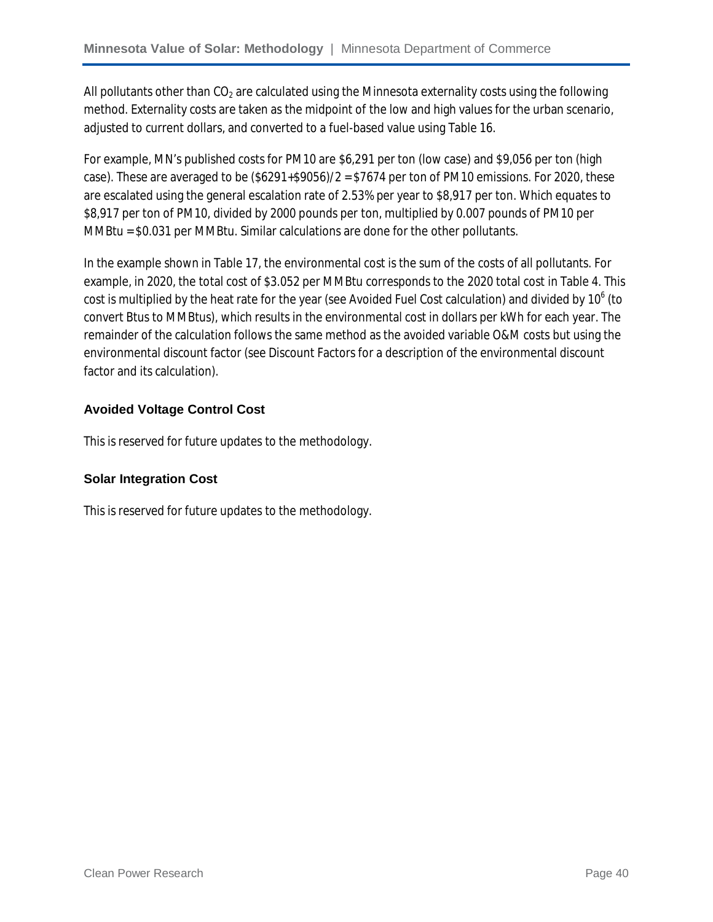All pollutants other than  $CO<sub>2</sub>$  are calculated using the Minnesota externality costs using the following method. Externality costs are taken as the midpoint of the low and high values for the urban scenario, adjusted to current dollars, and converted to a fuel-based value using Table 16.

For example, MN's published costs for PM10 are \$6,291 per ton (low case) and \$9,056 per ton (high case). These are averaged to be  $(\$6291+\$9056)/2 = \$7674$  per ton of PM10 emissions. For 2020, these are escalated using the general escalation rate of 2.53% per year to \$8,917 per ton. Which equates to \$8,917 per ton of PM10, divided by 2000 pounds per ton, multiplied by 0.007 pounds of PM10 per MMBtu = \$0.031 per MMBtu. Similar calculations are done for the other pollutants.

In the example shown in Table 17, the environmental cost is the sum of the costs of all pollutants. For example, in 2020, the total cost of \$3.052 per MMBtu corresponds to the 2020 total cost in Table 4. This cost is multiplied by the heat rate for the year (see Avoided Fuel Cost calculation) and divided by 10 $^{\rm 6}$  (to convert Btus to MMBtus), which results in the environmental cost in dollars per kWh for each year. The remainder of the calculation follows the same method as the avoided variable O&M costs but using the environmental discount factor (see Discount Factors for a description of the environmental discount factor and its calculation).

#### **Avoided Voltage Control Cost**

This is reserved for future updates to the methodology.

#### **Solar Integration Cost**

This is reserved for future updates to the methodology.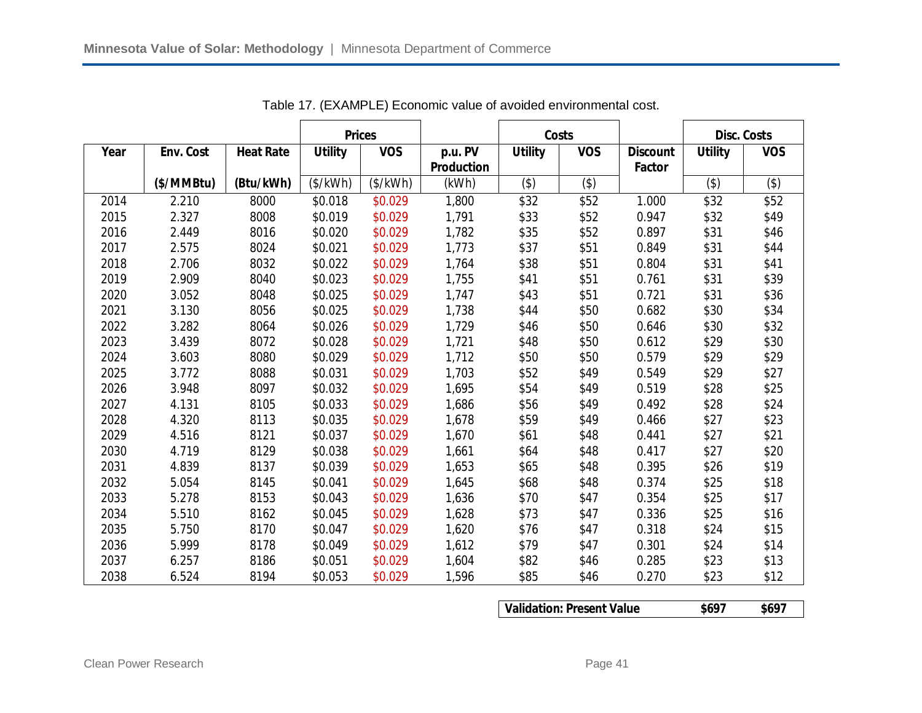|      |            |                  | <b>Prices</b>  |            |                   | Costs          |            |                 | <b>Disc. Costs</b> |            |
|------|------------|------------------|----------------|------------|-------------------|----------------|------------|-----------------|--------------------|------------|
| Year | Env. Cost  | <b>Heat Rate</b> | <b>Utility</b> | <b>VOS</b> | p.u. PV           | <b>Utility</b> | <b>VOS</b> | <b>Discount</b> | <b>Utility</b>     | <b>VOS</b> |
|      |            |                  |                |            | <b>Production</b> |                |            | <b>Factor</b>   |                    |            |
|      | (\$/MMBtu) | (Btu/kWh)        | (\$/kWh)       | (\$/kWh)   | (kWh)             | (3)            | (3)        |                 | (3)                | $($ \$)    |
| 2014 | 2.210      | 8000             | \$0.018        | \$0.029    | 1,800             | \$32           | \$52       | 1.000           | \$32               | \$52       |
| 2015 | 2.327      | 8008             | \$0.019        | \$0.029    | 1,791             | \$33           | \$52       | 0.947           | \$32               | \$49       |
| 2016 | 2.449      | 8016             | \$0.020        | \$0.029    | 1,782             | \$35           | \$52       | 0.897           | \$31               | \$46       |
| 2017 | 2.575      | 8024             | \$0.021        | \$0.029    | 1,773             | \$37           | \$51       | 0.849           | \$31               | \$44       |
| 2018 | 2.706      | 8032             | \$0.022        | \$0.029    | 1,764             | \$38           | \$51       | 0.804           | \$31               | \$41       |
| 2019 | 2.909      | 8040             | \$0.023        | \$0.029    | 1,755             | \$41           | \$51       | 0.761           | \$31               | \$39       |
| 2020 | 3.052      | 8048             | \$0.025        | \$0.029    | 1,747             | \$43           | \$51       | 0.721           | \$31               | \$36       |
| 2021 | 3.130      | 8056             | \$0.025        | \$0.029    | 1,738             | \$44           | \$50       | 0.682           | \$30               | \$34       |
| 2022 | 3.282      | 8064             | \$0.026        | \$0.029    | 1,729             | \$46           | \$50       | 0.646           | \$30               | \$32       |
| 2023 | 3.439      | 8072             | \$0.028        | \$0.029    | 1,721             | \$48           | \$50       | 0.612           | \$29               | \$30       |
| 2024 | 3.603      | 8080             | \$0.029        | \$0.029    | 1,712             | \$50           | \$50       | 0.579           | \$29               | \$29       |
| 2025 | 3.772      | 8088             | \$0.031        | \$0.029    | 1,703             | \$52           | \$49       | 0.549           | \$29               | \$27       |
| 2026 | 3.948      | 8097             | \$0.032        | \$0.029    | 1,695             | \$54           | \$49       | 0.519           | \$28               | \$25       |
| 2027 | 4.131      | 8105             | \$0.033        | \$0.029    | 1,686             | \$56           | \$49       | 0.492           | \$28               | \$24       |
| 2028 | 4.320      | 8113             | \$0.035        | \$0.029    | 1,678             | \$59           | \$49       | 0.466           | \$27               | \$23       |
| 2029 | 4.516      | 8121             | \$0.037        | \$0.029    | 1,670             | \$61           | \$48       | 0.441           | \$27               | \$21       |
| 2030 | 4.719      | 8129             | \$0.038        | \$0.029    | 1,661             | \$64           | \$48       | 0.417           | \$27               | \$20       |
| 2031 | 4.839      | 8137             | \$0.039        | \$0.029    | 1,653             | \$65           | \$48       | 0.395           | \$26               | \$19       |
| 2032 | 5.054      | 8145             | \$0.041        | \$0.029    | 1,645             | \$68           | \$48       | 0.374           | \$25               | \$18       |
| 2033 | 5.278      | 8153             | \$0.043        | \$0.029    | 1,636             | \$70           | \$47       | 0.354           | \$25               | \$17       |
| 2034 | 5.510      | 8162             | \$0.045        | \$0.029    | 1,628             | \$73           | \$47       | 0.336           | \$25               | \$16       |
| 2035 | 5.750      | 8170             | \$0.047        | \$0.029    | 1,620             | \$76           | \$47       | 0.318           | \$24               | \$15       |
| 2036 | 5.999      | 8178             | \$0.049        | \$0.029    | 1,612             | \$79           | \$47       | 0.301           | \$24               | \$14       |
| 2037 | 6.257      | 8186             | \$0.051        | \$0.029    | 1,604             | \$82           | \$46       | 0.285           | \$23               | \$13       |
| 2038 | 6.524      | 8194             | \$0.053        | \$0.029    | 1,596             | \$85           | \$46       | 0.270           | \$23               | \$12       |

Table 17. (EXAMPLE) Economic value of avoided environmental cost.

**Validation: Present Value \$697 \$697**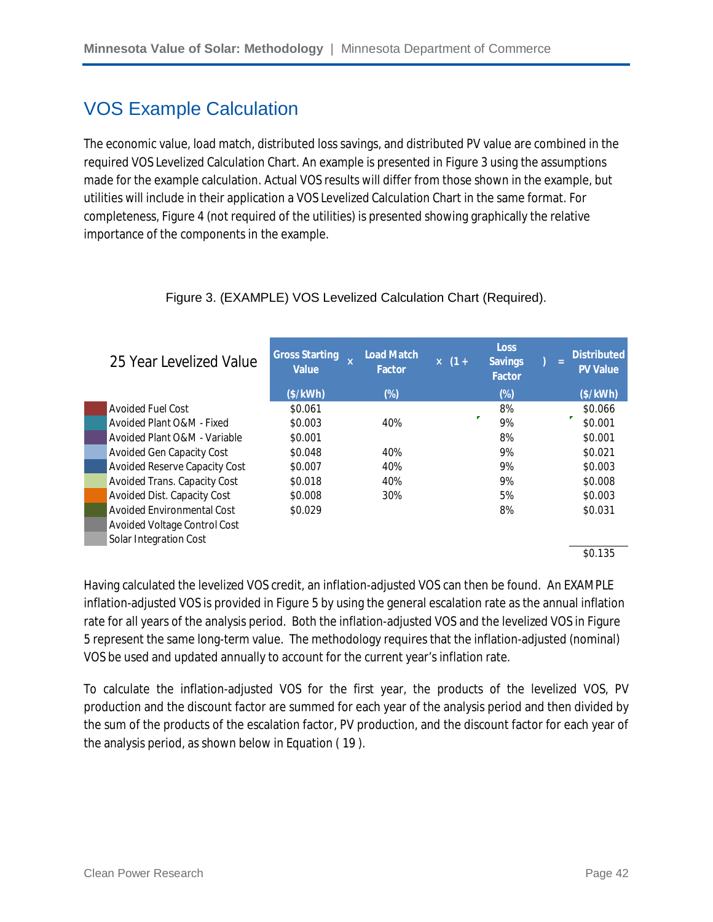### VOS Example Calculation

The economic value, load match, distributed loss savings, and distributed PV value are combined in the required VOS Levelized Calculation Chart. An example is presented in Figure 3 using the assumptions made for the example calculation. Actual VOS results will differ from those shown in the example, but utilities will include in their application a VOS Levelized Calculation Chart in the same format. For completeness, Figure 4 (not required of the utilities) is presented showing graphically the relative importance of the components in the example.

| 25 Year Levelized Value              | <b>Gross Starting</b><br>$\mathbf x$<br><b>Value</b> | <b>Load Match</b><br>Factor | $x(1 +$ | <b>Loss</b><br><b>Savings</b><br><b>Factor</b> | $=$ | <b>Distributed</b><br><b>PV Value</b> |
|--------------------------------------|------------------------------------------------------|-----------------------------|---------|------------------------------------------------|-----|---------------------------------------|
|                                      | (\$/kWh)                                             | $(\%)$                      |         | $(\%)$                                         |     | (\$/kWh)                              |
| Avoided Fuel Cost                    | \$0.061                                              |                             |         | 8%                                             |     | \$0.066                               |
| Avoided Plant O&M - Fixed            | \$0.003                                              | 40%                         |         | 9%                                             |     | \$0.001                               |
| Avoided Plant O&M - Variable         | \$0.001                                              |                             |         | 8%                                             |     | \$0.001                               |
| <b>Avoided Gen Capacity Cost</b>     | \$0.048                                              | 40%                         |         | 9%                                             |     | \$0.021                               |
| <b>Avoided Reserve Capacity Cost</b> | \$0.007                                              | 40%                         |         | 9%                                             |     | \$0.003                               |
| Avoided Trans. Capacity Cost         | \$0.018                                              | 40%                         |         | 9%                                             |     | \$0.008                               |
| Avoided Dist. Capacity Cost          | \$0.008                                              | 30%                         |         | 5%                                             |     | \$0.003                               |
| Avoided Environmental Cost           | \$0.029                                              |                             |         | 8%                                             |     | \$0.031                               |
| Avoided Voltage Control Cost         |                                                      |                             |         |                                                |     |                                       |
| Solar Integration Cost               |                                                      |                             |         |                                                |     |                                       |
|                                      |                                                      |                             |         |                                                |     | \$0.135                               |

#### Figure 3. (EXAMPLE) VOS Levelized Calculation Chart (Required).

Having calculated the levelized VOS credit, an inflation-adjusted VOS can then be found. An EXAMPLE inflation-adjusted VOS is provided in Figure 5 by using the general escalation rate as the annual inflation rate for all years of the analysis period. Both the inflation-adjusted VOS and the levelized VOS in Figure 5 represent the same long-term value. The methodology requires that the inflation-adjusted (nominal) VOS be used and updated annually to account for the current year's inflation rate.

To calculate the inflation-adjusted VOS for the first year, the products of the levelized VOS, PV production and the discount factor are summed for each year of the analysis period and then divided by the sum of the products of the escalation factor, PV production, and the discount factor for each year of the analysis period, as shown below in Equation ( 19 ).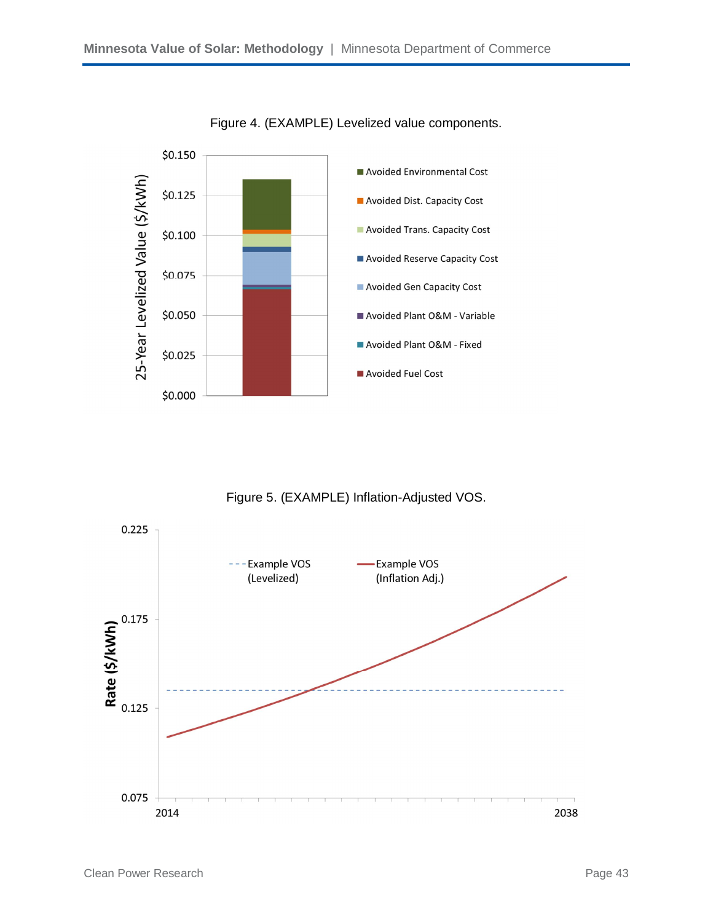

Figure 4. (EXAMPLE) Levelized value components.

Figure 5. (EXAMPLE) Inflation-Adjusted VOS.

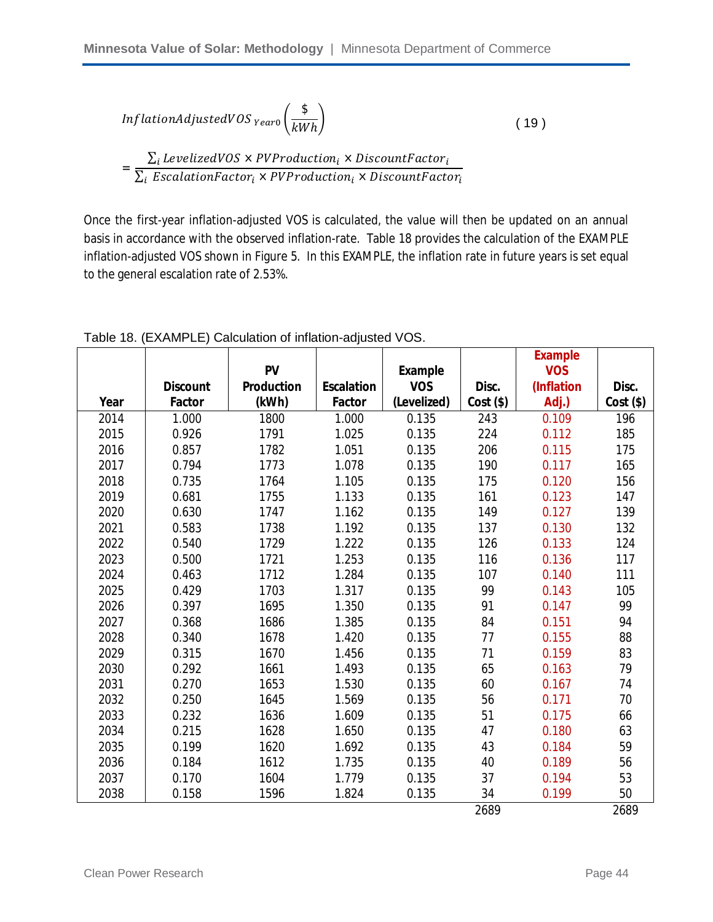$$
Inflation AdjustedVOS_{Year0}\left(\frac{\$}{kWh}\right) \tag{19}
$$

 $=\frac{\sum_{i} LevelizedVOS \times PVProduction_i \times DiscountFactor_i}{\sum_{i} EvelationF_{i}}$  $\Sigma_i$  EscalationFactor $_i$  × PVProduction $_i$  × DiscountFactor $_i$ 

Once the first-year inflation-adjusted VOS is calculated, the value will then be updated on an annual basis in accordance with the observed inflation-rate. Table 18 provides the calculation of the EXAMPLE inflation-adjusted VOS shown in Figure 5. In this EXAMPLE, the inflation rate in future years is set equal to the general escalation rate of 2.53%.

|      |                 |                   |                   |                |         | <b>Example</b> |         |
|------|-----------------|-------------------|-------------------|----------------|---------|----------------|---------|
|      |                 | <b>PV</b>         |                   | <b>Example</b> |         | <b>VOS</b>     |         |
|      | <b>Discount</b> | <b>Production</b> | <b>Escalation</b> | <b>VOS</b>     | Disc.   | (Inflation     | Disc.   |
| Year | <b>Factor</b>   | (kWh)             | <b>Factor</b>     | (Levelized)    | Cost(S) | Adj.)          | Cost(S) |
| 2014 | 1.000           | 1800              | 1.000             | 0.135          | 243     | 0.109          | 196     |
| 2015 | 0.926           | 1791              | 1.025             | 0.135          | 224     | 0.112          | 185     |
| 2016 | 0.857           | 1782              | 1.051             | 0.135          | 206     | 0.115          | 175     |
| 2017 | 0.794           | 1773              | 1.078             | 0.135          | 190     | 0.117          | 165     |
| 2018 | 0.735           | 1764              | 1.105             | 0.135          | 175     | 0.120          | 156     |
| 2019 | 0.681           | 1755              | 1.133             | 0.135          | 161     | 0.123          | 147     |
| 2020 | 0.630           | 1747              | 1.162             | 0.135          | 149     | 0.127          | 139     |
| 2021 | 0.583           | 1738              | 1.192             | 0.135          | 137     | 0.130          | 132     |
| 2022 | 0.540           | 1729              | 1.222             | 0.135          | 126     | 0.133          | 124     |
| 2023 | 0.500           | 1721              | 1.253             | 0.135          | 116     | 0.136          | 117     |
| 2024 | 0.463           | 1712              | 1.284             | 0.135          | 107     | 0.140          | 111     |
| 2025 | 0.429           | 1703              | 1.317             | 0.135          | 99      | 0.143          | 105     |
| 2026 | 0.397           | 1695              | 1.350             | 0.135          | 91      | 0.147          | 99      |
| 2027 | 0.368           | 1686              | 1.385             | 0.135          | 84      | 0.151          | 94      |
| 2028 | 0.340           | 1678              | 1.420             | 0.135          | 77      | 0.155          | 88      |
| 2029 | 0.315           | 1670              | 1.456             | 0.135          | 71      | 0.159          | 83      |
| 2030 | 0.292           | 1661              | 1.493             | 0.135          | 65      | 0.163          | 79      |
| 2031 | 0.270           | 1653              | 1.530             | 0.135          | 60      | 0.167          | 74      |
| 2032 | 0.250           | 1645              | 1.569             | 0.135          | 56      | 0.171          | 70      |
| 2033 | 0.232           | 1636              | 1.609             | 0.135          | 51      | 0.175          | 66      |
| 2034 | 0.215           | 1628              | 1.650             | 0.135          | 47      | 0.180          | 63      |
| 2035 | 0.199           | 1620              | 1.692             | 0.135          | 43      | 0.184          | 59      |
| 2036 | 0.184           | 1612              | 1.735             | 0.135          | 40      | 0.189          | 56      |
| 2037 | 0.170           | 1604              | 1.779             | 0.135          | 37      | 0.194          | 53      |
| 2038 | 0.158           | 1596              | 1.824             | 0.135          | 34      | 0.199          | 50      |
|      |                 |                   |                   |                | 2689    |                | 2689    |

Table 18. (EXAMPLE) Calculation of inflation-adjusted VOS.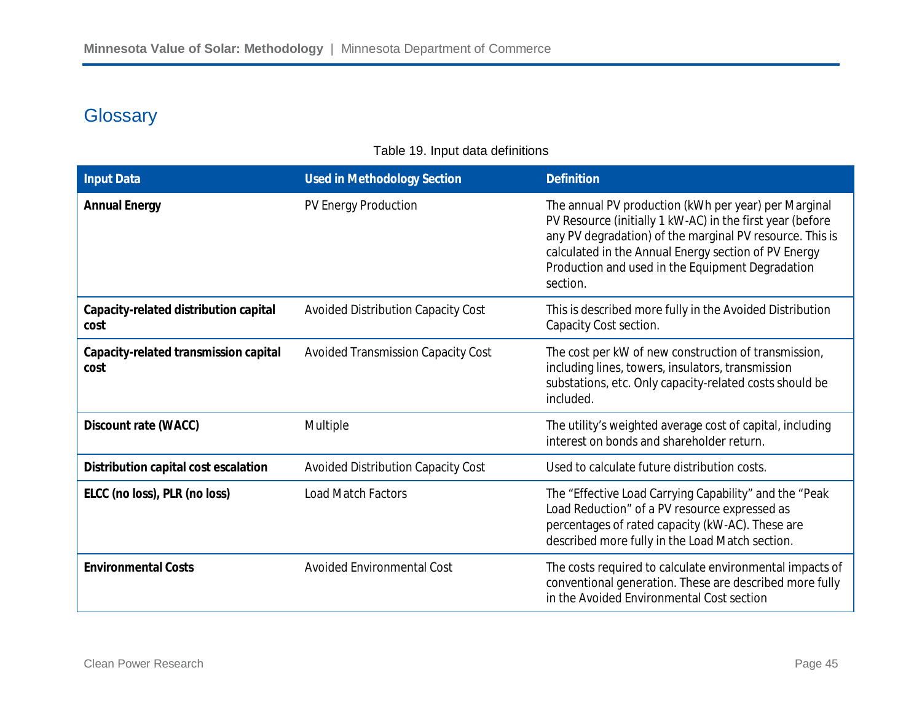### **Glossary**

#### Table 19. Input data definitions

| <b>Input Data</b>                             | <b>Used in Methodology Section</b>        | <b>Definition</b>                                                                                                                                                                                                                                                                                     |
|-----------------------------------------------|-------------------------------------------|-------------------------------------------------------------------------------------------------------------------------------------------------------------------------------------------------------------------------------------------------------------------------------------------------------|
| <b>Annual Energy</b>                          | PV Energy Production                      | The annual PV production (kWh per year) per Marginal<br>PV Resource (initially 1 kW-AC) in the first year (before<br>any PV degradation) of the marginal PV resource. This is<br>calculated in the Annual Energy section of PV Energy<br>Production and used in the Equipment Degradation<br>section. |
| Capacity-related distribution capital<br>cost | <b>Avoided Distribution Capacity Cost</b> | This is described more fully in the Avoided Distribution<br>Capacity Cost section.                                                                                                                                                                                                                    |
| Capacity-related transmission capital<br>cost | <b>Avoided Transmission Capacity Cost</b> | The cost per kW of new construction of transmission,<br>including lines, towers, insulators, transmission<br>substations, etc. Only capacity-related costs should be<br>included.                                                                                                                     |
| Discount rate (WACC)                          | Multiple                                  | The utility's weighted average cost of capital, including<br>interest on bonds and shareholder return.                                                                                                                                                                                                |
| Distribution capital cost escalation          | <b>Avoided Distribution Capacity Cost</b> | Used to calculate future distribution costs.                                                                                                                                                                                                                                                          |
| ELCC (no loss), PLR (no loss)                 | <b>Load Match Factors</b>                 | The "Effective Load Carrying Capability" and the "Peak<br>Load Reduction" of a PV resource expressed as<br>percentages of rated capacity (kW-AC). These are<br>described more fully in the Load Match section.                                                                                        |
| <b>Environmental Costs</b>                    | <b>Avoided Environmental Cost</b>         | The costs required to calculate environmental impacts of<br>conventional generation. These are described more fully<br>in the Avoided Environmental Cost section                                                                                                                                      |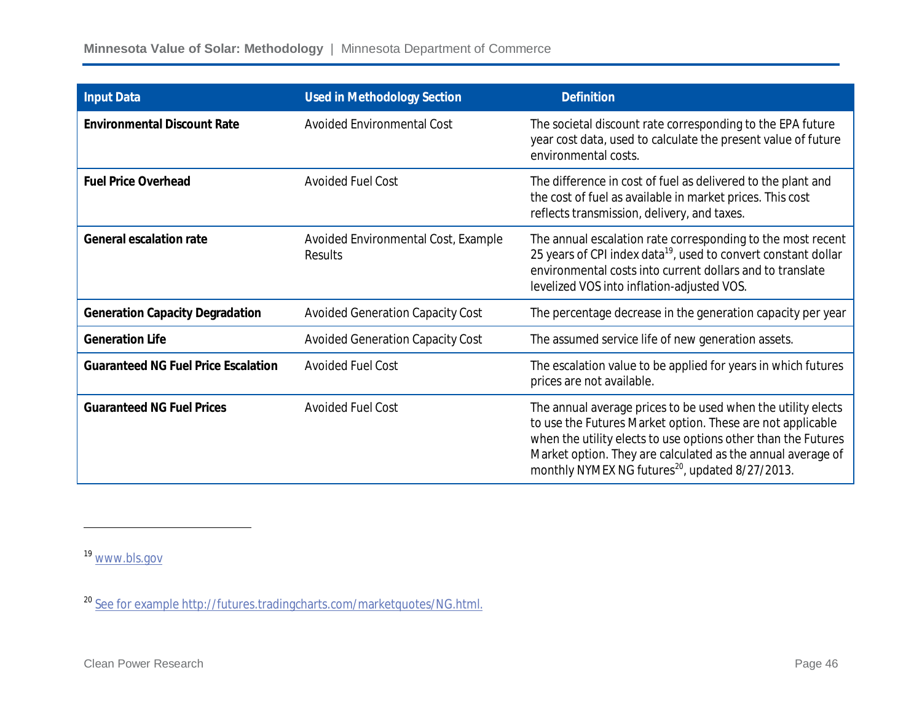| <b>Input Data</b>                          | <b>Used in Methodology Section</b>             | <b>Definition</b>                                                                                                                                                                                                                                                                                                         |
|--------------------------------------------|------------------------------------------------|---------------------------------------------------------------------------------------------------------------------------------------------------------------------------------------------------------------------------------------------------------------------------------------------------------------------------|
| <b>Environmental Discount Rate</b>         | <b>Avoided Environmental Cost</b>              | The societal discount rate corresponding to the EPA future<br>year cost data, used to calculate the present value of future<br>environmental costs.                                                                                                                                                                       |
| <b>Fuel Price Overhead</b>                 | <b>Avoided Fuel Cost</b>                       | The difference in cost of fuel as delivered to the plant and<br>the cost of fuel as available in market prices. This cost<br>reflects transmission, delivery, and taxes.                                                                                                                                                  |
| <b>General escalation rate</b>             | Avoided Environmental Cost, Example<br>Results | The annual escalation rate corresponding to the most recent<br>25 years of CPI index data <sup>19</sup> , used to convert constant dollar<br>environmental costs into current dollars and to translate<br>levelized VOS into inflation-adjusted VOS.                                                                      |
| <b>Generation Capacity Degradation</b>     | <b>Avoided Generation Capacity Cost</b>        | The percentage decrease in the generation capacity per year                                                                                                                                                                                                                                                               |
| <b>Generation Life</b>                     | <b>Avoided Generation Capacity Cost</b>        | The assumed service life of new generation assets.                                                                                                                                                                                                                                                                        |
| <b>Guaranteed NG Fuel Price Escalation</b> | <b>Avoided Fuel Cost</b>                       | The escalation value to be applied for years in which futures<br>prices are not available.                                                                                                                                                                                                                                |
| <b>Guaranteed NG Fuel Prices</b>           | <b>Avoided Fuel Cost</b>                       | The annual average prices to be used when the utility elects<br>to use the Futures Market option. These are not applicable<br>when the utility elects to use options other than the Futures<br>Market option. They are calculated as the annual average of<br>monthly NYMEX NG futures <sup>20</sup> , updated 8/27/2013. |

<sup>19</sup> www.bls.gov

 $\overline{\phantom{a}}$ 

<sup>20</sup> See for example http://futures.tradingcharts.com/marketquotes/NG.html.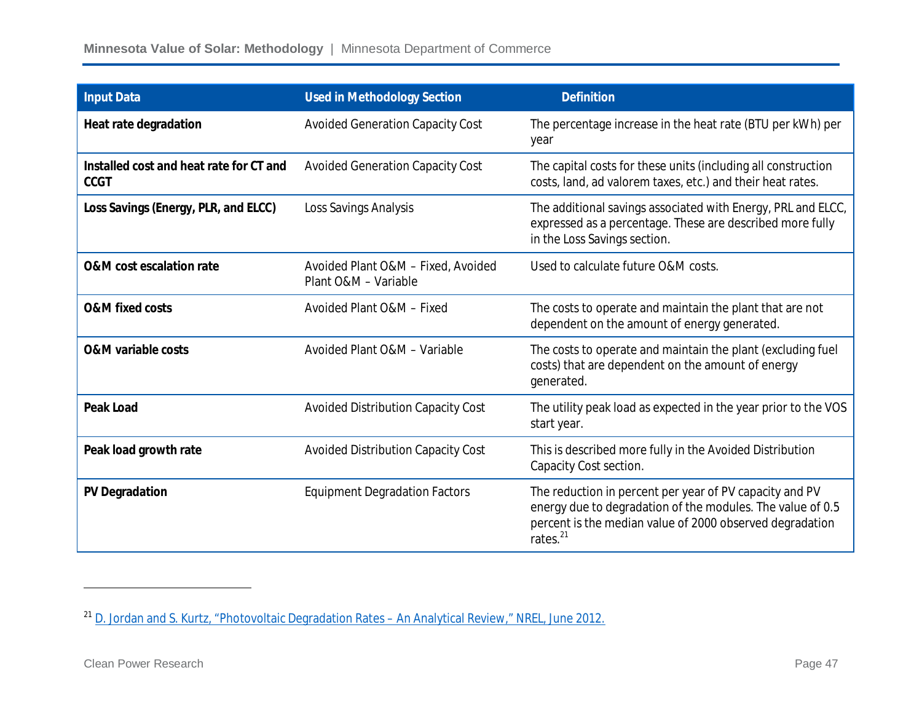| <b>Input Data</b>                                      | <b>Used in Methodology Section</b>                         | <b>Definition</b>                                                                                                                                                                                         |
|--------------------------------------------------------|------------------------------------------------------------|-----------------------------------------------------------------------------------------------------------------------------------------------------------------------------------------------------------|
| Heat rate degradation                                  | <b>Avoided Generation Capacity Cost</b>                    | The percentage increase in the heat rate (BTU per kWh) per<br>year                                                                                                                                        |
| Installed cost and heat rate for CT and<br><b>CCGT</b> | <b>Avoided Generation Capacity Cost</b>                    | The capital costs for these units (including all construction<br>costs, land, ad valorem taxes, etc.) and their heat rates.                                                                               |
| Loss Savings (Energy, PLR, and ELCC)                   | Loss Savings Analysis                                      | The additional savings associated with Energy, PRL and ELCC,<br>expressed as a percentage. These are described more fully<br>in the Loss Savings section.                                                 |
| <b>O&amp;M</b> cost escalation rate                    | Avoided Plant O&M - Fixed, Avoided<br>Plant O&M - Variable | Used to calculate future O&M costs.                                                                                                                                                                       |
| <b>O&amp;M</b> fixed costs                             | Avoided Plant O&M - Fixed                                  | The costs to operate and maintain the plant that are not<br>dependent on the amount of energy generated.                                                                                                  |
| <b>O&amp;M variable costs</b>                          | Avoided Plant O&M - Variable                               | The costs to operate and maintain the plant (excluding fuel<br>costs) that are dependent on the amount of energy<br>generated.                                                                            |
| <b>Peak Load</b>                                       | Avoided Distribution Capacity Cost                         | The utility peak load as expected in the year prior to the VOS<br>start year.                                                                                                                             |
| Peak load growth rate                                  | Avoided Distribution Capacity Cost                         | This is described more fully in the Avoided Distribution<br>Capacity Cost section.                                                                                                                        |
| <b>PV Degradation</b>                                  | <b>Equipment Degradation Factors</b>                       | The reduction in percent per year of PV capacity and PV<br>energy due to degradation of the modules. The value of 0.5<br>percent is the median value of 2000 observed degradation<br>rates. <sup>21</sup> |

 $\overline{\phantom{a}}$ 

<sup>&</sup>lt;sup>21</sup> D. Jordan and S. Kurtz, "Photovoltaic Degradation Rates – An Analytical Review," NREL, June 2012.